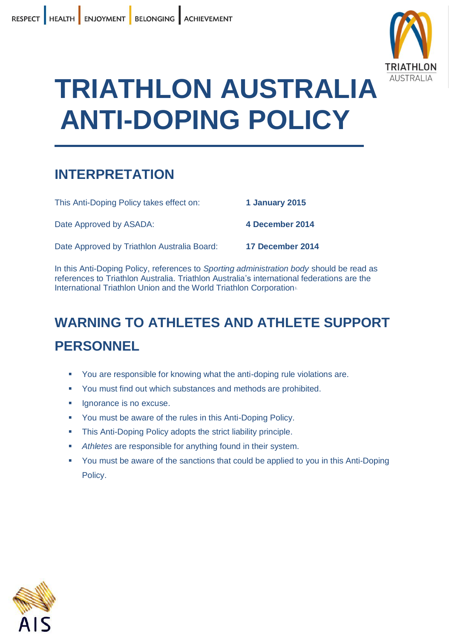

# **TRIATHLON AUSTRALIA ANTI-DOPING POLICY**

### **INTERPRETATION**

| This Anti-Doping Policy takes effect on:    | 1 January 2015   |
|---------------------------------------------|------------------|
| Date Approved by ASADA:                     | 4 December 2014  |
| Date Approved by Triathlon Australia Board: | 17 December 2014 |

In this Anti-Doping Policy, references to *Sporting administration body* should be read as references to Triathlon Australia. Triathlon Australia's international federations are the International Triathlon Union and the World Triathlon Corporation<sup>1</sup>.

# **WARNING TO ATHLETES AND ATHLETE SUPPORT PERSONNEL**

- You are responsible for knowing what the anti-doping rule violations are.
- You must find out which substances and methods are prohibited.
- **Ignorance is no excuse.**
- You must be aware of the rules in this Anti-Doping Policy.
- This Anti-Doping Policy adopts the strict liability principle.
- *Athletes* are responsible for anything found in their system.
- You must be aware of the sanctions that could be applied to you in this Anti-Doping Policy.

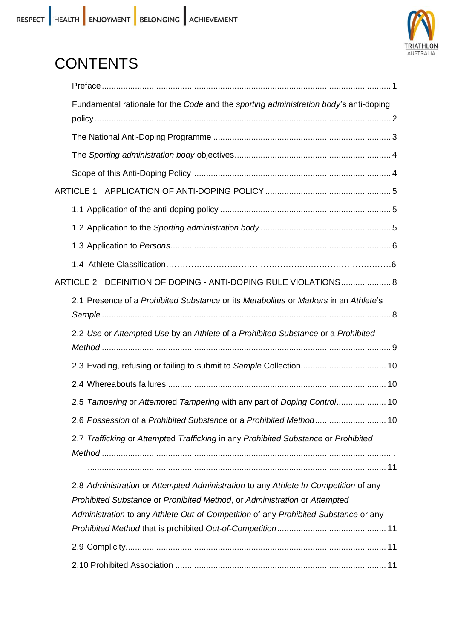

# **CONTENTS**

| Fundamental rationale for the Code and the sporting administration body's anti-doping |  |
|---------------------------------------------------------------------------------------|--|
|                                                                                       |  |
|                                                                                       |  |
|                                                                                       |  |
|                                                                                       |  |
|                                                                                       |  |
|                                                                                       |  |
|                                                                                       |  |
|                                                                                       |  |
| ARTICLE 2 DEFINITION OF DOPING - ANTI-DOPING RULE VIOLATIONS 8                        |  |
| 2.1 Presence of a Prohibited Substance or its Metabolites or Markers in an Athlete's  |  |
| 2.2 Use or Attempted Use by an Athlete of a Prohibited Substance or a Prohibited      |  |
|                                                                                       |  |
|                                                                                       |  |
| 2.5 Tampering or Attempted Tampering with any part of Doping Control 10               |  |
|                                                                                       |  |
| 2.7 Trafficking or Attempted Trafficking in any Prohibited Substance or Prohibited    |  |
|                                                                                       |  |
| 2.8 Administration or Attempted Administration to any Athlete In-Competition of any   |  |
| Prohibited Substance or Prohibited Method, or Administration or Attempted             |  |
| Administration to any Athlete Out-of-Competition of any Prohibited Substance or any   |  |
|                                                                                       |  |
|                                                                                       |  |
|                                                                                       |  |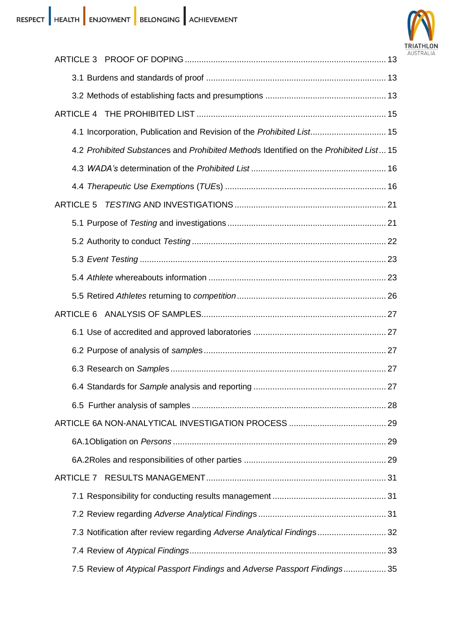

| 4.1 Incorporation, Publication and Revision of the Prohibited List 15                 |  |
|---------------------------------------------------------------------------------------|--|
| 4.2 Prohibited Substances and Prohibited Methods Identified on the Prohibited List 15 |  |
|                                                                                       |  |
|                                                                                       |  |
| <b>ARTICLE 5</b>                                                                      |  |
|                                                                                       |  |
|                                                                                       |  |
|                                                                                       |  |
|                                                                                       |  |
|                                                                                       |  |
|                                                                                       |  |
|                                                                                       |  |
|                                                                                       |  |
|                                                                                       |  |
|                                                                                       |  |
|                                                                                       |  |
|                                                                                       |  |
|                                                                                       |  |
|                                                                                       |  |
|                                                                                       |  |
|                                                                                       |  |
|                                                                                       |  |
| 7.3 Notification after review regarding Adverse Analytical Findings 32                |  |
|                                                                                       |  |
| 7.5 Review of Atypical Passport Findings and Adverse Passport Findings 35             |  |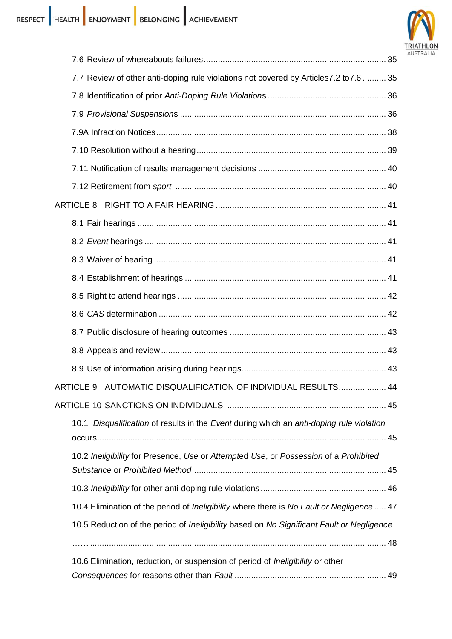

| 7.7 Review of other anti-doping rule violations not covered by Articles7.2 to7.6  35             |  |
|--------------------------------------------------------------------------------------------------|--|
|                                                                                                  |  |
|                                                                                                  |  |
|                                                                                                  |  |
|                                                                                                  |  |
|                                                                                                  |  |
|                                                                                                  |  |
|                                                                                                  |  |
|                                                                                                  |  |
|                                                                                                  |  |
|                                                                                                  |  |
|                                                                                                  |  |
|                                                                                                  |  |
|                                                                                                  |  |
|                                                                                                  |  |
|                                                                                                  |  |
|                                                                                                  |  |
| ARTICLE 9 AUTOMATIC DISQUALIFICATION OF INDIVIDUAL RESULTS 44                                    |  |
|                                                                                                  |  |
| 10.1 Disqualification of results in the Event during which an anti-doping rule violation         |  |
| 10.2 Ineligibility for Presence, Use or Attempted Use, or Possession of a Prohibited             |  |
|                                                                                                  |  |
| 10.4 Elimination of the period of <i>Ineligibility</i> where there is No Fault or Negligence  47 |  |
| 10.5 Reduction of the period of Ineligibility based on No Significant Fault or Negligence        |  |
|                                                                                                  |  |
| 10.6 Elimination, reduction, or suspension of period of <i>Ineligibility</i> or other            |  |
|                                                                                                  |  |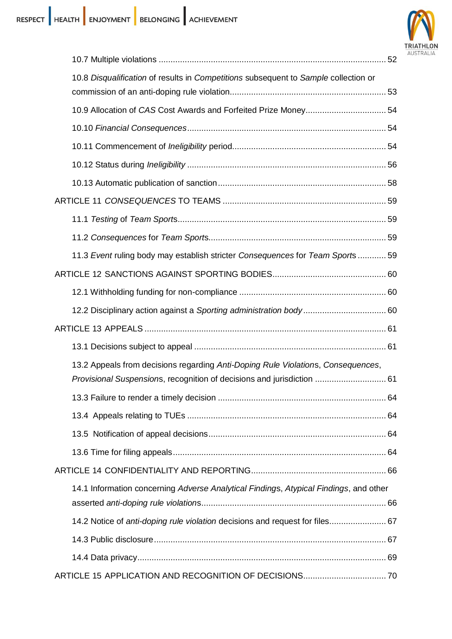

| 10.8 Disqualification of results in Competitions subsequent to Sample collection or   |  |
|---------------------------------------------------------------------------------------|--|
|                                                                                       |  |
|                                                                                       |  |
|                                                                                       |  |
|                                                                                       |  |
|                                                                                       |  |
|                                                                                       |  |
|                                                                                       |  |
|                                                                                       |  |
|                                                                                       |  |
| 11.3 Event ruling body may establish stricter Consequences for Team Sports  59        |  |
|                                                                                       |  |
|                                                                                       |  |
|                                                                                       |  |
|                                                                                       |  |
|                                                                                       |  |
|                                                                                       |  |
| 13.2 Appeals from decisions regarding Anti-Doping Rule Violations, Consequences,      |  |
| Provisional Suspensions, recognition of decisions and jurisdiction  61                |  |
|                                                                                       |  |
|                                                                                       |  |
|                                                                                       |  |
|                                                                                       |  |
|                                                                                       |  |
| 14.1 Information concerning Adverse Analytical Findings, Atypical Findings, and other |  |
|                                                                                       |  |
| 14.2 Notice of <i>anti-doping rule violation</i> decisions and request for files 67   |  |
|                                                                                       |  |
|                                                                                       |  |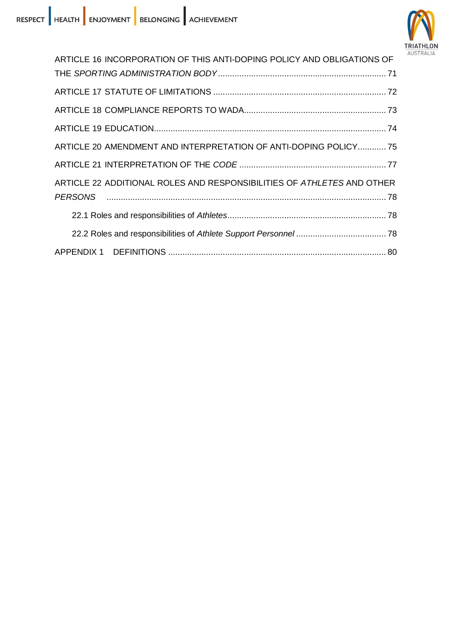

| ARTICLE 16 INCORPORATION OF THIS ANTI-DOPING POLICY AND OBLIGATIONS OF |
|------------------------------------------------------------------------|
|                                                                        |
|                                                                        |
|                                                                        |
|                                                                        |
| ARTICLE 20 AMENDMENT AND INTERPRETATION OF ANTI-DOPING POLICY 75       |
|                                                                        |
| ARTICLE 22 ADDITIONAL ROLES AND RESPONSIBILITIES OF ATHLETES AND OTHER |
|                                                                        |
|                                                                        |
|                                                                        |
|                                                                        |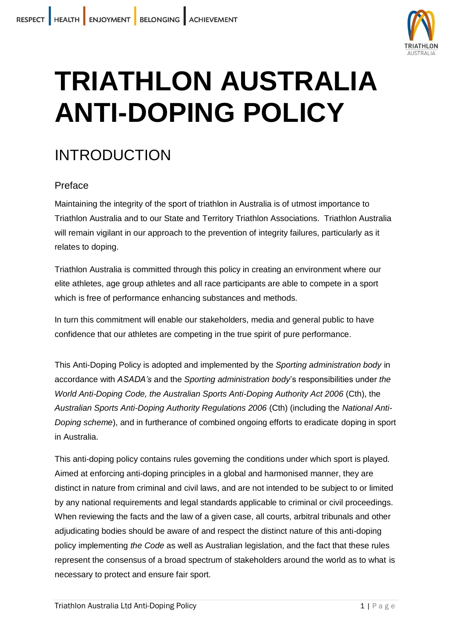

# **TRIATHLON AUSTRALIA ANTI-DOPING POLICY**

### INTRODUCTION

### Preface

Maintaining the integrity of the sport of triathlon in Australia is of utmost importance to Triathlon Australia and to our State and Territory Triathlon Associations. Triathlon Australia will remain vigilant in our approach to the prevention of integrity failures, particularly as it relates to doping.

Triathlon Australia is committed through this policy in creating an environment where our elite athletes, age group athletes and all race participants are able to compete in a sport which is free of performance enhancing substances and methods.

In turn this commitment will enable our stakeholders, media and general public to have confidence that our athletes are competing in the true spirit of pure performance.

This Anti-Doping Policy is adopted and implemented by the *Sporting administration body* in accordance with *ASADA's* and the *Sporting administration body*'s responsibilities under *the World Anti-Doping Code, the Australian Sports Anti-Doping Authority Act 2006* (Cth), the *Australian Sports Anti-Doping Authority Regulations 2006* (Cth) (including the *National Anti-Doping scheme*), and in furtherance of combined ongoing efforts to eradicate doping in sport in Australia.

This anti-doping policy contains rules governing the conditions under which sport is played. Aimed at enforcing anti-doping principles in a global and harmonised manner, they are distinct in nature from criminal and civil laws, and are not intended to be subject to or limited by any national requirements and legal standards applicable to criminal or civil proceedings. When reviewing the facts and the law of a given case, all courts, arbitral tribunals and other adjudicating bodies should be aware of and respect the distinct nature of this anti-doping policy implementing *the Code* as well as Australian legislation, and the fact that these rules represent the consensus of a broad spectrum of stakeholders around the world as to what is necessary to protect and ensure fair sport.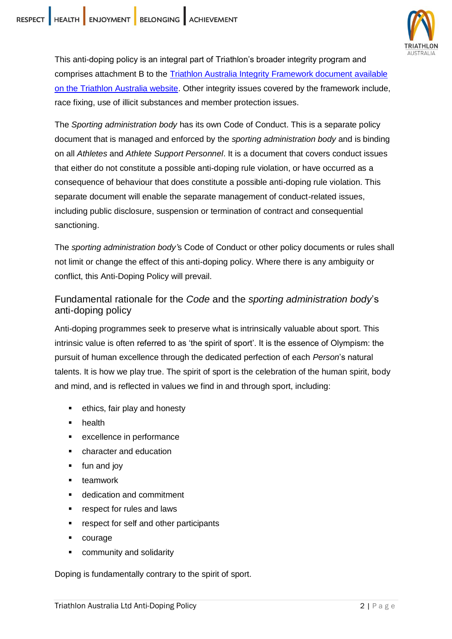

This anti-doping policy is an integral part of Triathlon's broader integrity program and comprises attachment B to the [Triathlon Australia Integrity Framework document](http://www.triathlon.org.au/Resources/Organisational_Resources.htm) available [on the Triathlon Australia website.](http://www.triathlon.org.au/Resources/Organisational_Resources.htm) Other integrity issues covered by the framework include, race fixing, use of illicit substances and member protection issues.

The *Sporting administration body* has its own Code of Conduct. This is a separate policy document that is managed and enforced by the *sporting administration body* and is binding on all *Athletes* and *Athlete Support Personnel*. It is a document that covers conduct issues that either do not constitute a possible anti-doping rule violation, or have occurred as a consequence of behaviour that does constitute a possible anti-doping rule violation. This separate document will enable the separate management of conduct-related issues, including public disclosure, suspension or termination of contract and consequential sanctioning.

The *sporting administration body'*s Code of Conduct or other policy documents or rules shall not limit or change the effect of this anti-doping policy. Where there is any ambiguity or conflict, this Anti-Doping Policy will prevail.

### Fundamental rationale for the *Code* and the *sporting administration body*'s anti-doping policy

Anti-doping programmes seek to preserve what is intrinsically valuable about sport. This intrinsic value is often referred to as 'the spirit of sport'. It is the essence of Olympism: the pursuit of human excellence through the dedicated perfection of each *Person*'s natural talents. It is how we play true. The spirit of sport is the celebration of the human spirit, body and mind, and is reflected in values we find in and through sport, including:

- **EXEC** ethics, fair play and honesty
- **•** health
- excellence in performance
- character and education
- **fun and joy**
- **E** teamwork
- **dedication and commitment**
- **F** respect for rules and laws
- **F** respect for self and other participants
- courage
- **•** community and solidarity

Doping is fundamentally contrary to the spirit of sport.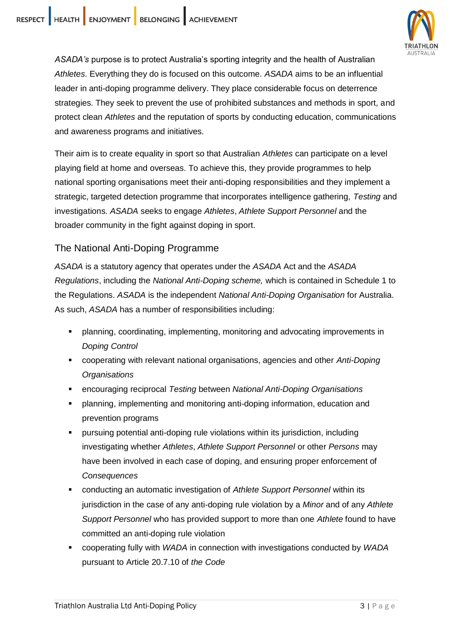

*ASADA's* purpose is to protect Australia's sporting integrity and the health of Australian *Athletes*. Everything they do is focused on this outcome. *ASADA* aims to be an influential leader in anti-doping programme delivery. They place considerable focus on deterrence strategies. They seek to prevent the use of prohibited substances and methods in sport, and protect clean *Athletes* and the reputation of sports by conducting education, communications and awareness programs and initiatives.

Their aim is to create equality in sport so that Australian *Athletes* can participate on a level playing field at home and overseas. To achieve this, they provide programmes to help national sporting organisations meet their anti-doping responsibilities and they implement a strategic, targeted detection programme that incorporates intelligence gathering, *Testing* and investigations. *ASADA* seeks to engage *Athletes*, *Athlete Support Personnel* and the broader community in the fight against doping in sport.

### The National Anti-Doping Programme

*ASADA* is a statutory agency that operates under the *ASADA* Act and the *ASADA Regulations*, including the *National Anti-Doping scheme,* which is contained in Schedule 1 to the Regulations. *ASADA* is the independent *National Anti-Doping Organisation* for Australia. As such, *ASADA* has a number of responsibilities including:

- planning, coordinating, implementing, monitoring and advocating improvements in *Doping Control*
- cooperating with relevant national organisations, agencies and other *Anti-Doping Organisations*
- encouraging reciprocal *Testing* between *National Anti-Doping Organisations*
- planning, implementing and monitoring anti-doping information, education and prevention programs
- pursuing potential anti-doping rule violations within its jurisdiction, including investigating whether *Athletes*, *Athlete Support Personnel* or other *Persons* may have been involved in each case of doping, and ensuring proper enforcement of *Consequences*
- conducting an automatic investigation of *Athlete Support Personnel* within its jurisdiction in the case of any anti-doping rule violation by a *Minor* and of any *Athlete Support Personnel* who has provided support to more than one *Athlete* found to have committed an anti-doping rule violation
- cooperating fully with *WADA* in connection with investigations conducted by *WADA* pursuant to Article 20.7.10 of *the Code*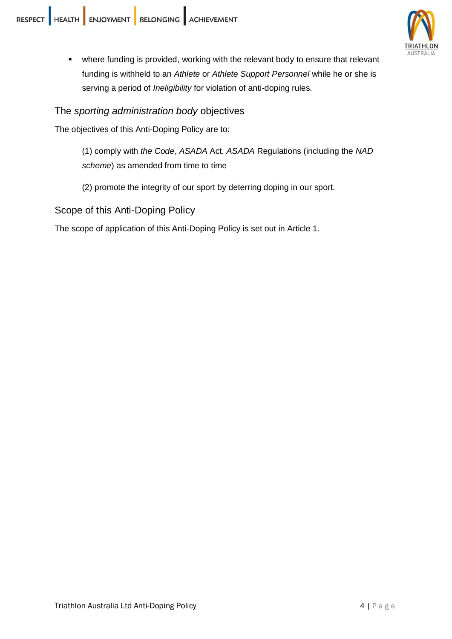

 where funding is provided, working with the relevant body to ensure that relevant funding is withheld to an *Athlete* or *Athlete Support Personnel* while he or she is serving a period of *Ineligibility* for violation of anti-doping rules.

#### The *sporting administration body* objectives

The objectives of this Anti-Doping Policy are to:

(1) comply with *the Code*, *ASADA* Act, *ASADA* Regulations (including the *NAD scheme*) as amended from time to time

(2) promote the integrity of our sport by deterring doping in our sport.

Scope of this Anti-Doping Policy

The scope of application of this Anti-Doping Policy is set out in Article 1.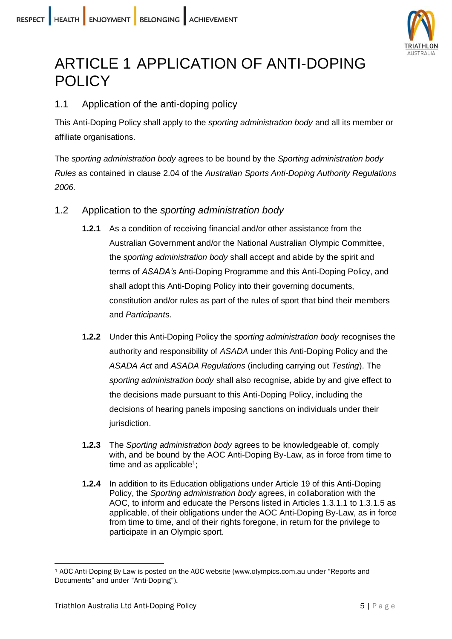

### ARTICLE 1 APPLICATION OF ANTI-DOPING **POLICY**

### 1.1 Application of the anti-doping policy

This Anti-Doping Policy shall apply to the *sporting administration body* and all its member or affiliate organisations.

The *sporting administration body* agrees to be bound by the *Sporting administration body Rules* as contained in clause 2.04 of the *Australian Sports Anti-Doping Authority Regulations 2006.*

### 1.2 Application to the *sporting administration body*

- **1.2.1** As a condition of receiving financial and/or other assistance from the Australian Government and/or the National Australian Olympic Committee, the *sporting administration body* shall accept and abide by the spirit and terms of *ASADA's* Anti-Doping Programme and this Anti-Doping Policy, and shall adopt this Anti-Doping Policy into their governing documents, constitution and/or rules as part of the rules of sport that bind their members and *Participant*s.
- **1.2.2** Under this Anti-Doping Policy the *sporting administration body* recognises the authority and responsibility of *ASADA* under this Anti-Doping Policy and the *ASADA Act* and *ASADA Regulations* (including carrying out *Testing*). The *sporting administration body* shall also recognise, abide by and give effect to the decisions made pursuant to this Anti-Doping Policy, including the decisions of hearing panels imposing sanctions on individuals under their jurisdiction.
- **1.2.3** The *Sporting administration body* agrees to be knowledgeable of, comply with, and be bound by the AOC Anti-Doping By-Law, as in force from time to time and as applicable<sup>1</sup>;
- **1.2.4** In addition to its Education obligations under Article 19 of this Anti-Doping Policy, the *Sporting administration body* agrees, in collaboration with the AOC, to inform and educate the Persons listed in Articles 1.3.1.1 to 1.3.1.5 as applicable, of their obligations under the AOC Anti-Doping By-Law, as in force from time to time, and of their rights foregone, in return for the privilege to participate in an Olympic sport.

<sup>1</sup> AOC Anti-Doping By-Law is posted on the AOC website (www.olympics.com.au under "Reports and Documents" and under "Anti-Doping").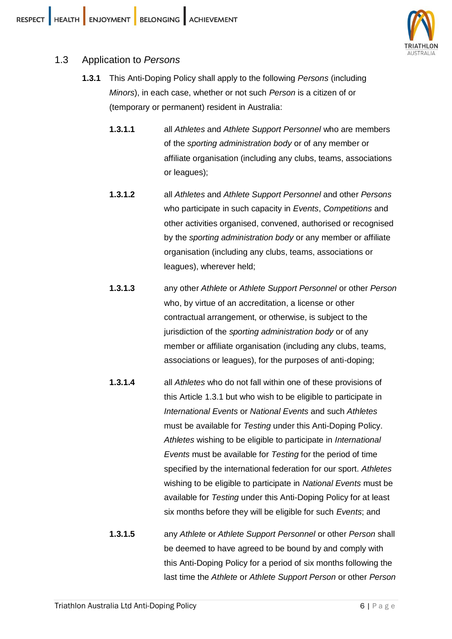### 1.3 Application to *Persons*

- **1.3.1** This Anti-Doping Policy shall apply to the following *Persons* (including *Minors*), in each case, whether or not such *Person* is a citizen of or (temporary or permanent) resident in Australia:
	- **1.3.1.1** all *Athletes* and *Athlete Support Personnel* who are members of the *sporting administration body* or of any member or affiliate organisation (including any clubs, teams, associations or leagues);
	- **1.3.1.2** all *Athletes* and *Athlete Support Personnel* and other *Persons* who participate in such capacity in *Events*, *Competitions* and other activities organised, convened, authorised or recognised by the *sporting administration body* or any member or affiliate organisation (including any clubs, teams, associations or leagues), wherever held;
	- **1.3.1.3** any other *Athlete* or *Athlete Support Personnel* or other *Person* who, by virtue of an accreditation, a license or other contractual arrangement, or otherwise, is subject to the jurisdiction of the *sporting administration body* or of any member or affiliate organisation (including any clubs, teams, associations or leagues), for the purposes of anti-doping;
	- **1.3.1.4** all *Athletes* who do not fall within one of these provisions of this Article 1.3.1 but who wish to be eligible to participate in *International Events* or *National Events* and such *Athletes* must be available for *Testing* under this Anti-Doping Policy. *Athletes* wishing to be eligible to participate in *International Events* must be available for *Testing* for the period of time specified by the international federation for our sport. *Athletes* wishing to be eligible to participate in *National Events* must be available for *Testing* under this Anti-Doping Policy for at least six months before they will be eligible for such *Events*; and
	- **1.3.1.5** any *Athlete* or *Athlete Support Personnel* or other *Person* shall be deemed to have agreed to be bound by and comply with this Anti-Doping Policy for a period of six months following the last time the *Athlete* or *Athlete Support Person* or other *Person*

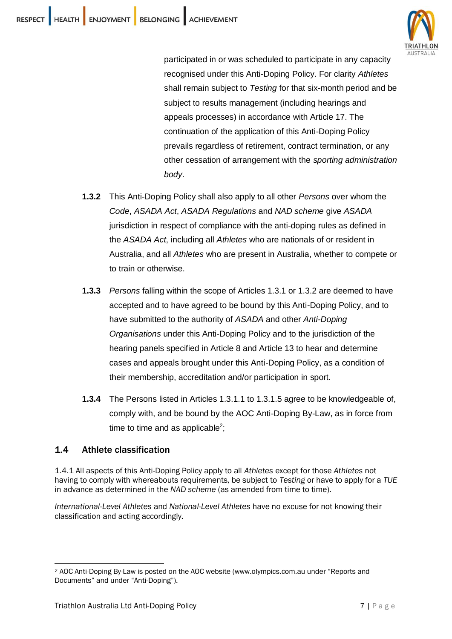

participated in or was scheduled to participate in any capacity recognised under this Anti-Doping Policy. For clarity *Athletes* shall remain subject to *Testing* for that six-month period and be subject to results management (including hearings and appeals processes) in accordance with Article 17. The continuation of the application of this Anti-Doping Policy prevails regardless of retirement, contract termination, or any other cessation of arrangement with the *sporting administration body*.

- **1.3.2** This Anti-Doping Policy shall also apply to all other *Persons* over whom the *Code*, *ASADA Act*, *ASADA Regulations* and *NAD scheme* give *ASADA* jurisdiction in respect of compliance with the anti-doping rules as defined in the *ASADA Act*, including all *Athletes* who are nationals of or resident in Australia, and all *Athletes* who are present in Australia, whether to compete or to train or otherwise.
- **1.3.3** *Persons* falling within the scope of Articles 1.3.1 or 1.3.2 are deemed to have accepted and to have agreed to be bound by this Anti-Doping Policy, and to have submitted to the authority of *ASADA* and other *Anti-Doping Organisations* under this Anti-Doping Policy and to the jurisdiction of the hearing panels specified in Article 8 and Article 13 to hear and determine cases and appeals brought under this Anti-Doping Policy, as a condition of their membership, accreditation and/or participation in sport.
- **1.3.4** The Persons listed in Articles 1.3.1.1 to 1.3.1.5 agree to be knowledgeable of, comply with, and be bound by the AOC Anti-Doping By-Law, as in force from time to time and as applicable<sup>2</sup>;

### 1.4 Athlete classification

1.4.1 All aspects of this Anti-Doping Policy apply to all *Athletes* except for those *Athletes* not having to comply with whereabouts requirements, be subject to *Testing* or have to apply for a *TUE*  in advance as determined in the *NAD scheme* (as amended from time to time).

*International-Level Athletes* and *National-Level Athletes* have no excuse for not knowing their classification and acting accordingly.

<sup>2</sup> AOC Anti-Doping By-Law is posted on the AOC website (www.olympics.com.au under "Reports and Documents" and under "Anti-Doping").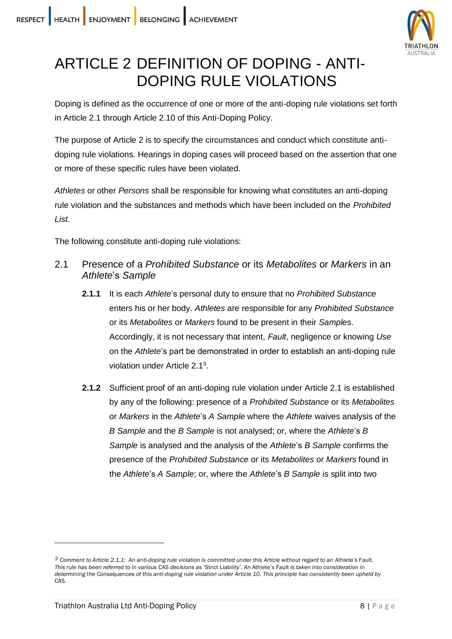

### ARTICLE 2 DEFINITION OF DOPING - ANTI-DOPING RULE VIOLATIONS

Doping is defined as the occurrence of one or more of the anti-doping rule violations set forth in Article 2.1 through Article 2.10 of this Anti-Doping Policy.

The purpose of Article 2 is to specify the circumstances and conduct which constitute antidoping rule violations. Hearings in doping cases will proceed based on the assertion that one or more of these specific rules have been violated.

*Athletes* or other *Persons* shall be responsible for knowing what constitutes an anti-doping rule violation and the substances and methods which have been included on the *Prohibited List*.

The following constitute anti-doping rule violations:

- 2.1 Presence of a *Prohibited Substance* or its *Metabolites* or *Markers* in an *Athlete*'s *Sample*
	- **2.1.1** It is each *Athlete*'s personal duty to ensure that no *Prohibited Substance* enters his or her body. *Athletes* are responsible for any *Prohibited Substance* or its *Metabolites* or *Markers* found to be present in their *Sample*s. Accordingly, it is not necessary that intent, *Fault*, negligence or knowing *Use* on the *Athlete*'s part be demonstrated in order to establish an anti-doping rule violation under Article 2.1<sup>3</sup>.
	- **2.1.2** Sufficient proof of an anti-doping rule violation under Article 2.1 is established by any of the following: presence of a *Prohibited Substance* or its *Metabolites* or *Markers* in the *Athlete*'s *A Sample* where the *Athlete* waives analysis of the *B Sample* and the *B Sample* is not analysed; or, where the *Athlete*'s *B Sample* is analysed and the analysis of the *Athlete*'s *B Sample* confirms the presence of the *Prohibited Substance* or its *Metabolites* or *Markers* found in the *Athlete*'s *A Sample*; or, where the *Athlete*'s *B Sample* is split into two

 $\overline{a}$ 

*<sup>3</sup> Comment to Article 2.1.1: An anti-doping rule violation is committed under this Article without regard to an* Athlete*'s* Fault*. This rule has been referred to in various* CAS *decisions as* 'Strict Liability'*. An* Athlete*'s* Fault *is taken into consideration in determining the* Consequences *of this anti-doping rule violation under Article 10. This principle has consistently been upheld by*  CAS*.*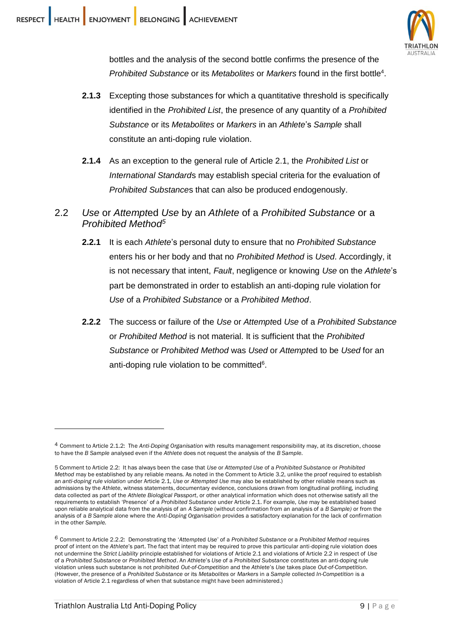

bottles and the analysis of the second bottle confirms the presence of the *Prohibited Substance* or its *Metabolites* or *Markers* found in the first bottle<sup>4</sup> .

- **2.1.3** Excepting those substances for which a quantitative threshold is specifically identified in the *Prohibited List*, the presence of any quantity of a *Prohibited Substance* or its *Metabolites* or *Markers* in an *Athlete*'s *Sample* shall constitute an anti-doping rule violation.
- **2.1.4** As an exception to the general rule of Article 2.1, the *Prohibited List* or *International Standard*s may establish special criteria for the evaluation of *Prohibited Substance*s that can also be produced endogenously.

### 2.2 *Use* or *Attempt*ed *Use* by an *Athlete* of a *Prohibited Substance* or a *Prohibited Method<sup>5</sup>*

- **2.2.1** It is each *Athlete*'s personal duty to ensure that no *Prohibited Substance* enters his or her body and that no *Prohibited Method* is *Used*. Accordingly, it is not necessary that intent, *Fault*, negligence or knowing *Use* on the *Athlete*'s part be demonstrated in order to establish an anti-doping rule violation for *Use* of a *Prohibited Substance* or a *Prohibited Method*.
- **2.2.2** The success or failure of the *Use* or *Attempt*ed *Use* of a *Prohibited Substance* or *Prohibited Method* is not material. It is sufficient that the *Prohibited Substance* or *Prohibited Method* was *Used* or *Attempt*ed to be *Used* for an anti-doping rule violation to be committed<sup>6</sup>.

<sup>4</sup> Comment to Article 2.1.2: The *Anti-Doping Organisation* with results management responsibility may, at its discretion, choose to have the *B Sample* analysed even if the *Athlete* does not request the analysis of the *B Sample*.

<sup>5</sup> Comment to Article 2.2: It has always been the case that *Use* or *Attempted Use* of a *Prohibited Substance* or *Prohibited Method* may be established by any reliable means. As noted in the Comment to Article 3.2, unlike the proof required to establish an *anti-doping rule violation* under Article 2.1, *Use* or *Attempted Use* may also be established by other reliable means such as admissions by the *Athlete*, witness statements, documentary evidence, conclusions drawn from longitudinal profiling, including data collected as part of the *Athlete Biological Passport*, or other analytical information which does not otherwise satisfy all the requirements to establish 'Presence' of a *Prohibited Substance* under Article 2.1. For example, *Use* may be established based upon reliable analytical data from the analysis of an *A Sample* (without confirmation from an analysis of a *B Sample)* or from the analysis of a *B Sample* alone where the *Anti-Doping Organisation* provides a satisfactory explanation for the lack of confirmation in the other *Sample.*

*<sup>6</sup>* Comment to Article 2.2.2: Demonstrating the '*Attempt*ed *Use*' of a *Prohibited Substance* or a *Prohibited Method* requires proof of intent on the *Athlete*'s part. The fact that intent may be required to prove this particular anti-doping rule violation does not undermine the *Strict Liability* principle established for violations of Article 2.1 and violations of Article 2.2 in respect of *Use* of a *Prohibited Substance* or *Prohibited Method*. An *Athlete*'s *Use* of a *Prohibited Substance* constitutes an anti-doping rule violation unless such substance is not prohibited *Out-of-Competition* and the *Athlete*'s *Use* takes place *Out-of-Competition*. (However, the presence of a *Prohibited Substance* or its *Metabolites* or *Markers* in a *Sample* collected *In-Competition* is a violation of Article 2.1 regardless of when that substance might have been administered.)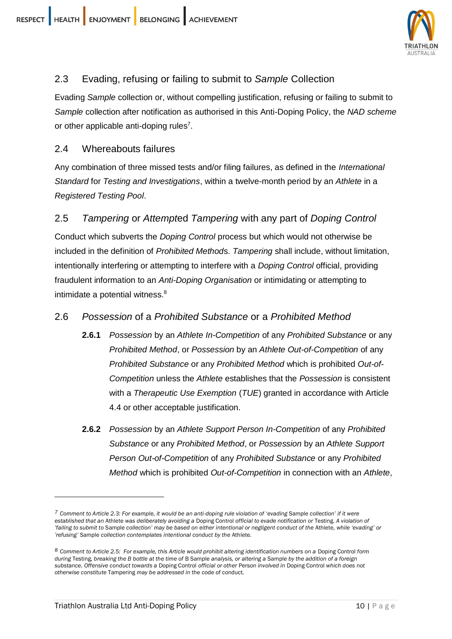

### 2.3 Evading, refusing or failing to submit to *Sample* Collection

Evading *Sample* collection or, without compelling justification, refusing or failing to submit to *Sample* collection after notification as authorised in this Anti-Doping Policy, the *NAD scheme* or other applicable anti-doping rules<sup>7</sup>.

#### 2.4 Whereabouts failures

Any combination of three missed tests and/or filing failures, as defined in the *International Standard* for *Testing and Investigations*, within a twelve-month period by an *Athlete* in a *Registered Testing Pool*.

### 2.5 *Tampering* or *Attempt*ed *Tampering* with any part of *Doping Control*

Conduct which subverts the *Doping Control* process but which would not otherwise be included in the definition of *Prohibited Method*s. *Tampering* shall include, without limitation, intentionally interfering or attempting to interfere with a *Doping Control* official, providing fraudulent information to an *Anti-Doping Organisation* or intimidating or attempting to intimidate a potential witness.<sup>8</sup>

#### 2.6 *Possession* of a *Prohibited Substance* or a *Prohibited Method*

- **2.6.1** *Possession* by an *Athlete In-Competition* of any *Prohibited Substance* or any *Prohibited Method*, or *Possession* by an *Athlete Out-of-Competition* of any *Prohibited Substance* or any *Prohibited Method* which is prohibited *Out-of-Competition* unless the *Athlete* establishes that the *Possession* is consistent with a *Therapeutic Use Exemption* (*TUE*) granted in accordance with Article 4.4 or other acceptable justification.
- **2.6.2** *Possession* by an *Athlete Support Person In-Competition* of any *Prohibited Substance* or any *Prohibited Method*, or *Possession* by an *Athlete Support Person Out-of-Competition* of any *Prohibited Substance* or any *Prohibited Method* which is prohibited *Out-of-Competition* in connection with an *Athlete*,

 $\overline{a}$ 

*<sup>7</sup>* Comment to Article 2.3: For example, it would be an anti-doping rule violation of 'evading Sample collection' if it were *established that an* Athlete *was deliberately avoiding a* Doping Control *official to evade notification or* Testing*. A violation of 'failing to submit to* Sample *collection' may be based on either intentional or negligent conduct of the* Athlete*, while 'evading' or 'refusing'* Sample *collection contemplates intentional conduct by the* Athlete*.*

*<sup>8</sup>* Comment to Article 2.5: For example, this Article would prohibit altering identification numbers on a Doping Control form *during* Testing*, breaking the B bottle at the time of* B Sample *analysis, or altering a* Sample *by the addition of a foreign substance. Offensive conduct towards a* Doping Control *official or other* Person *involved in* Doping Control *which does not otherwise constitute* Tampering *may be addressed in* the code of conduct*.*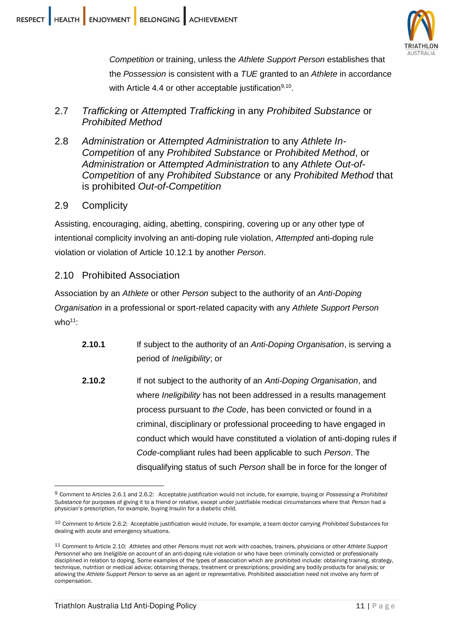

*Competition* or training, unless the *Athlete Support Person* establishes that the *Possession* is consistent with a *TUE* granted to an *Athlete* in accordance with Article 4.4 or other acceptable justification<sup>9,10</sup>.

- 2.7 *Trafficking* or *Attempt*ed *Trafficking* in any *Prohibited Substance* or *Prohibited Method*
- 2.8 *Administration* or *Attempted Administration* to any *Athlete In-Competition* of any *Prohibited Substance* or *Prohibited Method*, or *Administration* or *Attempted Administration* to any *Athlete Out-of-Competition* of any *Prohibited Substance* or any *Prohibited Method* that is prohibited *Out-of-Competition*

#### 2.9 Complicity

-

Assisting, encouraging, aiding, abetting, conspiring, covering up or any other type of intentional complicity involving an anti-doping rule violation, *Attempted* anti-doping rule violation or violation of Article 10.12.1 by another *Person*.

#### 2.10 Prohibited Association

Association by an *Athlete* or other *Person* subject to the authority of an *Anti-Doping Organisation* in a professional or sport-related capacity with any *Athlete Support Person* who<sup>11.</sup>

- **2.10.1** If subject to the authority of an *Anti-Doping Organisation*, is serving a period of *Ineligibility*; or
- **2.10.2** If not subject to the authority of an *Anti-Doping Organisation*, and where *Ineligibility* has not been addressed in a results management process pursuant to *the Code*, has been convicted or found in a criminal, disciplinary or professional proceeding to have engaged in conduct which would have constituted a violation of anti-doping rules if *Code*-compliant rules had been applicable to such *Person*. The disqualifying status of such *Person* shall be in force for the longer of

<sup>9</sup> Comment to Articles 2.6.1 and 2.6.2: Acceptable justification would not include, for example, buying or *Possessing a Prohibited Substance* for purposes of giving it to a friend or relative, except under justifiable medical circumstances where that *Person* had a physician's prescription, for example, buying Insulin for a diabetic child.

<sup>10</sup> Comment to Article 2.6.2: Acceptable justification would include, for example, a team doctor carrying *Prohibited Substance*s for dealing with acute and emergency situations.

<sup>11</sup> Comment to Article 2.10: *Athletes* and other *Persons* must not work with coaches, trainers, physicians or other *Athlete Support Personnel* who are *Ineligible* on account of an anti-doping rule violation or who have been criminally convicted or professionally disciplined in relation to doping. Some examples of the types of association which are prohibited include: obtaining training, strategy, technique, nutrition or medical advice; obtaining therapy, treatment or prescriptions; providing any bodily products for anal ysis; or allowing the *Athlete Support Person* to serve as an agent or representative. Prohibited association need not involve any form of compensation.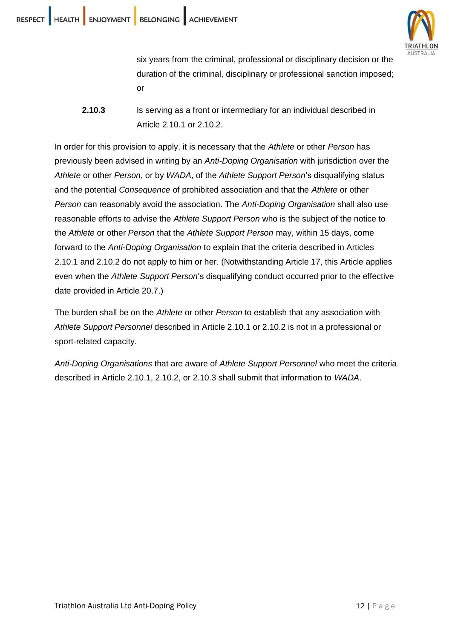

six years from the criminal, professional or disciplinary decision or the duration of the criminal, disciplinary or professional sanction imposed; or

**2.10.3** Is serving as a front or intermediary for an individual described in Article 2.10.1 or 2.10.2.

In order for this provision to apply, it is necessary that the *Athlete* or other *Person* has previously been advised in writing by an *Anti-Doping Organisation* with jurisdiction over the *Athlete* or other *Person*, or by *WADA*, of the *Athlete Support Person*'s disqualifying status and the potential *Consequence* of prohibited association and that the *Athlete* or other *Person* can reasonably avoid the association. The *Anti-Doping Organisation* shall also use reasonable efforts to advise the *Athlete Support Person* who is the subject of the notice to the *Athlete* or other *Person* that the *Athlete Support Person* may, within 15 days, come forward to the *Anti-Doping Organisation* to explain that the criteria described in Articles 2.10.1 and 2.10.2 do not apply to him or her. (Notwithstanding Article 17, this Article applies even when the *Athlete Support Person*'s disqualifying conduct occurred prior to the effective date provided in Article 20.7.)

The burden shall be on the *Athlete* or other *Person* to establish that any association with *Athlete Support Personnel* described in Article 2.10.1 or 2.10.2 is not in a professional or sport-related capacity.

*Anti-Doping Organisations* that are aware of *Athlete Support Personnel* who meet the criteria described in Article 2.10.1, 2.10.2, or 2.10.3 shall submit that information to *WADA*.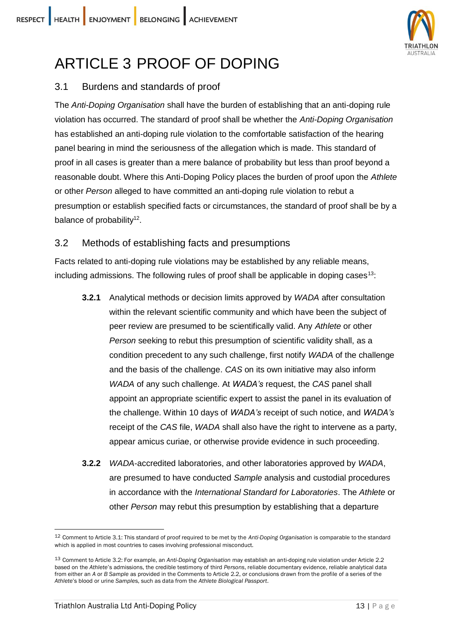

### ARTICLE 3 PROOF OF DOPING

### 3.1 Burdens and standards of proof

The *Anti-Doping Organisation* shall have the burden of establishing that an anti-doping rule violation has occurred. The standard of proof shall be whether the *Anti-Doping Organisation* has established an anti-doping rule violation to the comfortable satisfaction of the hearing panel bearing in mind the seriousness of the allegation which is made. This standard of proof in all cases is greater than a mere balance of probability but less than proof beyond a reasonable doubt. Where this Anti-Doping Policy places the burden of proof upon the *Athlete* or other *Person* alleged to have committed an anti-doping rule violation to rebut a presumption or establish specified facts or circumstances, the standard of proof shall be by a balance of probability<sup>12</sup>.

### 3.2 Methods of establishing facts and presumptions

Facts related to anti-doping rule violations may be established by any reliable means, including admissions. The following rules of proof shall be applicable in doping cases<sup>13:</sup>

- **3.2.1** Analytical methods or decision limits approved by *WADA* after consultation within the relevant scientific community and which have been the subject of peer review are presumed to be scientifically valid. Any *Athlete* or other *Person* seeking to rebut this presumption of scientific validity shall, as a condition precedent to any such challenge, first notify *WADA* of the challenge and the basis of the challenge. *CAS* on its own initiative may also inform *WADA* of any such challenge. At *WADA's* request, the *CAS* panel shall appoint an appropriate scientific expert to assist the panel in its evaluation of the challenge. Within 10 days of *WADA's* receipt of such notice, and *WADA's* receipt of the *CAS* file, *WADA* shall also have the right to intervene as a party, appear amicus curiae, or otherwise provide evidence in such proceeding.
- **3.2.2** *WADA*-accredited laboratories, and other laboratories approved by *WADA*, are presumed to have conducted *Sample* analysis and custodial procedures in accordance with the *International Standard for Laboratories*. The *Athlete* or other *Person* may rebut this presumption by establishing that a departure

<sup>12</sup> Comment to Article 3.1: This standard of proof required to be met by the *Anti-Doping Organisation* is comparable to the standard which is applied in most countries to cases involving professional misconduct.

<sup>13</sup> Comment to Article 3.2: For example, an *Anti-Doping Organisation* may establish an anti-doping rule violation under Article 2.2 based on the *Athlete*'s admissions, the credible testimony of third *Persons*, reliable documentary evidence, reliable analytical data from either an *A* or *B Sample* as provided in the Comments to Article 2.2, or conclusions drawn from the profile of a series of the *Athlete*'s blood or urine *Sample*s, such as data from the *Athlete Biological Passport*.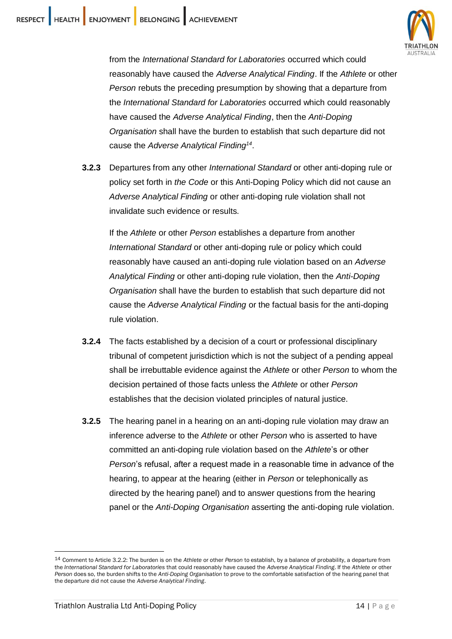

from the *International Standard for Laboratories* occurred which could reasonably have caused the *Adverse Analytical Finding*. If the *Athlete* or other *Person* rebuts the preceding presumption by showing that a departure from the *International Standard for Laboratories* occurred which could reasonably have caused the *Adverse Analytical Finding*, then the *Anti-Doping Organisation* shall have the burden to establish that such departure did not cause the *Adverse Analytical Finding<sup>14</sup>* .

**3.2.3** Departures from any other *International Standard* or other anti-doping rule or policy set forth in *the Code* or this Anti-Doping Policy which did not cause an *Adverse Analytical Finding* or other anti-doping rule violation shall not invalidate such evidence or results.

If the *Athlete* or other *Person* establishes a departure from another *International Standard* or other anti-doping rule or policy which could reasonably have caused an anti-doping rule violation based on an *Adverse Analytical Finding* or other anti-doping rule violation, then the *Anti-Doping Organisation* shall have the burden to establish that such departure did not cause the *Adverse Analytical Finding* or the factual basis for the anti-doping rule violation.

- **3.2.4** The facts established by a decision of a court or professional disciplinary tribunal of competent jurisdiction which is not the subject of a pending appeal shall be irrebuttable evidence against the *Athlete* or other *Person* to whom the decision pertained of those facts unless the *Athlete* or other *Person* establishes that the decision violated principles of natural justice.
- **3.2.5** The hearing panel in a hearing on an anti-doping rule violation may draw an inference adverse to the *Athlete* or other *Person* who is asserted to have committed an anti-doping rule violation based on the *Athlete*'s or other *Person*'s refusal, after a request made in a reasonable time in advance of the hearing, to appear at the hearing (either in *Person* or telephonically as directed by the hearing panel) and to answer questions from the hearing panel or the *Anti-Doping Organisation* asserting the anti-doping rule violation.

<sup>14</sup> Comment to Article 3.2.2: The burden is on the *Athlete* or other *Person* to establish, by a balance of probability, a departure from the *International Standard for Laboratories* that could reasonably have caused the *Adverse Analytical Finding*. If the *Athlete* or other *Person* does so, the burden shifts to the *Anti-Doping Organisation* to prove to the comfortable satisfaction of the hearing panel that the departure did not cause the *Adverse Analytical Finding*.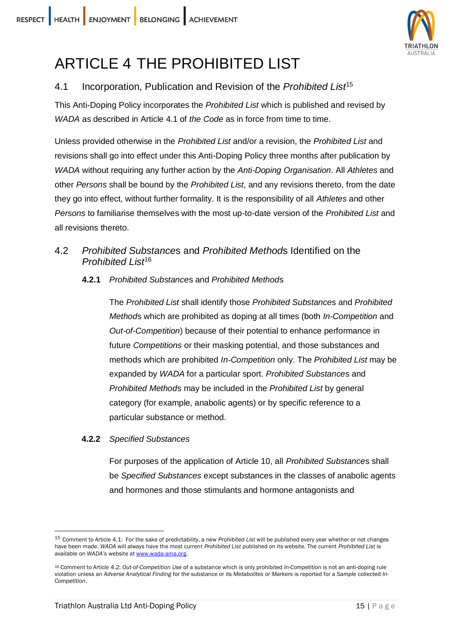

### ARTICLE 4 THE PROHIBITED LIST

### 4.1 Incorporation, Publication and Revision of the *Prohibited List*<sup>15</sup>

This Anti-Doping Policy incorporates the *Prohibited List* which is published and revised by *WADA* as described in Article 4.1 of *the Code* as in force from time to time.

Unless provided otherwise in the *Prohibited List* and/or a revision, the *Prohibited List* and revisions shall go into effect under this Anti-Doping Policy three months after publication by *WADA* without requiring any further action by the *Anti-Doping Organisation*. All *Athletes* and other *Persons* shall be bound by the *Prohibited List*, and any revisions thereto, from the date they go into effect, without further formality. It is the responsibility of all *Athletes* and other *Persons* to familiarise themselves with the most up-to-date version of the *Prohibited List* and all revisions thereto.

### 4.2 *Prohibited Substance*s and *Prohibited Method*s Identified on the *Prohibited List*<sup>16</sup>

#### **4.2.1** *Prohibited Substance*s and *Prohibited Method*s

The *Prohibited List* shall identify those *Prohibited Substance*s and *Prohibited Method*s which are prohibited as doping at all times (both *In-Competition* and *Out-of-Competition*) because of their potential to enhance performance in future *Competitions* or their masking potential, and those substances and methods which are prohibited *In-Competition* only. The *Prohibited List* may be expanded by *WADA* for a particular sport. *Prohibited Substance*s and *Prohibited Method*s may be included in the *Prohibited List* by general category (for example, anabolic agents) or by specific reference to a particular substance or method.

#### **4.2.2** *Specified Substances*

For purposes of the application of Article 10, all *Prohibited Substance*s shall be *Specified Substances* except substances in the classes of anabolic agents and hormones and those stimulants and hormone antagonists and

 $\overline{a}$ 

<sup>15</sup> Comment to Article 4.1: For the sake of predictability, a new *Prohibited List* will be published every year whether or not changes have been made. *WADA* will always have the most current *Prohibited List* published on its website. The current *Prohibited List* is available on *WADA's* website at [www.wada-ama.org.](http://www.wada-ama.org/)

<sup>16</sup> Comment to Article 4.2: *Out-of-Competition Use* of a substance which is only prohibited *In-Competition* is not an anti-doping rule violation unless an *Adverse Analytical Finding* for the substance or its *Metabolites* or *Markers* is reported for a *Sample* collected *In-Competition*.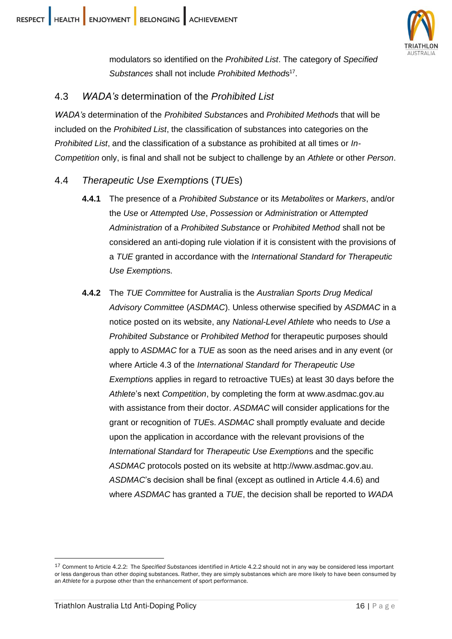

modulators so identified on the *Prohibited List*. The category of *Specified Substances* shall not include *Prohibited Method*s 17 .

### 4.3 *WADA's* determination of the *Prohibited List*

*WADA's* determination of the *Prohibited Substance*s and *Prohibited Method*s that will be included on the *Prohibited List*, the classification of substances into categories on the *Prohibited List*, and the classification of a substance as prohibited at all times or *In-Competition* only, is final and shall not be subject to challenge by an *Athlete* or other *Person*.

### 4.4 *Therapeutic Use Exemption*s (*TUE*s)

- **4.4.1** The presence of a *Prohibited Substance* or its *Metabolites* or *Markers*, and/or the *Use* or *Attempt*ed *Use*, *Possession* or *Administration* or *Attempted Administration* of a *Prohibited Substance* or *Prohibited Method* shall not be considered an anti-doping rule violation if it is consistent with the provisions of a *TUE* granted in accordance with the *International Standard for Therapeutic Use Exemption*s.
- **4.4.2** The *TUE Committee* for Australia is the *Australian Sports Drug Medical Advisory Committee* (*ASDMAC*). Unless otherwise specified by *ASDMAC* in a notice posted on its website, any *National-Level Athlete* who needs to *Use* a *Prohibited Substance* or *Prohibited Method* for therapeutic purposes should apply to *ASDMAC* for a *TUE* as soon as the need arises and in any event (or where Article 4.3 of the *International Standard for Therapeutic Use Exemption*s applies in regard to retroactive TUEs) at least 30 days before the *Athlete*'s next *Competition*, by completing the form at www.asdmac.gov.au with assistance from their doctor. *ASDMAC* will consider applications for the grant or recognition of *TUE*s. *ASDMAC* shall promptly evaluate and decide upon the application in accordance with the relevant provisions of the *International Standard* for *Therapeutic Use Exemption*s and the specific *ASDMAC* protocols posted on its website at http://www.asdmac.gov.au. *ASDMAC*'s decision shall be final (except as outlined in Article 4.4.6) and where *ASDMAC* has granted a *TUE*, the decision shall be reported to *WADA*

<sup>17</sup> Comment to Article 4.2.2: The *Specified Substances* identified in Article 4.2.2 should not in any way be considered less important or less dangerous than other doping substances. Rather, they are simply substances which are more likely to have been consumed by an *Athlete* for a purpose other than the enhancement of sport performance.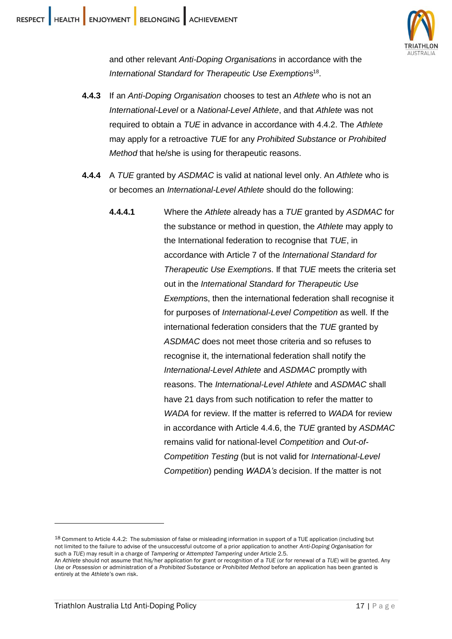

and other relevant *Anti-Doping Organisations* in accordance with the *International Standard for Therapeutic Use Exemption*s 18 .

- **4.4.3** If an *Anti-Doping Organisation* chooses to test an *Athlete* who is not an *International-Level* or a *National-Level Athlete*, and that *Athlete* was not required to obtain a *TUE* in advance in accordance with 4.4.2. The *Athlete* may apply for a retroactive *TUE* for any *Prohibited Substance* or *Prohibited Method* that he/she is using for therapeutic reasons.
- **4.4.4** A *TUE* granted by *ASDMAC* is valid at national level only. An *Athlete* who is or becomes an *International-Level Athlete* should do the following:
	- **4.4.4.1** Where the *Athlete* already has a *TUE* granted by *ASDMAC* for the substance or method in question, the *Athlete* may apply to the International federation to recognise that *TUE*, in accordance with Article 7 of the *International Standard for Therapeutic Use Exemption*s. If that *TUE* meets the criteria set out in the *International Standard for Therapeutic Use Exemption*s, then the international federation shall recognise it for purposes of *International-Level Competition* as well. If the international federation considers that the *TUE* granted by *ASDMAC* does not meet those criteria and so refuses to recognise it, the international federation shall notify the *International-Level Athlete* and *ASDMAC* promptly with reasons. The *International-Level Athlete* and *ASDMAC* shall have 21 days from such notification to refer the matter to *WADA* for review. If the matter is referred to *WADA* for review in accordance with Article 4.4.6, the *TUE* granted by *ASDMAC* remains valid for national-level *Competition* and *Out-of-Competition Testing* (but is not valid for *International-Level Competition*) pending *WADA's* decision. If the matter is not

 $\overline{a}$ 

<sup>18</sup> Comment to Article 4.4.2: The submission of false or misleading information in support of a TUE application (including but not limited to the failure to advise of the unsuccessful outcome of a prior application to another *Anti-Doping Organisation* for such a *TUE*) may result in a charge of *Tampering* or *Attempted Tampering* under Article 2.5.

An *Athlete* should not assume that his/her application for grant or recognition of a *TUE* (or for renewal of a *TUE*) will be granted. Any *Use* or *Possession* or administration of a *Prohibited Substance* or *Prohibited Method* before an application has been granted is entirely at the *Athlete*'s own risk.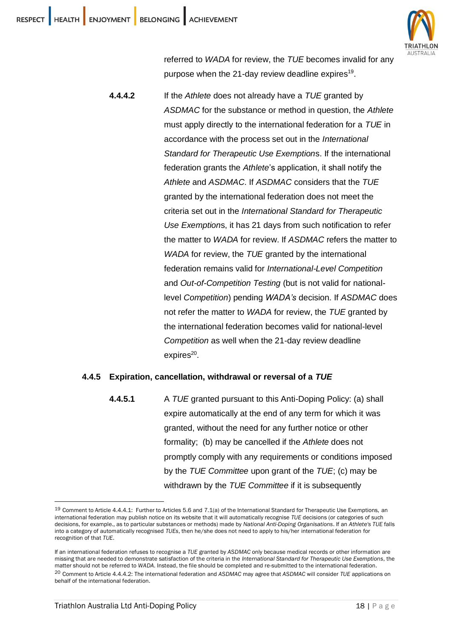

referred to *WADA* for review, the *TUE* becomes invalid for any purpose when the 21-day review deadline expires<sup>19</sup>.

**4.4.4.2** If the *Athlete* does not already have a *TUE* granted by *ASDMAC* for the substance or method in question, the *Athlete* must apply directly to the international federation for a *TUE* in accordance with the process set out in the *International Standard for Therapeutic Use Exemption*s. If the international federation grants the *Athlete*'s application, it shall notify the *Athlete* and *ASDMAC*. If *ASDMAC* considers that the *TUE* granted by the international federation does not meet the criteria set out in the *International Standard for Therapeutic Use Exemption*s, it has 21 days from such notification to refer the matter to *WADA* for review. If *ASDMAC* refers the matter to *WADA* for review, the *TUE* granted by the international federation remains valid for *International-Level Competition* and *Out-of-Competition Testing* (but is not valid for nationallevel *Competition*) pending *WADA's* decision. If *ASDMAC* does not refer the matter to *WADA* for review, the *TUE* granted by the international federation becomes valid for national-level *Competition* as well when the 21-day review deadline expires<sup>20</sup>.

#### **4.4.5 Expiration, cancellation, withdrawal or reversal of a** *TUE*

**4.4.5.1** A *TUE* granted pursuant to this Anti-Doping Policy: (a) shall expire automatically at the end of any term for which it was granted, without the need for any further notice or other formality; (b) may be cancelled if the *Athlete* does not promptly comply with any requirements or conditions imposed by the *TUE Committee* upon grant of the *TUE*; (c) may be withdrawn by the *TUE Committee* if it is subsequently

1

<sup>19</sup> Comment to Article 4.4.4.1: Further to Articles 5.6 and 7.1(a) of the International Standard for Therapeutic Use Exemptions, an international federation may publish notice on its website that it will automatically recognise *TUE* decisions (or categories of such decisions, for example., as to particular substances or methods) made by *National Anti-Doping Organisations*. If an *Athlete's TUE* falls into a category of automatically recognised *TUEs*, then he/she does not need to apply to his/her international federation for recognition of that *TUE*.

If an international federation refuses to recognise a *TUE* granted by *ASDMAC* only because medical records or other information are missing that are needed to demonstrate satisfaction of the criteria in the *International Standard for Therapeutic Use Exemptions*, the matter should not be referred to *WADA*. Instead, the file should be completed and re-submitted to the international federation*.* 20 Comment to Article 4.4.4.2: The international federation and *ASDMAC* may agree that *ASDMAC* will consider *TUE* applications on behalf of the international federation.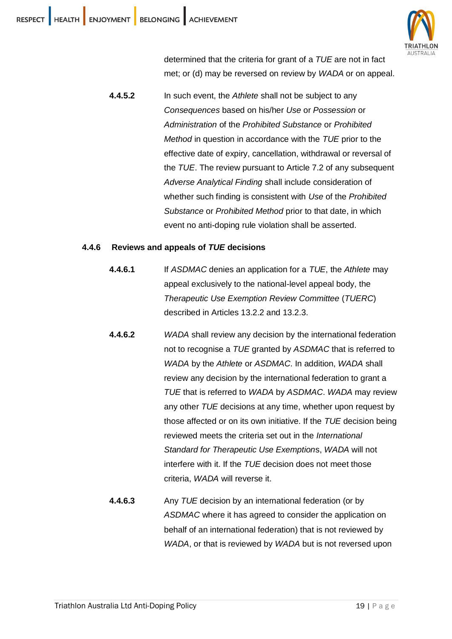

determined that the criteria for grant of a *TUE* are not in fact met; or (d) may be reversed on review by *WADA* or on appeal.

**4.4.5.2** In such event, the *Athlete* shall not be subject to any *Consequences* based on his/her *Use* or *Possession* or *Administration* of the *Prohibited Substance* or *Prohibited Method* in question in accordance with the *TUE* prior to the effective date of expiry, cancellation, withdrawal or reversal of the *TUE*. The review pursuant to Article 7.2 of any subsequent *Adverse Analytical Finding* shall include consideration of whether such finding is consistent with *Use* of the *Prohibited Substance* or *Prohibited Method* prior to that date, in which event no anti-doping rule violation shall be asserted.

#### **4.4.6 Reviews and appeals of** *TUE* **decisions**

- **4.4.6.1** If *ASDMAC* denies an application for a *TUE*, the *Athlete* may appeal exclusively to the national-level appeal body, the *Therapeutic Use Exemption Review Committee* (*TUERC*) described in Articles 13.2.2 and 13.2.3.
- **4.4.6.2** *WADA* shall review any decision by the international federation not to recognise a *TUE* granted by *ASDMAC* that is referred to *WADA* by the *Athlete* or *ASDMAC*. In addition, *WADA* shall review any decision by the international federation to grant a *TUE* that is referred to *WADA* by *ASDMAC*. *WADA* may review any other *TUE* decisions at any time, whether upon request by those affected or on its own initiative. If the *TUE* decision being reviewed meets the criteria set out in the *International Standard for Therapeutic Use Exemption*s, *WADA* will not interfere with it. If the *TUE* decision does not meet those criteria, *WADA* will reverse it.
- **4.4.6.3** Any *TUE* decision by an international federation (or by *ASDMAC* where it has agreed to consider the application on behalf of an international federation) that is not reviewed by *WADA*, or that is reviewed by *WADA* but is not reversed upon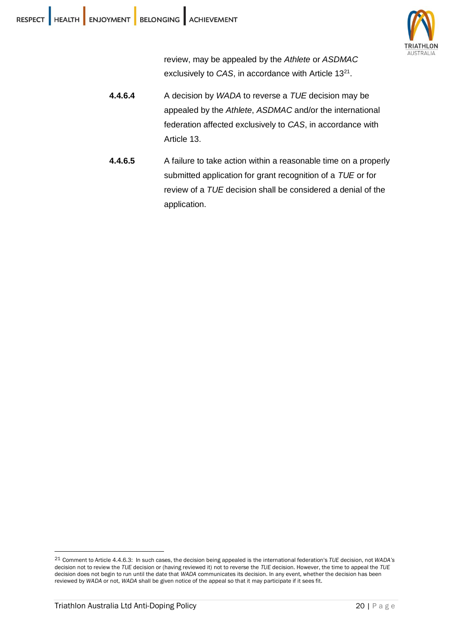

review, may be appealed by the *Athlete* or *ASDMAC* exclusively to CAS, in accordance with Article 13<sup>21</sup>.

- **4.4.6.4** A decision by *WADA* to reverse a *TUE* decision may be appealed by the *Athlete*, *ASDMAC* and/or the international federation affected exclusively to *CAS*, in accordance with Article 13.
- **4.4.6.5** A failure to take action within a reasonable time on a properly submitted application for grant recognition of a *TUE* or for review of a *TUE* decision shall be considered a denial of the application.

<sup>21</sup> Comment to Article 4.4.6.3: In such cases, the decision being appealed is the international federation's *TUE* decision, not *WADA's* decision not to review the *TUE* decision or (having reviewed it) not to reverse the *TUE* decision. However, the time to appeal the *TUE* decision does not begin to run until the date that *WADA* communicates its decision. In any event, whether the decision has been reviewed by *WADA* or not, *WADA* shall be given notice of the appeal so that it may participate if it sees fit.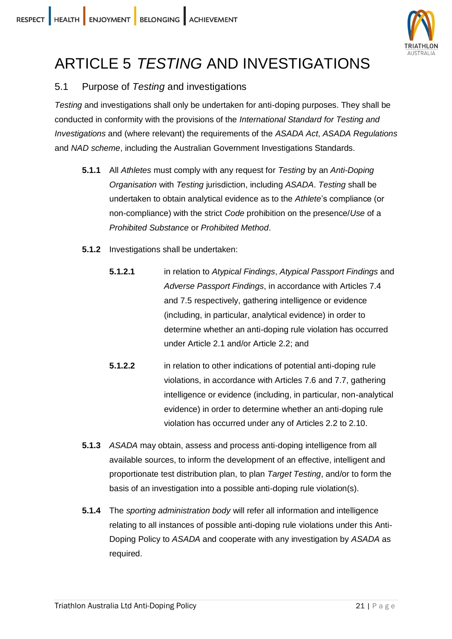

## ARTICLE 5 *TESTING* AND INVESTIGATIONS

### 5.1 Purpose of *Testing* and investigations

*Testing* and investigations shall only be undertaken for anti-doping purposes. They shall be conducted in conformity with the provisions of the *International Standard for Testing and Investigations* and (where relevant) the requirements of the *ASADA Act*, *ASADA Regulations* and *NAD scheme*, including the Australian Government Investigations Standards.

- **5.1.1** All *Athletes* must comply with any request for *Testing* by an *Anti-Doping Organisation* with *Testing* jurisdiction, including *ASADA*. *Testing* shall be undertaken to obtain analytical evidence as to the *Athlete*'s compliance (or non-compliance) with the strict *Code* prohibition on the presence/*Use* of a *Prohibited Substance* or *Prohibited Method*.
- **5.1.2** Investigations shall be undertaken:
	- **5.1.2.1** in relation to *Atypical Findings*, *Atypical Passport Findings* and *Adverse Passport Findings*, in accordance with Articles 7.4 and 7.5 respectively, gathering intelligence or evidence (including, in particular, analytical evidence) in order to determine whether an anti-doping rule violation has occurred under Article 2.1 and/or Article 2.2; and
	- **5.1.2.2** in relation to other indications of potential anti-doping rule violations, in accordance with Articles 7.6 and 7.7, gathering intelligence or evidence (including, in particular, non-analytical evidence) in order to determine whether an anti-doping rule violation has occurred under any of Articles 2.2 to 2.10.
- **5.1.3** *ASADA* may obtain, assess and process anti-doping intelligence from all available sources, to inform the development of an effective, intelligent and proportionate test distribution plan, to plan *Target Testing*, and/or to form the basis of an investigation into a possible anti-doping rule violation(s).
- **5.1.4** The *sporting administration body* will refer all information and intelligence relating to all instances of possible anti-doping rule violations under this Anti-Doping Policy to *ASADA* and cooperate with any investigation by *ASADA* as required.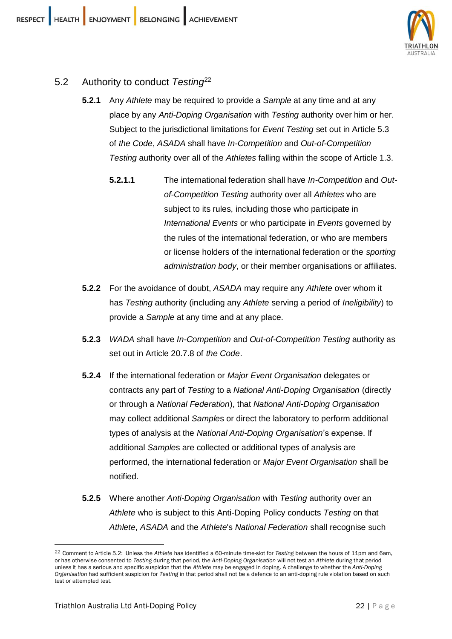

### 5.2 Authority to conduct *Testing*<sup>22</sup>

- **5.2.1** Any *Athlete* may be required to provide a *Sample* at any time and at any place by any *Anti-Doping Organisation* with *Testing* authority over him or her. Subject to the jurisdictional limitations for *Event Testing* set out in Article 5.3 of *the Code*, *ASADA* shall have *In-Competition* and *Out-of-Competition Testing* authority over all of the *Athletes* falling within the scope of Article 1.3.
	- **5.2.1.1** The international federation shall have *In-Competition* and *Outof-Competition Testing* authority over all *Athletes* who are subject to its rules, including those who participate in *International Events* or who participate in *Events* governed by the rules of the international federation, or who are members or license holders of the international federation or the *sporting administration body*, or their member organisations or affiliates.
- **5.2.2** For the avoidance of doubt, *ASADA* may require any *Athlete* over whom it has *Testing* authority (including any *Athlete* serving a period of *Ineligibility*) to provide a *Sample* at any time and at any place.
- **5.2.3** *WADA* shall have *In-Competition* and *Out-of-Competition Testing* authority as set out in Article 20.7.8 of *the Code*.
- **5.2.4** If the international federation or *Major Event Organisation* delegates or contracts any part of *Testing* to a *National Anti-Doping Organisation* (directly or through a *National Federation*), that *National Anti-Doping Organisation* may collect additional *Sample*s or direct the laboratory to perform additional types of analysis at the *National Anti-Doping Organisation*'s expense. If additional *Sample*s are collected or additional types of analysis are performed, the international federation or *Major Event Organisation* shall be notified.
- **5.2.5** Where another *Anti-Doping Organisation* with *Testing* authority over an *Athlete* who is subject to this Anti-Doping Policy conducts *Testing* on that *Athlete*, *ASADA* and the *Athlete*'s *National Federation* shall recognise such

<sup>22</sup> Comment to Article 5.2: Unless the *Athlete* has identified a 60-minute time-slot for *Testing* between the hours of 11pm and 6am, or has otherwise consented to *Testing* during that period, the *Anti-Doping Organisation* will not test an *Athlete* during that period unless it has a serious and specific suspicion that the *Athlete* may be engaged in doping. A challenge to whether the *Anti-Doping Organisation* had sufficient suspicion for *Testing* in that period shall not be a defence to an anti-doping rule violation based on such test or attempted test.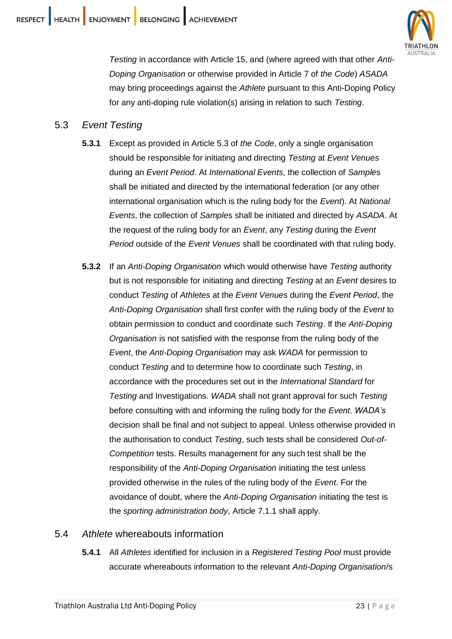

*Testing* in accordance with Article 15, and (where agreed with that other *Anti-Doping Organisation* or otherwise provided in Article 7 of *the Code*) *ASADA* may bring proceedings against the *Athlete* pursuant to this Anti-Doping Policy for any anti-doping rule violation(s) arising in relation to such *Testing*.

### 5.3 *Event Testing*

- **5.3.1** Except as provided in Article 5.3 of *the Code*, only a single organisation should be responsible for initiating and directing *Testing* at *Event Venues* during an *Event Period*. At *International Events*, the collection of *Sample*s shall be initiated and directed by the international federation (or any other international organisation which is the ruling body for the *Event*). At *National Events*, the collection of *Sample*s shall be initiated and directed by *ASADA*. At the request of the ruling body for an *Event*, any *Testing* during the *Event Period* outside of the *Event Venues* shall be coordinated with that ruling body.
- **5.3.2** If an *Anti-Doping Organisation* which would otherwise have *Testing* authority but is not responsible for initiating and directing *Testing* at an *Event* desires to conduct *Testing* of *Athletes* at the *Event Venues* during the *Event Period*, the *Anti-Doping Organisation* shall first confer with the ruling body of the *Event* to obtain permission to conduct and coordinate such *Testing*. If the *Anti-Doping Organisation* is not satisfied with the response from the ruling body of the *Event*, the *Anti-Doping Organisation* may ask *WADA* for permission to conduct *Testing* and to determine how to coordinate such *Testing*, in accordance with the procedures set out in the *International Standard* for *Testing* and Investigations. *WADA* shall not grant approval for such *Testing* before consulting with and informing the ruling body for the *Event*. *WADA's* decision shall be final and not subject to appeal. Unless otherwise provided in the authorisation to conduct *Testing*, such tests shall be considered *Out-of-Competition* tests. Results management for any such test shall be the responsibility of the *Anti-Doping Organisation* initiating the test unless provided otherwise in the rules of the ruling body of the *Event*. For the avoidance of doubt, where the *Anti-Doping Organisation* initiating the test is the *sporting administration body*, Article 7.1.1 shall apply.

### 5.4 *Athlete* whereabouts information

**5.4.1** All *Athletes* identified for inclusion in a *Registered Testing Pool* must provide accurate whereabouts information to the relevant *Anti-Doping Organisation*/s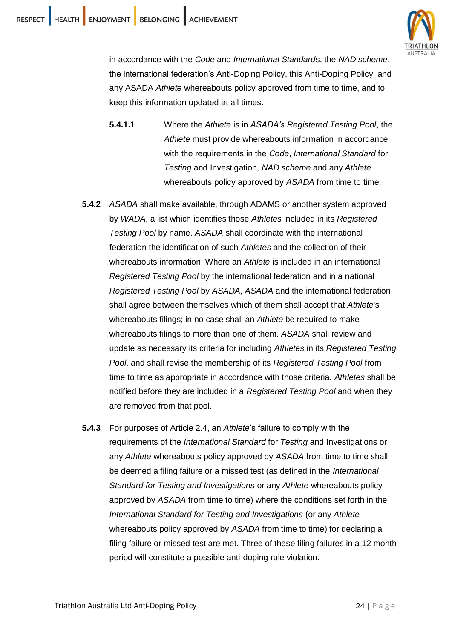

in accordance with the *Code* and *International Standard*s, the *NAD scheme*, the international federation's Anti-Doping Policy, this Anti-Doping Policy, and any ASADA *Athlete* whereabouts policy approved from time to time, and to keep this information updated at all times.

- **5.4.1.1** Where the *Athlete* is in *ASADA's Registered Testing Pool*, the *Athlete* must provide whereabouts information in accordance with the requirements in the *Code*, *International Standard* for *Testing* and Investigation, *NAD scheme* and any *Athlete* whereabouts policy approved by *ASADA* from time to time.
- **5.4.2** *ASADA* shall make available, through ADAMS or another system approved by *WADA*, a list which identifies those *Athletes* included in its *Registered Testing Pool* by name. *ASADA* shall coordinate with the international federation the identification of such *Athletes* and the collection of their whereabouts information. Where an *Athlete* is included in an international *Registered Testing Pool* by the international federation and in a national *Registered Testing Pool* by *ASADA*, *ASADA* and the international federation shall agree between themselves which of them shall accept that *Athlete*'s whereabouts filings; in no case shall an *Athlete* be required to make whereabouts filings to more than one of them. *ASADA* shall review and update as necessary its criteria for including *Athletes* in its *Registered Testing Pool*, and shall revise the membership of its *Registered Testing Pool* from time to time as appropriate in accordance with those criteria. *Athletes* shall be notified before they are included in a *Registered Testing Pool* and when they are removed from that pool.
- **5.4.3** For purposes of Article 2.4, an *Athlete*'s failure to comply with the requirements of the *International Standard* for *Testing* and Investigations or any *Athlete* whereabouts policy approved by *ASADA* from time to time shall be deemed a filing failure or a missed test (as defined in the *International Standard for Testing and Investigations* or any *Athlete* whereabouts policy approved by *ASADA* from time to time) where the conditions set forth in the *International Standard for Testing and Investigations* (or any *Athlete* whereabouts policy approved by *ASADA* from time to time) for declaring a filing failure or missed test are met. Three of these filing failures in a 12 month period will constitute a possible anti-doping rule violation.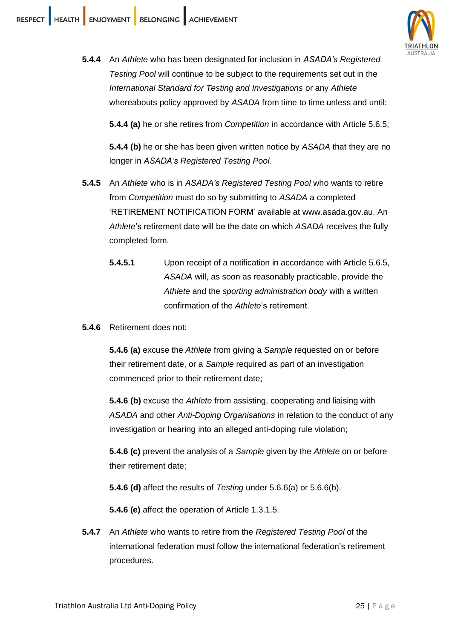

**5.4.4** An *Athlete* who has been designated for inclusion in *ASADA's Registered Testing Pool* will continue to be subject to the requirements set out in the *International Standard for Testing and Investigations* or any *Athlete* whereabouts policy approved by *ASADA* from time to time unless and until:

**5.4.4 (a)** he or she retires from *Competition* in accordance with Article 5.6.5;

**5.4.4 (b)** he or she has been given written notice by *ASADA* that they are no longer in *ASADA's Registered Testing Pool*.

- **5.4.5** An *Athlete* who is in *ASADA's Registered Testing Pool* who wants to retire from *Competition* must do so by submitting to *ASADA* a completed 'RETIREMENT NOTIFICATION FORM' available at www.asada.gov.au. An *Athlete*'s retirement date will be the date on which *ASADA* receives the fully completed form.
	- **5.4.5.1** Upon receipt of a notification in accordance with Article 5.6.5, *ASADA* will, as soon as reasonably practicable, provide the *Athlete* and the *sporting administration body* with a written confirmation of the *Athlete*'s retirement.
- **5.4.6** Retirement does not:

**5.4.6 (a)** excuse the *Athlete* from giving a *Sample* requested on or before their retirement date, or a *Sample* required as part of an investigation commenced prior to their retirement date;

**5.4.6 (b)** excuse the *Athlete* from assisting, cooperating and liaising with *ASADA* and other *Anti-Doping Organisations* in relation to the conduct of any investigation or hearing into an alleged anti-doping rule violation;

**5.4.6 (c)** prevent the analysis of a *Sample* given by the *Athlete* on or before their retirement date;

**5.4.6 (d)** affect the results of *Testing* under 5.6.6(a) or 5.6.6(b).

**5.4.6 (e)** affect the operation of Article 1.3.1.5.

**5.4.7** An *Athlete* who wants to retire from the *Registered Testing Pool* of the international federation must follow the international federation's retirement procedures.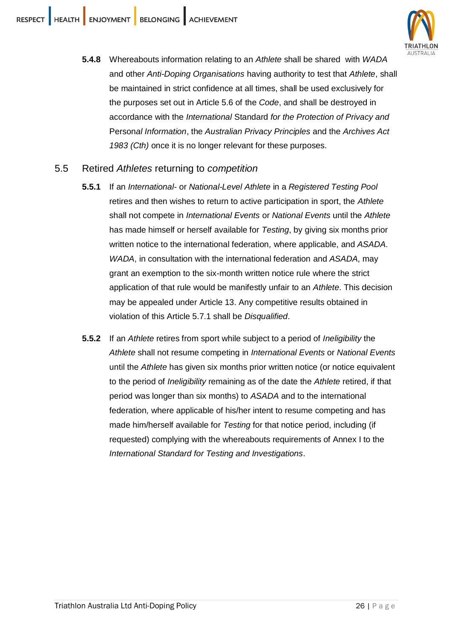

- **5.4.8** Whereabouts information relating to an *Athlete* shall be shared with *WADA* and other *Anti-Doping Organisations* having authority to test that *Athlete*, shall be maintained in strict confidence at all times, shall be used exclusively for the purposes set out in Article 5.6 of the *Code*, and shall be destroyed in accordance with the *International* Standard *for the Protection of Privacy and*  Person*al Information*, the *Australian Privacy Principles* and the *Archives Act 1983 (Cth)* once it is no longer relevant for these purposes.
- 5.5 Retired *Athletes* returning to *competition*
	- **5.5.1** If an *International* or *National-Level Athlete* in a *Registered Testing Pool* retires and then wishes to return to active participation in sport, the *Athlete* shall not compete in *International Events* or *National Events* until the *Athlete* has made himself or herself available for *Testing*, by giving six months prior written notice to the international federation*,* where applicable, and *ASADA*. *WADA*, in consultation with the international federation and *ASADA*, may grant an exemption to the six-month written notice rule where the strict application of that rule would be manifestly unfair to an *Athlete*. This decision may be appealed under Article 13. Any competitive results obtained in violation of this Article 5.7.1 shall be *Disqualified*.
	- **5.5.2** If an *Athlete* retires from sport while subject to a period of *Ineligibility* the *Athlete* shall not resume competing in *International Events* or *National Events* until the *Athlete* has given six months prior written notice (or notice equivalent to the period of *Ineligibility* remaining as of the date the *Athlete* retired, if that period was longer than six months) to *ASADA* and to the international federation*,* where applicable of his/her intent to resume competing and has made him/herself available for *Testing* for that notice period, including (if requested) complying with the whereabouts requirements of Annex I to the *International Standard for Testing and Investigations*.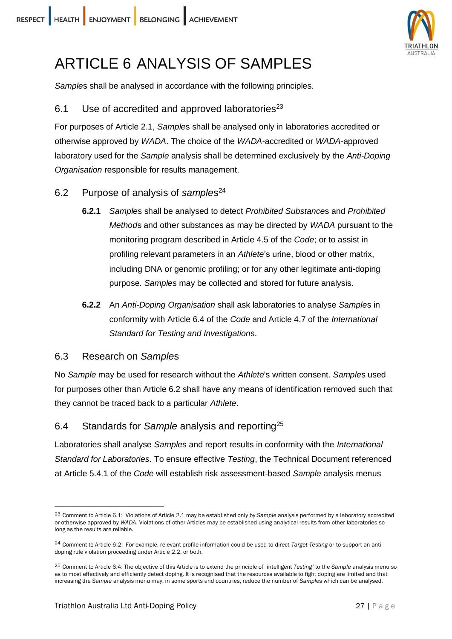

## ARTICLE 6 ANALYSIS OF SAMPLES

*Sample*s shall be analysed in accordance with the following principles.

### 6.1 Use of accredited and approved laboratories<sup>23</sup>

For purposes of Article 2.1, *Sample*s shall be analysed only in laboratories accredited or otherwise approved by *WADA*. The choice of the *WADA*-accredited or *WADA*-approved laboratory used for the *Sample* analysis shall be determined exclusively by the *Anti-Doping Organisation* responsible for results management.

### 6.2 Purpose of analysis of *sample*s 24

- **6.2.1** *Sample*s shall be analysed to detect *Prohibited Substance*s and *Prohibited Method*s and other substances as may be directed by *WADA* pursuant to the monitoring program described in Article 4.5 of the *Code*; or to assist in profiling relevant parameters in an *Athlete*'s urine, blood or other matrix, including DNA or genomic profiling; or for any other legitimate anti-doping purpose. *Sample*s may be collected and stored for future analysis.
- **6.2.2** An *Anti-Doping Organisation* shall ask laboratories to analyse *Sample*s in conformity with Article 6.4 of the *Code* and Article 4.7 of the *International Standard for Testing and Investigation*s.

### 6.3 Research on *Sample*s

No *Sample* may be used for research without the *Athlete*'s written consent. *Sample*s used for purposes other than Article 6.2 shall have any means of identification removed such that they cannot be traced back to a particular *Athlete*.

### 6.4 Standards for *Sample* analysis and reporting<sup>25</sup>

Laboratories shall analyse *Sample*s and report results in conformity with the *International Standard for Laboratories*. To ensure effective *Testing*, the Technical Document referenced at Article 5.4.1 of the *Code* will establish risk assessment-based *Sample* analysis menus

<sup>23</sup> Comment to Article 6.1: Violations of Article 2.1 may be established only by *Sample* analysis performed by a laboratory accredited or otherwise approved by *WADA*. Violations of other Articles may be established using analytical results from other laboratories so long as the results are reliable.

<sup>24</sup> Comment to Article 6.2: For example, relevant profile information could be used to direct *Target Testing* or to support an antidoping rule violation proceeding under Article 2.2, or both.

<sup>25</sup> Comment to Article 6.4: The objective of this Article is to extend the principle of 'intelligent *Testing'* to the *Sample* analysis menu so as to most effectively and efficiently detect doping. It is recognised that the resources available to fight doping are limited and that increasing the *Sample* analysis menu may, in some sports and countries, reduce the number of *Sample*s which can be analysed.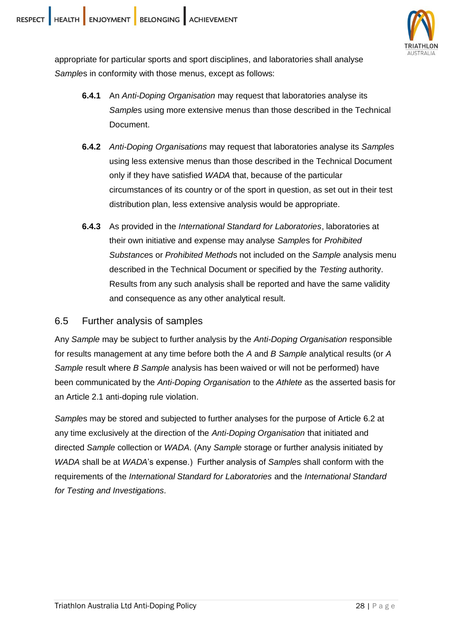

appropriate for particular sports and sport disciplines, and laboratories shall analyse *Sample*s in conformity with those menus, except as follows:

- **6.4.1** An *Anti-Doping Organisation* may request that laboratories analyse its *Sample*s using more extensive menus than those described in the Technical Document.
- **6.4.2** *Anti-Doping Organisations* may request that laboratories analyse its *Sample*s using less extensive menus than those described in the Technical Document only if they have satisfied *WADA* that, because of the particular circumstances of its country or of the sport in question, as set out in their test distribution plan, less extensive analysis would be appropriate.
- **6.4.3** As provided in the *International Standard for Laboratories*, laboratories at their own initiative and expense may analyse *Sample*s for *Prohibited Substance*s or *Prohibited Method*s not included on the *Sample* analysis menu described in the Technical Document or specified by the *Testing* authority. Results from any such analysis shall be reported and have the same validity and consequence as any other analytical result.

### 6.5 Further analysis of samples

Any *Sample* may be subject to further analysis by the *Anti-Doping Organisation* responsible for results management at any time before both the *A* and *B Sample* analytical results (or *A Sample* result where *B Sample* analysis has been waived or will not be performed) have been communicated by the *Anti-Doping Organisation* to the *Athlete* as the asserted basis for an Article 2.1 anti-doping rule violation.

*Sample*s may be stored and subjected to further analyses for the purpose of Article 6.2 at any time exclusively at the direction of the *Anti-Doping Organisation* that initiated and directed *Sample* collection or *WADA*. (Any *Sample* storage or further analysis initiated by *WADA* shall be at *WADA*'s expense.) Further analysis of *Sample*s shall conform with the requirements of the *International Standard for Laboratories* and the *International Standard for Testing and Investigations*.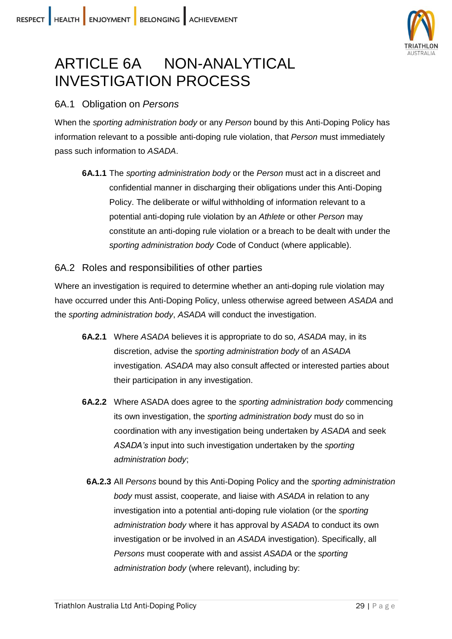

## ARTICLE 6A NON-ANALYTICAL INVESTIGATION PROCESS

### 6A.1 Obligation on *Persons*

When the *sporting administration body* or any *Person* bound by this Anti-Doping Policy has information relevant to a possible anti-doping rule violation, that *Person* must immediately pass such information to *ASADA*.

**6A.1.1** The *sporting administration body* or the *Person* must act in a discreet and confidential manner in discharging their obligations under this Anti-Doping Policy. The deliberate or wilful withholding of information relevant to a potential anti-doping rule violation by an *Athlete* or other *Person* may constitute an anti-doping rule violation or a breach to be dealt with under the *sporting administration body* Code of Conduct (where applicable).

### 6A.2 Roles and responsibilities of other parties

Where an investigation is required to determine whether an anti-doping rule violation may have occurred under this Anti-Doping Policy, unless otherwise agreed between *ASADA* and the *sporting administration body*, *ASADA* will conduct the investigation.

- **6A.2.1** Where *ASADA* believes it is appropriate to do so, *ASADA* may, in its discretion, advise the *sporting administration body* of an *ASADA* investigation. *ASADA* may also consult affected or interested parties about their participation in any investigation.
- **6A.2.2** Where ASADA does agree to the *sporting administration body* commencing its own investigation, the *sporting administration body* must do so in coordination with any investigation being undertaken by *ASADA* and seek *ASADA's* input into such investigation undertaken by the *sporting administration body*;
	- **6A.2.3** All *Persons* bound by this Anti-Doping Policy and the *sporting administration body* must assist, cooperate, and liaise with *ASADA* in relation to any investigation into a potential anti-doping rule violation (or the *sporting administration body* where it has approval by *ASADA* to conduct its own investigation or be involved in an *ASADA* investigation). Specifically, all *Persons* must cooperate with and assist *ASADA* or the *sporting administration body* (where relevant), including by: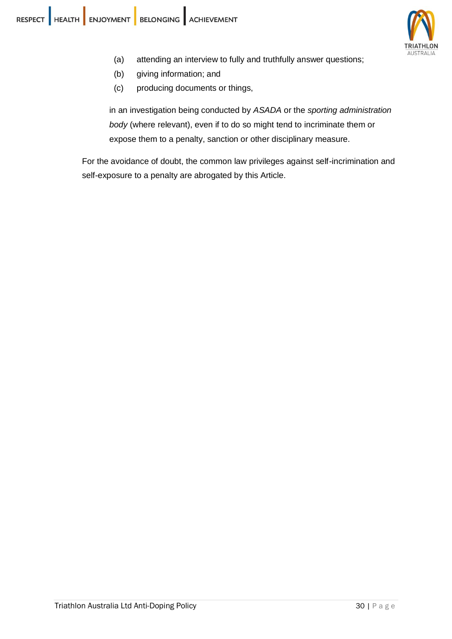

- (a) attending an interview to fully and truthfully answer questions;
- (b) giving information; and
- (c) producing documents or things,

in an investigation being conducted by *ASADA* or the *sporting administration body* (where relevant), even if to do so might tend to incriminate them or expose them to a penalty, sanction or other disciplinary measure.

For the avoidance of doubt, the common law privileges against self-incrimination and self-exposure to a penalty are abrogated by this Article.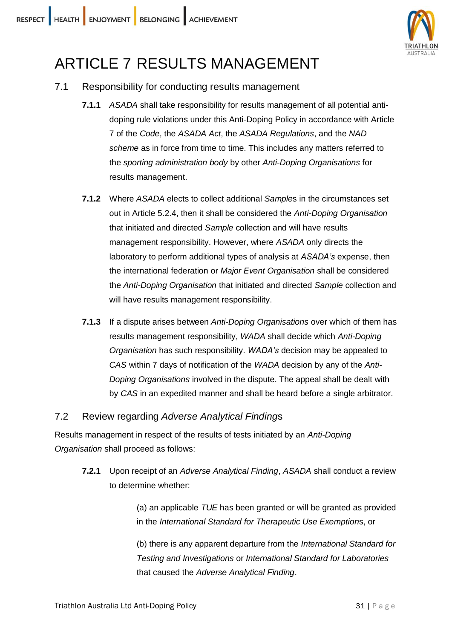

# ARTICLE 7 RESULTS MANAGEMENT

- 7.1 Responsibility for conducting results management
	- **7.1.1** *ASADA* shall take responsibility for results management of all potential antidoping rule violations under this Anti-Doping Policy in accordance with Article 7 of the *Code*, the *ASADA Act*, the *ASADA Regulations*, and the *NAD scheme* as in force from time to time. This includes any matters referred to the *sporting administration body* by other *Anti-Doping Organisations* for results management.
	- **7.1.2** Where *ASADA* elects to collect additional *Sample*s in the circumstances set out in Article 5.2.4, then it shall be considered the *Anti-Doping Organisation* that initiated and directed *Sample* collection and will have results management responsibility. However, where *ASADA* only directs the laboratory to perform additional types of analysis at *ASADA's* expense, then the international federation or *Major Event Organisation* shall be considered the *Anti-Doping Organisation* that initiated and directed *Sample* collection and will have results management responsibility.
	- **7.1.3** If a dispute arises between *Anti-Doping Organisations* over which of them has results management responsibility, *WADA* shall decide which *Anti-Doping Organisation* has such responsibility. *WADA's* decision may be appealed to *CAS* within 7 days of notification of the *WADA* decision by any of the *Anti-Doping Organisations* involved in the dispute. The appeal shall be dealt with by *CAS* in an expedited manner and shall be heard before a single arbitrator.

## 7.2 Review regarding *Adverse Analytical Finding*s

Results management in respect of the results of tests initiated by an *Anti-Doping Organisation* shall proceed as follows:

**7.2.1** Upon receipt of an *Adverse Analytical Finding*, *ASADA* shall conduct a review to determine whether:

> (a) an applicable *TUE* has been granted or will be granted as provided in the *International Standard for Therapeutic Use Exemption*s, or

> (b) there is any apparent departure from the *International Standard for Testing and Investigations* or *International Standard for Laboratories* that caused the *Adverse Analytical Finding*.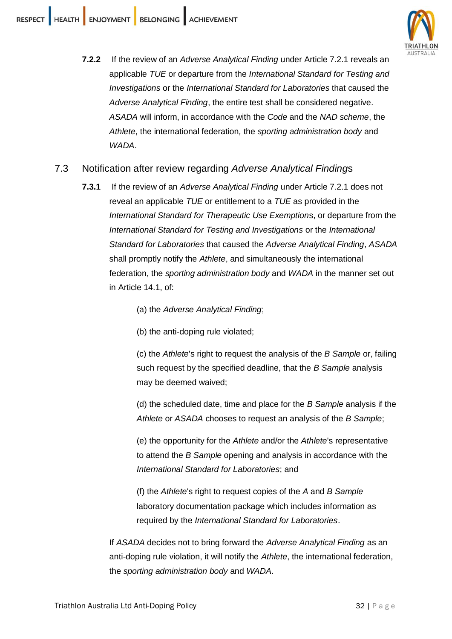

- **7.2.2** If the review of an *Adverse Analytical Finding* under Article 7.2.1 reveals an applicable *TUE* or departure from the *International Standard for Testing and Investigations* or the *International Standard for Laboratories* that caused the *Adverse Analytical Finding*, the entire test shall be considered negative. *ASADA* will inform, in accordance with the *Code* and the *NAD scheme*, the *Athlete*, the international federation*,* the *sporting administration body* and *WADA*.
- 7.3 Notification after review regarding *Adverse Analytical Finding*s
	- **7.3.1** If the review of an *Adverse Analytical Finding* under Article 7.2.1 does not reveal an applicable *TUE* or entitlement to a *TUE* as provided in the *International Standard for Therapeutic Use Exemption*s, or departure from the *International Standard for Testing and Investigations* or the *International Standard for Laboratories* that caused the *Adverse Analytical Finding*, *ASADA* shall promptly notify the *Athlete*, and simultaneously the international federation, the *sporting administration body* and *WADA* in the manner set out in Article 14.1, of:
		- (a) the *Adverse Analytical Finding*;
		- (b) the anti-doping rule violated;

(c) the *Athlete*'s right to request the analysis of the *B Sample* or, failing such request by the specified deadline, that the *B Sample* analysis may be deemed waived;

(d) the scheduled date, time and place for the *B Sample* analysis if the *Athlete* or *ASADA* chooses to request an analysis of the *B Sample*;

(e) the opportunity for the *Athlete* and/or the *Athlete*'s representative to attend the *B Sample* opening and analysis in accordance with the *International Standard for Laboratories*; and

(f) the *Athlete*'s right to request copies of the *A* and *B Sample* laboratory documentation package which includes information as required by the *International Standard for Laboratories*.

If *ASADA* decides not to bring forward the *Adverse Analytical Finding* as an anti-doping rule violation, it will notify the *Athlete*, the international federation, the *sporting administration body* and *WADA*.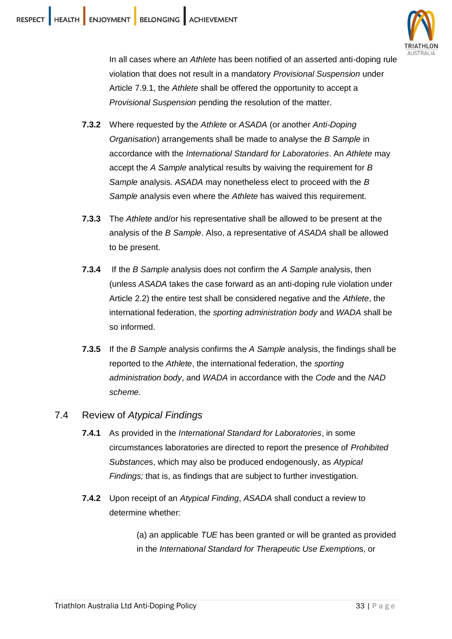

In all cases where an *Athlete* has been notified of an asserted anti-doping rule violation that does not result in a mandatory *Provisional Suspension* under Article 7.9.1, the *Athlete* shall be offered the opportunity to accept a *Provisional Suspension* pending the resolution of the matter.

- **7.3.2** Where requested by the *Athlete* or *ASADA* (or another *Anti-Doping Organisation*) arrangements shall be made to analyse the *B Sample* in accordance with the *International Standard for Laboratories*. An *Athlete* may accept the *A Sample* analytical results by waiving the requirement for *B Sample* analysis. *ASADA* may nonetheless elect to proceed with the *B Sample* analysis even where the *Athlete* has waived this requirement.
- **7.3.3** The *Athlete* and/or his representative shall be allowed to be present at the analysis of the *B Sample*. Also, a representative of *ASADA* shall be allowed to be present.
- **7.3.4** If the *B Sample* analysis does not confirm the *A Sample* analysis, then (unless *ASADA* takes the case forward as an anti-doping rule violation under Article 2.2) the entire test shall be considered negative and the *Athlete*, the international federation, the *sporting administration body* and *WADA* shall be so informed.
- **7.3.5** If the *B Sample* analysis confirms the *A Sample* analysis, the findings shall be reported to the *Athlete*, the international federation, the *sporting administration body*, and *WADA* in accordance with the *Code* and the *NAD scheme*.

### 7.4 Review of *Atypical Findings*

- **7.4.1** As provided in the *International Standard for Laboratories*, in some circumstances laboratories are directed to report the presence of *Prohibited Substance*s, which may also be produced endogenously, as *Atypical Findings;* that is, as findings that are subject to further investigation.
- **7.4.2** Upon receipt of an *Atypical Finding*, *ASADA* shall conduct a review to determine whether:

(a) an applicable *TUE* has been granted or will be granted as provided in the *International Standard for Therapeutic Use Exemption*s, or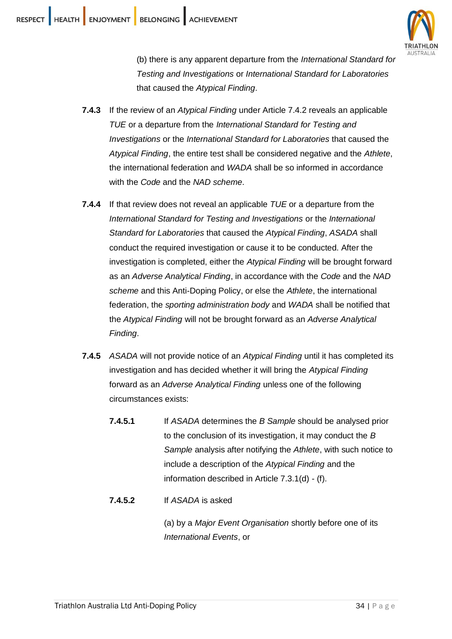

(b) there is any apparent departure from the *International Standard for Testing and Investigations* or *International Standard for Laboratories* that caused the *Atypical Finding*.

- **7.4.3** If the review of an *Atypical Finding* under Article 7.4.2 reveals an applicable *TUE* or a departure from the *International Standard for Testing and Investigations* or the *International Standard for Laboratories* that caused the *Atypical Finding*, the entire test shall be considered negative and the *Athlete*, the international federation and *WADA* shall be so informed in accordance with the *Code* and the *NAD scheme*.
- **7.4.4** If that review does not reveal an applicable *TUE* or a departure from the *International Standard for Testing and Investigations* or the *International Standard for Laboratories* that caused the *Atypical Finding*, *ASADA* shall conduct the required investigation or cause it to be conducted. After the investigation is completed, either the *Atypical Finding* will be brought forward as an *Adverse Analytical Finding*, in accordance with the *Code* and the *NAD scheme* and this Anti-Doping Policy, or else the *Athlete*, the international federation, the *sporting administration body* and *WADA* shall be notified that the *Atypical Finding* will not be brought forward as an *Adverse Analytical Finding*.
- **7.4.5** *ASADA* will not provide notice of an *Atypical Finding* until it has completed its investigation and has decided whether it will bring the *Atypical Finding* forward as an *Adverse Analytical Finding* unless one of the following circumstances exists:
	- **7.4.5.1** If *ASADA* determines the *B Sample* should be analysed prior to the conclusion of its investigation, it may conduct the *B Sample* analysis after notifying the *Athlete*, with such notice to include a description of the *Atypical Finding* and the information described in Article 7.3.1(d) - (f).
	- **7.4.5.2** If *ASADA* is asked

(a) by a *Major Event Organisation* shortly before one of its *International Events*, or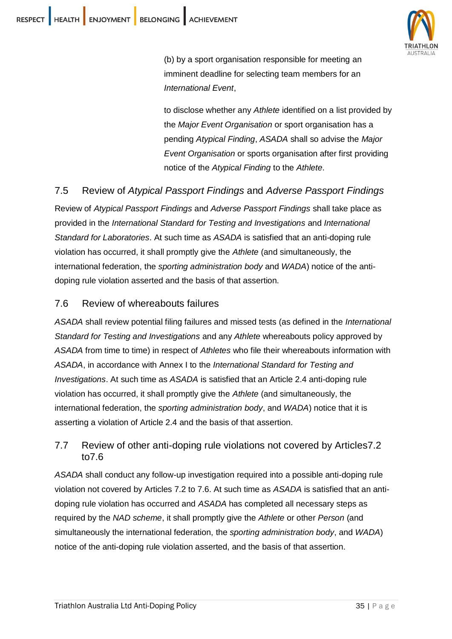

(b) by a sport organisation responsible for meeting an imminent deadline for selecting team members for an *International Event*,

to disclose whether any *Athlete* identified on a list provided by the *Major Event Organisation* or sport organisation has a pending *Atypical Finding*, *ASADA* shall so advise the *Major Event Organisation* or sports organisation after first providing notice of the *Atypical Finding* to the *Athlete*.

### 7.5 Review of *Atypical Passport Findings* and *Adverse Passport Findings*

Review of *Atypical Passport Findings* and *Adverse Passport Findings* shall take place as provided in the *International Standard for Testing and Investigations* and *International Standard for Laboratories*. At such time as *ASADA* is satisfied that an anti-doping rule violation has occurred, it shall promptly give the *Athlete* (and simultaneously, the international federation, the *sporting administration body* and *WADA*) notice of the antidoping rule violation asserted and the basis of that assertion.

### 7.6 Review of whereabouts failures

*ASADA* shall review potential filing failures and missed tests (as defined in the *International Standard for Testing and Investigations* and any *Athlete* whereabouts policy approved by *ASADA* from time to time) in respect of *Athletes* who file their whereabouts information with *ASADA*, in accordance with Annex I to the *International Standard for Testing and Investigations*. At such time as *ASADA* is satisfied that an Article 2.4 anti-doping rule violation has occurred, it shall promptly give the *Athlete* (and simultaneously, the international federation, the *sporting administration body*, and *WADA*) notice that it is asserting a violation of Article 2.4 and the basis of that assertion.

## 7.7 Review of other anti-doping rule violations not covered by Articles7.2 to7.6

*ASADA* shall conduct any follow-up investigation required into a possible anti-doping rule violation not covered by Articles 7.2 to 7.6. At such time as *ASADA* is satisfied that an antidoping rule violation has occurred and *ASADA* has completed all necessary steps as required by the *NAD scheme*, it shall promptly give the *Athlete* or other *Person* (and simultaneously the international federation, the *sporting administration body*, and *WADA*) notice of the anti-doping rule violation asserted, and the basis of that assertion.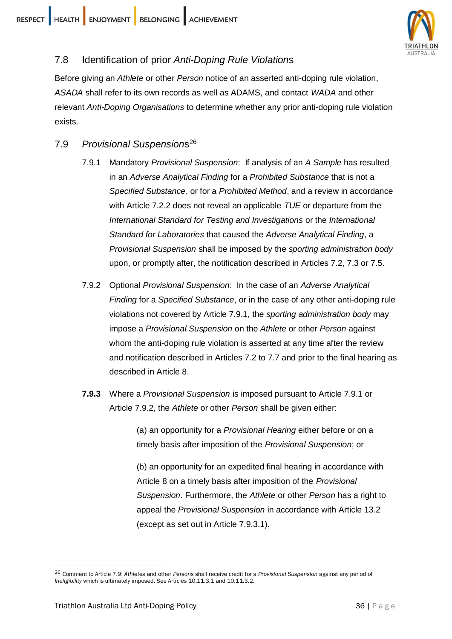

# 7.8 Identification of prior *Anti-Doping Rule Violation*s

Before giving an *Athlete* or other *Person* notice of an asserted anti-doping rule violation, *ASADA* shall refer to its own records as well as ADAMS, and contact *WADA* and other relevant *Anti-Doping Organisations* to determine whether any prior anti-doping rule violation exists.

## 7.9 *Provisional Suspension*s 26

- 7.9.1 Mandatory *Provisional Suspension*: If analysis of an *A Sample* has resulted in an *Adverse Analytical Finding* for a *Prohibited Substance* that is not a *Specified Substance*, or for a *Prohibited Method*, and a review in accordance with Article 7.2.2 does not reveal an applicable *TUE* or departure from the *International Standard for Testing and Investigations* or the *International Standard for Laboratories* that caused the *Adverse Analytical Finding*, a *Provisional Suspension* shall be imposed by the *sporting administration body* upon, or promptly after, the notification described in Articles 7.2, 7.3 or 7.5.
- 7.9.2 Optional *Provisional Suspension*: In the case of an *Adverse Analytical Finding* for a *Specified Substance*, or in the case of any other anti-doping rule violations not covered by Article 7.9.1, the *sporting administration body* may impose a *Provisional Suspension* on the *Athlete* or other *Person* against whom the anti-doping rule violation is asserted at any time after the review and notification described in Articles 7.2 to 7.7 and prior to the final hearing as described in Article 8.
- **7.9.3** Where a *Provisional Suspension* is imposed pursuant to Article 7.9.1 or Article 7.9.2, the *Athlete* or other *Person* shall be given either:

(a) an opportunity for a *Provisional Hearing* either before or on a timely basis after imposition of the *Provisional Suspension*; or

(b) an opportunity for an expedited final hearing in accordance with Article 8 on a timely basis after imposition of the *Provisional Suspension*. Furthermore, the *Athlete* or other *Person* has a right to appeal the *Provisional Suspension* in accordance with Article 13.2 (except as set out in Article 7.9.3.1).

 $\overline{a}$ 

<sup>26</sup> Comment to Article 7.9: *Athletes* and other *Persons* shall receive credit for a *Provisional Suspension* against any period of *Ineligibility* which is ultimately imposed. See Articles 10.11.3.1 and 10.11.3.2.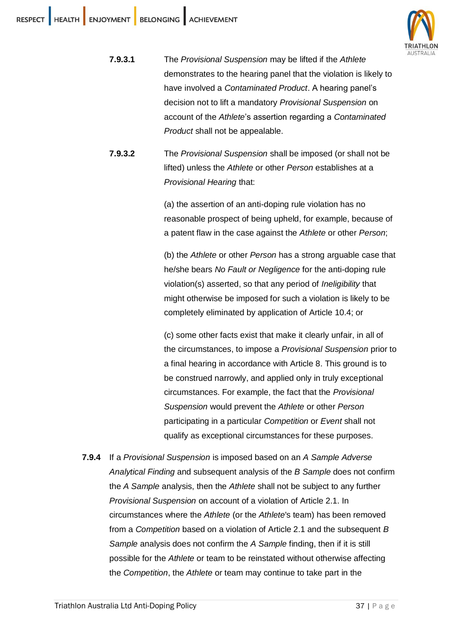

- **7.9.3.1** The *Provisional Suspension* may be lifted if the *Athlete* demonstrates to the hearing panel that the violation is likely to have involved a *Contaminated Product*. A hearing panel's decision not to lift a mandatory *Provisional Suspension* on account of the *Athlete*'s assertion regarding a *Contaminated Product* shall not be appealable.
- **7.9.3.2** The *Provisional Suspension* shall be imposed (or shall not be lifted) unless the *Athlete* or other *Person* establishes at a *Provisional Hearing* that:

(a) the assertion of an anti-doping rule violation has no reasonable prospect of being upheld, for example, because of a patent flaw in the case against the *Athlete* or other *Person*;

(b) the *Athlete* or other *Person* has a strong arguable case that he/she bears *No Fault or Negligence* for the anti-doping rule violation(s) asserted, so that any period of *Ineligibility* that might otherwise be imposed for such a violation is likely to be completely eliminated by application of Article 10.4; or

(c) some other facts exist that make it clearly unfair, in all of the circumstances, to impose a *Provisional Suspension* prior to a final hearing in accordance with Article 8. This ground is to be construed narrowly, and applied only in truly exceptional circumstances. For example, the fact that the *Provisional Suspension* would prevent the *Athlete* or other *Person* participating in a particular *Competition* or *Event* shall not qualify as exceptional circumstances for these purposes.

**7.9.4** If a *Provisional Suspension* is imposed based on an *A Sample Adverse Analytical Finding* and subsequent analysis of the *B Sample* does not confirm the *A Sample* analysis, then the *Athlete* shall not be subject to any further *Provisional Suspension* on account of a violation of Article 2.1. In circumstances where the *Athlete* (or the *Athlete*'s team) has been removed from a *Competition* based on a violation of Article 2.1 and the subsequent *B Sample* analysis does not confirm the *A Sample* finding, then if it is still possible for the *Athlete* or team to be reinstated without otherwise affecting the *Competition*, the *Athlete* or team may continue to take part in the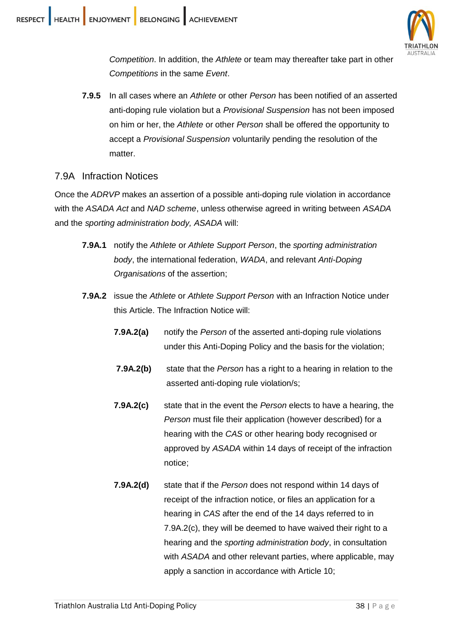

*Competition*. In addition, the *Athlete* or team may thereafter take part in other *Competitions* in the same *Event*.

**7.9.5** In all cases where an *Athlete* or other *Person* has been notified of an asserted anti-doping rule violation but a *Provisional Suspension* has not been imposed on him or her, the *Athlete* or other *Person* shall be offered the opportunity to accept a *Provisional Suspension* voluntarily pending the resolution of the matter.

#### 7.9A Infraction Notices

Once the *ADRVP* makes an assertion of a possible anti-doping rule violation in accordance with the *ASADA Act* and *NAD scheme*, unless otherwise agreed in writing between *ASADA* and the *sporting administration body, ASADA* will:

- **7.9A.1** notify the *Athlete* or *Athlete Support Person*, the *sporting administration body*, the international federation, *WADA*, and relevant *Anti-Doping Organisations* of the assertion;
- **7.9A.2** issue the *Athlete* or *Athlete Support Person* with an Infraction Notice under this Article. The Infraction Notice will:
	- **7.9A.2(a)** notify the *Person* of the asserted anti-doping rule violations under this Anti-Doping Policy and the basis for the violation;
	- **7.9A.2(b)** state that the *Person* has a right to a hearing in relation to the asserted anti-doping rule violation/s;
	- **7.9A.2(c)** state that in the event the *Person* elects to have a hearing, the *Person* must file their application (however described) for a hearing with the *CAS* or other hearing body recognised or approved by *ASADA* within 14 days of receipt of the infraction notice;
	- **7.9A.2(d)** state that if the *Person* does not respond within 14 days of receipt of the infraction notice, or files an application for a hearing in *CAS* after the end of the 14 days referred to in 7.9A.2(c), they will be deemed to have waived their right to a hearing and the *sporting administration body*, in consultation with *ASADA* and other relevant parties, where applicable, may apply a sanction in accordance with Article 10;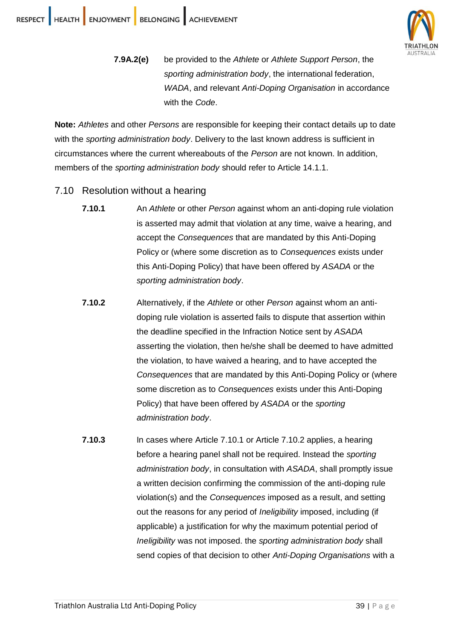

**7.9A.2(e)** be provided to the *Athlete* or *Athlete Support Person*, the *sporting administration body*, the international federation, *WADA*, and relevant *Anti-Doping Organisation* in accordance with the *Code*.

**Note:** *Athletes* and other *Persons* are responsible for keeping their contact details up to date with the *sporting administration body*. Delivery to the last known address is sufficient in circumstances where the current whereabouts of the *Person* are not known. In addition, members of the *sporting administration body* should refer to Article 14.1.1.

- 7.10 Resolution without a hearing
	- **7.10.1** An *Athlete* or other *Person* against whom an anti-doping rule violation is asserted may admit that violation at any time, waive a hearing, and accept the *Consequences* that are mandated by this Anti-Doping Policy or (where some discretion as to *Consequences* exists under this Anti-Doping Policy) that have been offered by *ASADA* or the *sporting administration body*.
	- **7.10.2** Alternatively, if the *Athlete* or other *Person* against whom an antidoping rule violation is asserted fails to dispute that assertion within the deadline specified in the Infraction Notice sent by *ASADA* asserting the violation, then he/she shall be deemed to have admitted the violation, to have waived a hearing, and to have accepted the *Consequences* that are mandated by this Anti-Doping Policy or (where some discretion as to *Consequences* exists under this Anti-Doping Policy) that have been offered by *ASADA* or the *sporting administration body*.
	- **7.10.3** In cases where Article 7.10.1 or Article 7.10.2 applies, a hearing before a hearing panel shall not be required. Instead the *sporting administration body*, in consultation with *ASADA*, shall promptly issue a written decision confirming the commission of the anti-doping rule violation(s) and the *Consequences* imposed as a result, and setting out the reasons for any period of *Ineligibility* imposed, including (if applicable) a justification for why the maximum potential period of *Ineligibility* was not imposed. the *sporting administration body* shall send copies of that decision to other *Anti-Doping Organisations* with a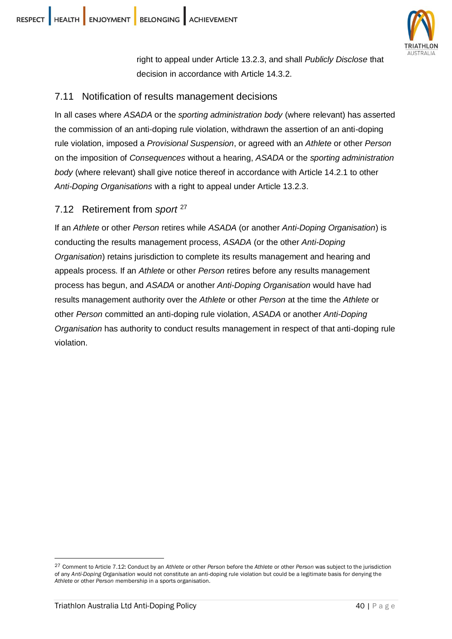

right to appeal under Article 13.2.3, and shall *Publicly Disclose* that decision in accordance with Article 14.3.2.

## 7.11 Notification of results management decisions

In all cases where *ASADA* or the *sporting administration body* (where relevant) has asserted the commission of an anti-doping rule violation, withdrawn the assertion of an anti-doping rule violation, imposed a *Provisional Suspension*, or agreed with an *Athlete* or other *Person* on the imposition of *Consequences* without a hearing, *ASADA* or the *sporting administration body* (where relevant) shall give notice thereof in accordance with Article 14.2.1 to other *Anti-Doping Organisations* with a right to appeal under Article 13.2.3.

## 7.12 Retirement from *sport* <sup>27</sup>

If an *Athlete* or other *Person* retires while *ASADA* (or another *Anti-Doping Organisation*) is conducting the results management process, *ASADA* (or the other *Anti-Doping Organisation*) retains jurisdiction to complete its results management and hearing and appeals process. If an *Athlete* or other *Person* retires before any results management process has begun, and *ASADA* or another *Anti-Doping Organisation* would have had results management authority over the *Athlete* or other *Person* at the time the *Athlete* or other *Person* committed an anti-doping rule violation, *ASADA* or another *Anti-Doping Organisation* has authority to conduct results management in respect of that anti-doping rule violation.

<sup>27</sup> Comment to Article 7.12: Conduct by an *Athlete* or other *Person* before the *Athlete* or other *Person* was subject to the jurisdiction of any *Anti-Doping Organisation* would not constitute an anti-doping rule violation but could be a legitimate basis for denying the *Athlete* or other *Person* membership in a sports organisation.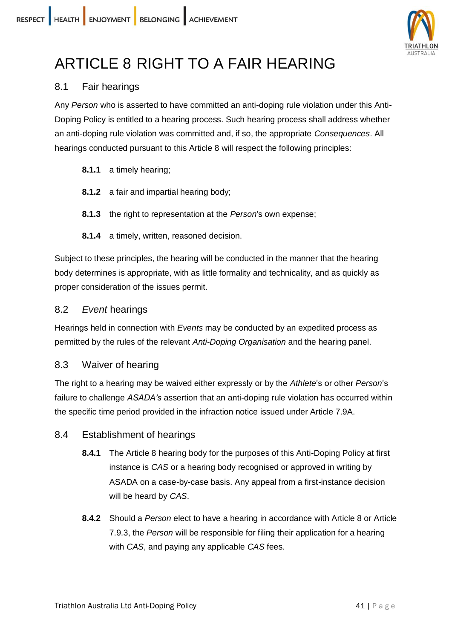

# ARTICLE 8 RIGHT TO A FAIR HEARING

#### 8.1 Fair hearings

Any *Person* who is asserted to have committed an anti-doping rule violation under this Anti-Doping Policy is entitled to a hearing process. Such hearing process shall address whether an anti-doping rule violation was committed and, if so, the appropriate *Consequences*. All hearings conducted pursuant to this Article 8 will respect the following principles:

- **8.1.1** a timely hearing;
- **8.1.2** a fair and impartial hearing body;
- **8.1.3** the right to representation at the *Person*'s own expense;
- **8.1.4** a timely, written, reasoned decision.

Subject to these principles, the hearing will be conducted in the manner that the hearing body determines is appropriate, with as little formality and technicality, and as quickly as proper consideration of the issues permit.

#### 8.2 *Event* hearings

Hearings held in connection with *Events* may be conducted by an expedited process as permitted by the rules of the relevant *Anti-Doping Organisation* and the hearing panel.

#### 8.3 Waiver of hearing

The right to a hearing may be waived either expressly or by the *Athlete*'s or other *Person*'s failure to challenge *ASADA's* assertion that an anti-doping rule violation has occurred within the specific time period provided in the infraction notice issued under Article 7.9A.

#### 8.4 Establishment of hearings

- **8.4.1** The Article 8 hearing body for the purposes of this Anti-Doping Policy at first instance is *CAS* or a hearing body recognised or approved in writing by ASADA on a case-by-case basis. Any appeal from a first-instance decision will be heard by *CAS*.
- **8.4.2** Should a *Person* elect to have a hearing in accordance with Article 8 or Article 7.9.3, the *Person* will be responsible for filing their application for a hearing with *CAS*, and paying any applicable *CAS* fees.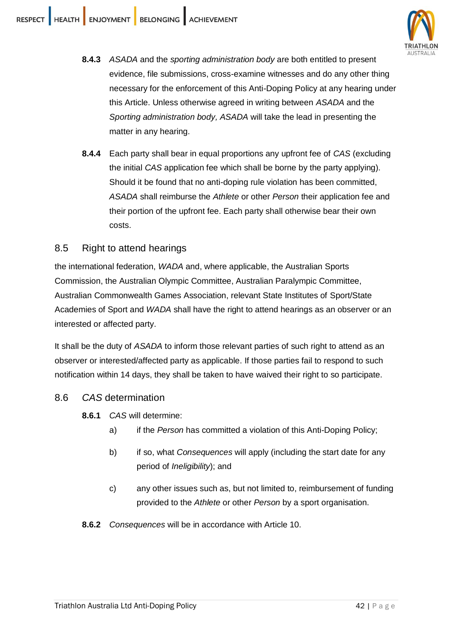

- **8.4.3** *ASADA* and the *sporting administration body* are both entitled to present evidence, file submissions, cross-examine witnesses and do any other thing necessary for the enforcement of this Anti-Doping Policy at any hearing under this Article. Unless otherwise agreed in writing between *ASADA* and the *Sporting administration body, ASADA* will take the lead in presenting the matter in any hearing.
- **8.4.4** Each party shall bear in equal proportions any upfront fee of *CAS* (excluding the initial *CAS* application fee which shall be borne by the party applying). Should it be found that no anti-doping rule violation has been committed, *ASADA* shall reimburse the *Athlete* or other *Person* their application fee and their portion of the upfront fee. Each party shall otherwise bear their own costs.

#### 8.5 Right to attend hearings

the international federation, *WADA* and, where applicable, the Australian Sports Commission, the Australian Olympic Committee, Australian Paralympic Committee, Australian Commonwealth Games Association, relevant State Institutes of Sport/State Academies of Sport and *WADA* shall have the right to attend hearings as an observer or an interested or affected party.

It shall be the duty of *ASADA* to inform those relevant parties of such right to attend as an observer or interested/affected party as applicable. If those parties fail to respond to such notification within 14 days, they shall be taken to have waived their right to so participate.

#### 8.6 *CAS* determination

**8.6.1** *CAS* will determine:

- a) if the *Person* has committed a violation of this Anti-Doping Policy;
- b) if so, what *Consequences* will apply (including the start date for any period of *Ineligibility*); and
- c) any other issues such as, but not limited to, reimbursement of funding provided to the *Athlete* or other *Person* by a sport organisation.
- **8.6.2** *Consequences* will be in accordance with Article 10.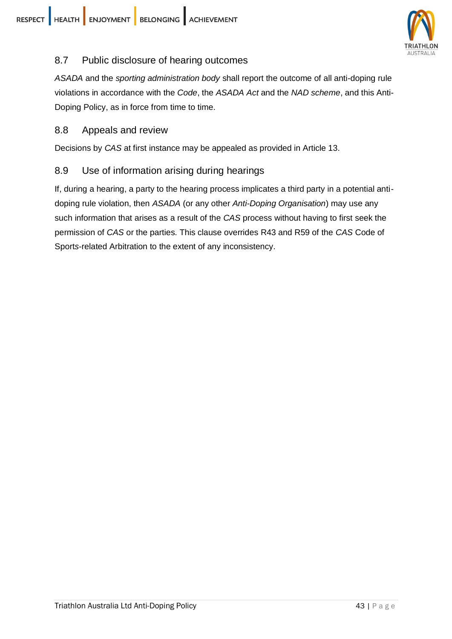

# 8.7 Public disclosure of hearing outcomes

*ASADA* and the *sporting administration body* shall report the outcome of all anti-doping rule violations in accordance with the *Code*, the *ASADA Act* and the *NAD scheme*, and this Anti-Doping Policy, as in force from time to time.

### 8.8 Appeals and review

Decisions by *CAS* at first instance may be appealed as provided in Article 13.

## 8.9 Use of information arising during hearings

If, during a hearing, a party to the hearing process implicates a third party in a potential antidoping rule violation, then *ASADA* (or any other *Anti-Doping Organisation*) may use any such information that arises as a result of the *CAS* process without having to first seek the permission of *CAS* or the parties. This clause overrides R43 and R59 of the *CAS* Code of Sport*s*-related Arbitration to the extent of any inconsistency.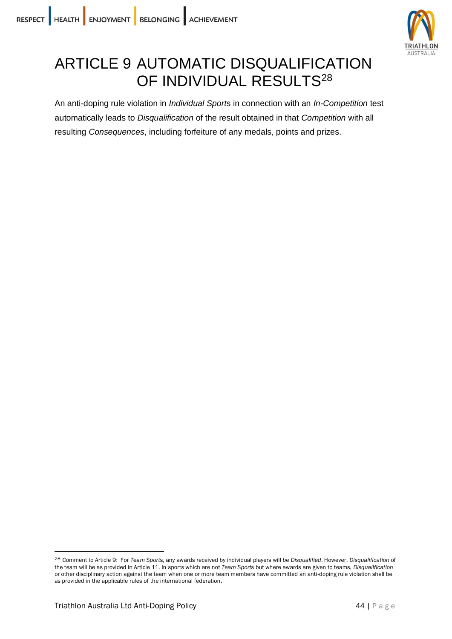

# ARTICLE 9 AUTOMATIC DISQUALIFICATION OF INDIVIDUAL RESULTS<sup>28</sup>

An anti-doping rule violation in *Individual Sport*s in connection with an *In-Competition* test automatically leads to *Disqualification* of the result obtained in that *Competition* with all resulting *Consequences*, including forfeiture of any medals, points and prizes.

<sup>28</sup> Comment to Article 9: For *Team Sport*s, any awards received by individual players will be *Disqualified*. However, *Disqualification* of the team will be as provided in Article 11. In sports which are not *Team Sport*s but where awards are given to teams, *Disqualification* or other disciplinary action against the team when one or more team members have committed an anti-doping rule violation shall be as provided in the applicable rules of the international federation.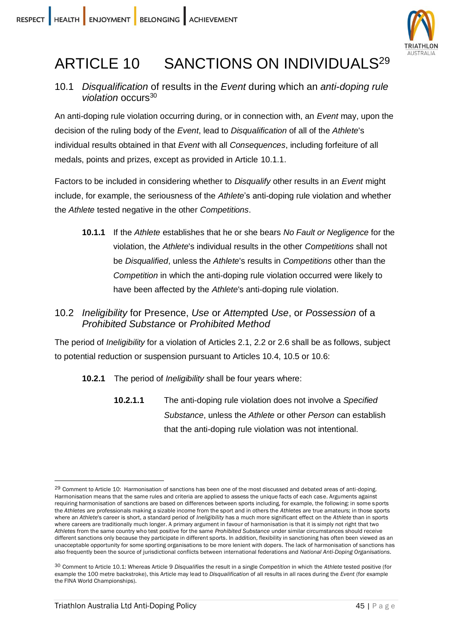

# ARTICLE 10 SANCTIONS ON INDIVIDUALS<sup>29</sup>

### 10.1 *Disqualification* of results in the *Event* during which an *anti-doping rule violation* occurs<sup>30</sup>

An anti-doping rule violation occurring during, or in connection with, an *Event* may, upon the decision of the ruling body of the *Event*, lead to *Disqualification* of all of the *Athlete*'s individual results obtained in that *Event* with all *Consequences*, including forfeiture of all medals, points and prizes, except as provided in Article 10.1.1.

Factors to be included in considering whether to *Disqualify* other results in an *Event* might include, for example, the seriousness of the *Athlete*'s anti-doping rule violation and whether the *Athlete* tested negative in the other *Competitions*.

**10.1.1** If the *Athlete* establishes that he or she bears *No Fault or Negligence* for the violation, the *Athlete*'s individual results in the other *Competitions* shall not be *Disqualified*, unless the *Athlete*'s results in *Competitions* other than the *Competition* in which the anti-doping rule violation occurred were likely to have been affected by the *Athlete*'s anti-doping rule violation.

## 10.2 *Ineligibility* for Presence, *Use* or *Attempt*ed *Use*, or *Possession* of a *Prohibited Substance* or *Prohibited Method*

The period of *Ineligibility* for a violation of Articles 2.1, 2.2 or 2.6 shall be as follows, subject to potential reduction or suspension pursuant to Articles 10.4, 10.5 or 10.6:

- **10.2.1** The period of *Ineligibility* shall be four years where:
	- **10.2.1.1** The anti-doping rule violation does not involve a *Specified Substance*, unless the *Athlete* or other *Person* can establish that the anti-doping rule violation was not intentional.

<sup>&</sup>lt;sup>29</sup> Comment to Article 10: Harmonisation of sanctions has been one of the most discussed and debated areas of anti-doping. Harmonisation means that the same rules and criteria are applied to assess the unique facts of each case. Arguments against requiring harmonisation of sanctions are based on differences between sports including, for example, the following: in some sports the *Athletes* are professionals making a sizable income from the sport and in others the *Athletes* are true amateurs; in those sports where an *Athlete*'s career is short, a standard period of *Ineligibility* has a much more significant effect on the *Athlete* than in sports where careers are traditionally much longer. A primary argument in favour of harmonisation is that it is simply not right that two *Athletes* from the same country who test positive for the same *Prohibited Substance* under similar circumstances should receive different sanctions only because they participate in different sports. In addition, flexibility in sanctioning has often been viewed as an unacceptable opportunity for some sporting organisations to be more lenient with dopers. The lack of harmonisation of sanctions has also frequently been the source of jurisdictional conflicts between international federations and *National Anti-Doping Organisations*.

<sup>30</sup> Comment to Article 10.1: Whereas Article 9 *Disqualifies* the result in a single *Competition* in which the *Athlete* tested positive (for example the 100 metre backstroke), this Article may lead to *Disqualification* of all results in all races during the *Event* (for example the FINA World Championships).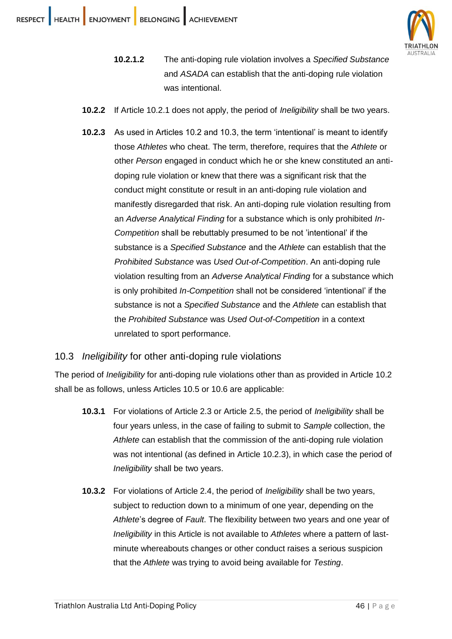

- **10.2.1.2** The anti-doping rule violation involves a *Specified Substance* and *ASADA* can establish that the anti-doping rule violation was intentional.
- **10.2.2** If Article 10.2.1 does not apply, the period of *Ineligibility* shall be two years.
- **10.2.3** As used in Articles 10.2 and 10.3, the term 'intentional' is meant to identify those *Athletes* who cheat. The term, therefore, requires that the *Athlete* or other *Person* engaged in conduct which he or she knew constituted an antidoping rule violation or knew that there was a significant risk that the conduct might constitute or result in an anti-doping rule violation and manifestly disregarded that risk. An anti-doping rule violation resulting from an *Adverse Analytical Finding* for a substance which is only prohibited *In-Competition* shall be rebuttably presumed to be not 'intentional' if the substance is a *Specified Substance* and the *Athlete* can establish that the *Prohibited Substance* was *Used Out-of-Competition*. An anti-doping rule violation resulting from an *Adverse Analytical Finding* for a substance which is only prohibited *In-Competition* shall not be considered 'intentional' if the substance is not a *Specified Substance* and the *Athlete* can establish that the *Prohibited Substance* was *Used Out-of-Competition* in a context unrelated to sport performance.

#### 10.3 *Ineligibility* for other anti-doping rule violation*s*

The period of *Ineligibility* for anti-doping rule violations other than as provided in Article 10.2 shall be as follows, unless Articles 10.5 or 10.6 are applicable:

- **10.3.1** For violations of Article 2.3 or Article 2.5, the period of *Ineligibility* shall be four years unless, in the case of failing to submit to *Sample* collection, the *Athlete* can establish that the commission of the anti-doping rule violation was not intentional (as defined in Article 10.2.3), in which case the period of *Ineligibility* shall be two years.
- **10.3.2** For violations of Article 2.4, the period of *Ineligibility* shall be two years, subject to reduction down to a minimum of one year, depending on the *Athlete*'s degree of *Fault*. The flexibility between two years and one year of *Ineligibility* in this Article is not available to *Athletes* where a pattern of lastminute whereabouts changes or other conduct raises a serious suspicion that the *Athlete* was trying to avoid being available for *Testing*.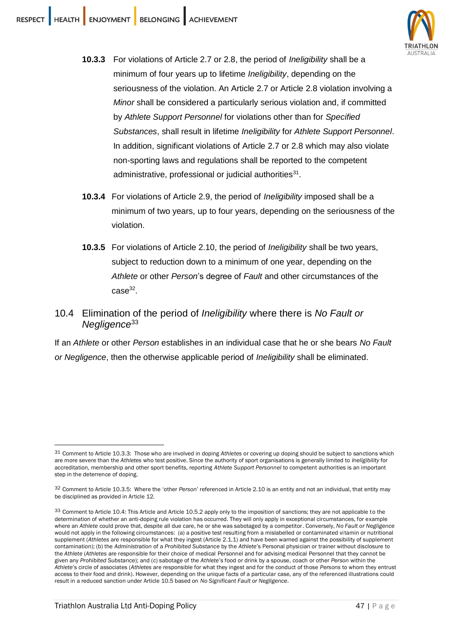

- **10.3.3** For violations of Article 2.7 or 2.8, the period of *Ineligibility* shall be a minimum of four years up to lifetime *Ineligibility*, depending on the seriousness of the violation. An Article 2.7 or Article 2.8 violation involving a *Minor* shall be considered a particularly serious violation and, if committed by *Athlete Support Personnel* for violations other than for *Specified Substances*, shall result in lifetime *Ineligibility* for *Athlete Support Personnel*. In addition, significant violations of Article 2.7 or 2.8 which may also violate non-sporting laws and regulations shall be reported to the competent administrative, professional or judicial authorities $31$ .
- **10.3.4** For violations of Article 2.9, the period of *Ineligibility* imposed shall be a minimum of two years, up to four years, depending on the seriousness of the violation.
- **10.3.5** For violations of Article 2.10, the period of *Ineligibility* shall be two years, subject to reduction down to a minimum of one year, depending on the *Athlete* or other *Person*'s degree of *Fault* and other circumstances of the  $case^{32}$ .
- 10.4 Elimination of the period of *Ineligibility* where there is *No Fault or Negligence*<sup>33</sup>

If an *Athlete* or other *Person* establishes in an individual case that he or she bears *No Fault or Negligence*, then the otherwise applicable period of *Ineligibility* shall be eliminated.

1

<sup>31</sup> Comment to Article 10.3.3: Those who are involved in doping *Athletes* or covering up doping should be subject to sanctions which are more severe than the *Athletes* who test positive. Since the authority of sport organisations is generally limited to *Ineligibility* for accreditation, membership and other sport benefits, reporting *Athlete Support Personnel* to competent authorities is an important step in the deterrence of doping.

<sup>32</sup> Comment to Article 10.3.5: Where the 'other *Person*' referenced in Article 2.10 is an entity and not an individual, that entity may be disciplined as provided in Article 12.

<sup>33</sup> Comment to Article 10.4: This Article and Article 10.5.2 apply only to the imposition of sanctions; they are not applicable to the determination of whether an anti-doping rule violation has occurred. They will only apply in exceptional circumstances, for example where an *Athlete* could prove that, despite all due care, he or she was sabotaged by a competitor. Conversely, *No Fault or Negligence* would not apply in the following circumstances: (a) a positive test resulting from a mislabelled or contaminated vitamin or nutritional supplement (*Athletes* are responsible for what they ingest (Article 2.1.1) and have been warned against the possibility of supplement contamination); (b) the *Administration* of a *Prohibited Substance* by the *Athlete*'s Personal physician or trainer without disclosure to the *Athlete* (*Athletes* are responsible for their choice of medical Personnel and for advising medical Personnel that they cannot be given any *Prohibited Substance*); and (c) sabotage of the *Athlete*'s food or drink by a spouse, coach or other *Person* within the *Athlete*'s circle of associates (*Athletes* are responsible for what they ingest and for the conduct of those *Persons* to whom they entrust access to their food and drink). However, depending on the unique facts of a particular case, any of the referenced illustrations could result in a reduced sanction under Article 10.5 based on *No Significant Fault or Negligence*.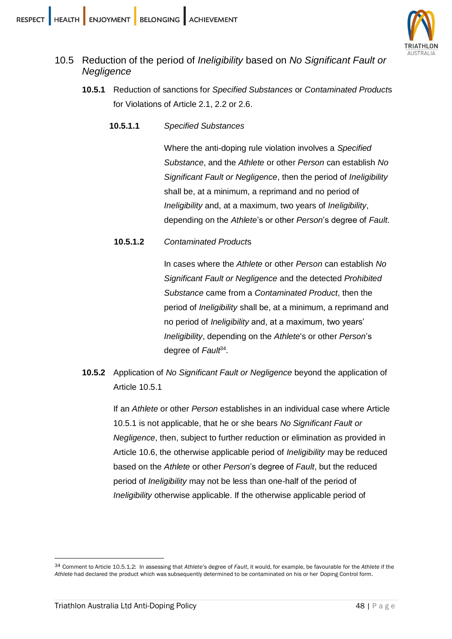

### 10.5 Reduction of the period of *Ineligibility* based on *No Significant Fault or Negligence*

- **10.5.1** Reduction of sanctions for *Specified Substances* or *Contaminated Product*s for Violations of Article 2.1, 2.2 or 2.6.
	- **10.5.1.1** *Specified Substances*

Where the anti-doping rule violation involves a *Specified Substance*, and the *Athlete* or other *Person* can establish *No Significant Fault or Negligence*, then the period of *Ineligibility* shall be, at a minimum, a reprimand and no period of *Ineligibility* and, at a maximum, two years of *Ineligibility*, depending on the *Athlete*'s or other *Person*'s degree of *Fault*.

#### **10.5.1.2** *Contaminated Product*s

In cases where the *Athlete* or other *Person* can establish *No Significant Fault or Negligence* and the detected *Prohibited Substance* came from a *Contaminated Product*, then the period of *Ineligibility* shall be, at a minimum, a reprimand and no period of *Ineligibility* and, at a maximum, two years' *Ineligibility*, depending on the *Athlete*'s or other *Person*'s degree of Fault<sup>34</sup>.

**10.5.2** Application of *No Significant Fault or Negligence* beyond the application of Article 10.5.1

> If an *Athlete* or other *Person* establishes in an individual case where Article 10.5.1 is not applicable, that he or she bears *No Significant Fault or Negligence*, then, subject to further reduction or elimination as provided in Article 10.6, the otherwise applicable period of *Ineligibility* may be reduced based on the *Athlete* or other *Person*'s degree of *Fault*, but the reduced period of *Ineligibility* may not be less than one-half of the period of *Ineligibility* otherwise applicable. If the otherwise applicable period of

<sup>34</sup> Comment to Article 10.5.1.2: In assessing that *Athlete*'s degree of *Fault*, it would, for example, be favourable for the *Athlete* if the *Athlete* had declared the product which was subsequently determined to be contaminated on his or her Doping Control form.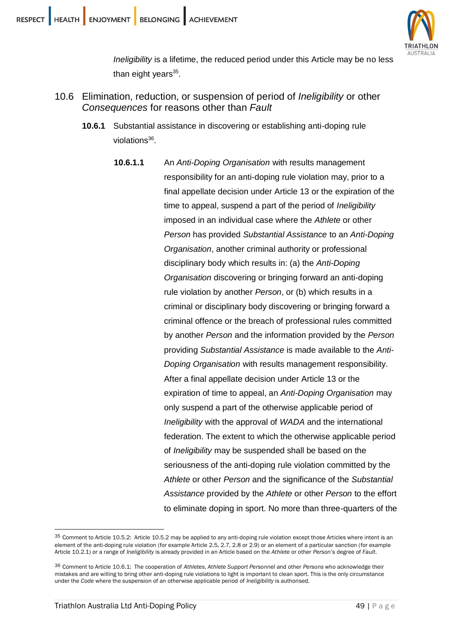

*Ineligibility* is a lifetime, the reduced period under this Article may be no less than eight years $35$ .

#### 10.6 Elimination, reduction, or suspension of period of *Ineligibility* or other *Consequences* for reasons other than *Fault*

- **10.6.1** Substantial assistance in discovering or establishing anti-doping rule violations<sup>36</sup>.
	- **10.6.1.1** An *Anti-Doping Organisation* with results management responsibility for an anti-doping rule violation may, prior to a final appellate decision under Article 13 or the expiration of the time to appeal, suspend a part of the period of *Ineligibility* imposed in an individual case where the *Athlete* or other *Person* has provided *Substantial Assistance* to an *Anti-Doping Organisation*, another criminal authority or professional disciplinary body which results in: (a) the *Anti-Doping Organisation* discovering or bringing forward an anti-doping rule violation by another *Person*, or (b) which results in a criminal or disciplinary body discovering or bringing forward a criminal offence or the breach of professional rules committed by another *Person* and the information provided by the *Person* providing *Substantial Assistance* is made available to the *Anti-Doping Organisation* with results management responsibility. After a final appellate decision under Article 13 or the expiration of time to appeal, an *Anti-Doping Organisation* may only suspend a part of the otherwise applicable period of *Ineligibility* with the approval of *WADA* and the international federation. The extent to which the otherwise applicable period of *Ineligibility* may be suspended shall be based on the seriousness of the anti-doping rule violation committed by the *Athlete* or other *Person* and the significance of the *Substantial Assistance* provided by the *Athlete* or other *Person* to the effort to eliminate doping in sport. No more than three-quarters of the

<sup>35</sup> Comment to Article 10.5.2: Article 10.5.2 may be applied to any anti-doping rule violation except those Articles where intent is an element of the anti-doping rule violation (for example Article 2.5, 2.7, 2.8 or 2.9) or an element of a particular sanction (for example Article 10.2.1) or a range of *Ineligibility* is already provided in an Article based on the *Athlete* or other *Person*'s degree of *Fault*.

<sup>36</sup> Comment to Article 10.6.1: The cooperation of *Athletes*, *Athlete Support Personnel* and other *Persons* who acknowledge their mistakes and are willing to bring other anti-doping rule violations to light is important to clean sport. This is the only circumstance under the *Code* where the suspension of an otherwise applicable period of *Ineligibility* is authorised.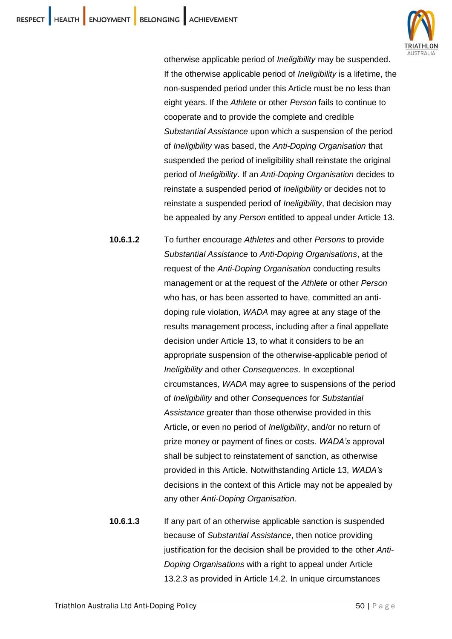

otherwise applicable period of *Ineligibility* may be suspended. If the otherwise applicable period of *Ineligibility* is a lifetime, the non-suspended period under this Article must be no less than eight years. If the *Athlete* or other *Person* fails to continue to cooperate and to provide the complete and credible *Substantial Assistance* upon which a suspension of the period of *Ineligibility* was based, the *Anti-Doping Organisation* that suspended the period of ineligibility shall reinstate the original period of *Ineligibility*. If an *Anti-Doping Organisation* decides to reinstate a suspended period of *Ineligibility* or decides not to reinstate a suspended period of *Ineligibility*, that decision may be appealed by any *Person* entitled to appeal under Article 13.

**10.6.1.2** To further encourage *Athletes* and other *Persons* to provide *Substantial Assistance* to *Anti-Doping Organisations*, at the request of the *Anti-Doping Organisation* conducting results management or at the request of the *Athlete* or other *Person* who has, or has been asserted to have, committed an antidoping rule violation, *WADA* may agree at any stage of the results management process, including after a final appellate decision under Article 13, to what it considers to be an appropriate suspension of the otherwise-applicable period of *Ineligibility* and other *Consequences*. In exceptional circumstances, *WADA* may agree to suspensions of the period of *Ineligibility* and other *Consequences* for *Substantial Assistance* greater than those otherwise provided in this Article, or even no period of *Ineligibility*, and/or no return of prize money or payment of fines or costs. *WADA's* approval shall be subject to reinstatement of sanction, as otherwise provided in this Article. Notwithstanding Article 13, *WADA's* decisions in the context of this Article may not be appealed by any other *Anti-Doping Organisation*.

**10.6.1.3** If any part of an otherwise applicable sanction is suspended because of *Substantial Assistance*, then notice providing justification for the decision shall be provided to the other *Anti-Doping Organisations* with a right to appeal under Article 13.2.3 as provided in Article 14.2. In unique circumstances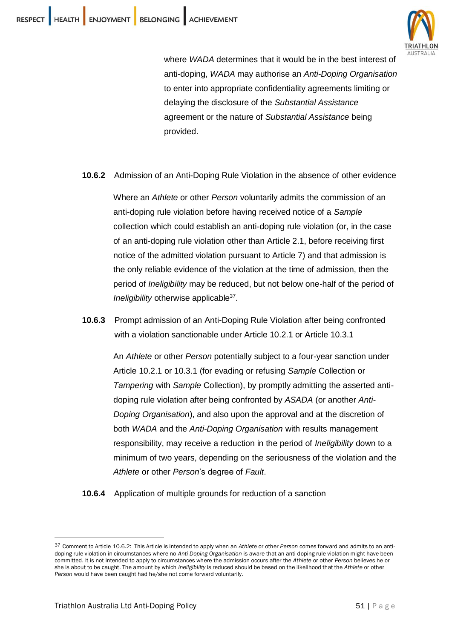

where *WADA* determines that it would be in the best interest of anti-doping, *WADA* may authorise an *Anti-Doping Organisation* to enter into appropriate confidentiality agreements limiting or delaying the disclosure of the *Substantial Assistance* agreement or the nature of *Substantial Assistance* being provided.

#### **10.6.2** Admission of an Anti-Doping Rule Violation in the absence of other evidence

Where an *Athlete* or other *Person* voluntarily admits the commission of an anti-doping rule violation before having received notice of a *Sample* collection which could establish an anti-doping rule violation (or, in the case of an anti-doping rule violation other than Article 2.1, before receiving first notice of the admitted violation pursuant to Article 7) and that admission is the only reliable evidence of the violation at the time of admission, then the period of *Ineligibility* may be reduced, but not below one-half of the period of Ineligibility otherwise applicable<sup>37</sup>.

**10.6.3** Prompt admission of an Anti-Doping Rule Violation after being confronted with a violation sanctionable under Article 10.2.1 or Article 10.3.1

An *Athlete* or other *Person* potentially subject to a four-year sanction under Article 10.2.1 or 10.3.1 (for evading or refusing *Sample* Collection or *Tampering* with *Sample* Collection), by promptly admitting the asserted antidoping rule violation after being confronted by *ASADA* (or another *Anti-Doping Organisation*), and also upon the approval and at the discretion of both *WADA* and the *Anti-Doping Organisation* with results management responsibility, may receive a reduction in the period of *Ineligibility* down to a minimum of two years, depending on the seriousness of the violation and the *Athlete* or other *Person*'s degree of *Fault*.

**10.6.4** Application of multiple grounds for reduction of a sanction

<sup>37</sup> Comment to Article 10.6.2: This Article is intended to apply when an *Athlete* or other *Person* comes forward and admits to an antidoping rule violation in circumstances where no *Anti-Doping Organisation* is aware that an anti-doping rule violation might have been committed. It is not intended to apply to circumstances where the admission occurs after the *Athlete* or other *Person* believes he or she is about to be caught. The amount by which *Ineligibility* is reduced should be based on the likelihood that the *Athlete* or other *Person* would have been caught had he/she not come forward voluntarily.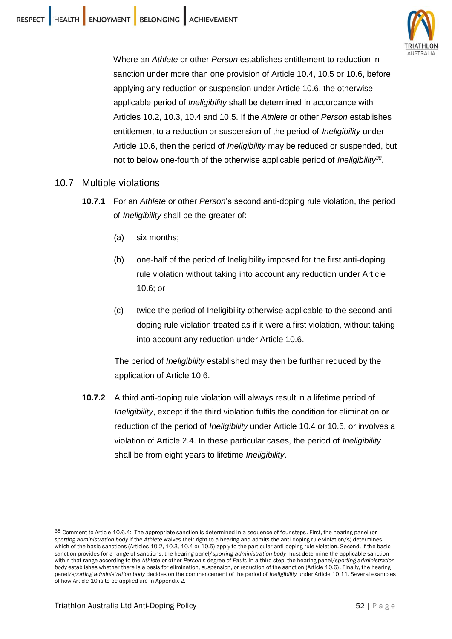

Where an *Athlete* or other *Person* establishes entitlement to reduction in sanction under more than one provision of Article 10.4, 10.5 or 10.6, before applying any reduction or suspension under Article 10.6, the otherwise applicable period of *Ineligibility* shall be determined in accordance with Articles 10.2, 10.3, 10.4 and 10.5. If the *Athlete* or other *Person* establishes entitlement to a reduction or suspension of the period of *Ineligibility* under Article 10.6, then the period of *Ineligibility* may be reduced or suspended, but not to below one-fourth of the otherwise applicable period of *Ineligibility<sup>38</sup>* .

#### 10.7 Multiple violations

- **10.7.1** For an *Athlete* or other *Person*'s second anti-doping rule violation, the period of *Ineligibility* shall be the greater of:
	- (a) six months;
	- (b) one-half of the period of Ineligibility imposed for the first anti-doping rule violation without taking into account any reduction under Article 10.6; or
	- (c) twice the period of Ineligibility otherwise applicable to the second antidoping rule violation treated as if it were a first violation, without taking into account any reduction under Article 10.6.

The period of *Ineligibility* established may then be further reduced by the application of Article 10.6.

**10.7.2** A third anti-doping rule violation will always result in a lifetime period of *Ineligibility*, except if the third violation fulfils the condition for elimination or reduction of the period of *Ineligibility* under Article 10.4 or 10.5, or involves a violation of Article 2.4. In these particular cases, the period of *Ineligibility* shall be from eight years to lifetime *Ineligibility*.

<sup>38</sup> Comment to Article 10.6.4: The appropriate sanction is determined in a sequence of four steps. First, the hearing panel (or *sporting administration body* if the *Athlete* waives their right to a hearing and admits the anti-doping rule violation/s) determines which of the basic sanctions (Articles 10.2, 10.3, 10.4 or 10.5) apply to the particular anti-doping rule violation. Second, if the basic sanction provides for a range of sanctions, the hearing panel/*sporting administration body* must determine the applicable sanction within that range according to the *Athlete* or other *Person*'s degree of *Fault*. In a third step, the hearing panel/*sporting administration body* establishes whether there is a basis for elimination, suspension, or reduction of the sanction (Article 10.6). Finally, the hearing panel/*sporting administration body* decides on the commencement of the period of *Ineligibility* under Article 10.11. Several examples of how Article 10 is to be applied are in Appendix 2.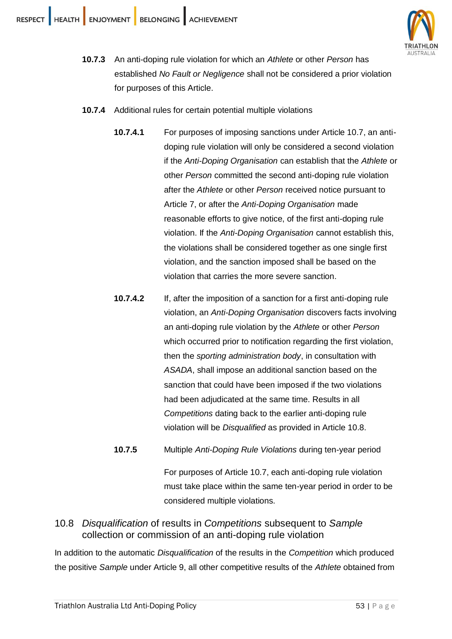

- **10.7.3** An anti-doping rule violation for which an *Athlete* or other *Person* has established *No Fault or Negligence* shall not be considered a prior violation for purposes of this Article.
- **10.7.4** Additional rules for certain potential multiple violations
	- **10.7.4.1** For purposes of imposing sanctions under Article 10.7, an antidoping rule violation will only be considered a second violation if the *Anti-Doping Organisation* can establish that the *Athlete* or other *Person* committed the second anti-doping rule violation after the *Athlete* or other *Person* received notice pursuant to Article 7, or after the *Anti-Doping Organisation* made reasonable efforts to give notice, of the first anti-doping rule violation. If the *Anti-Doping Organisation* cannot establish this, the violations shall be considered together as one single first violation, and the sanction imposed shall be based on the violation that carries the more severe sanction.
	- **10.7.4.2** If, after the imposition of a sanction for a first anti-doping rule violation, an *Anti-Doping Organisation* discovers facts involving an anti-doping rule violation by the *Athlete* or other *Person* which occurred prior to notification regarding the first violation, then the *sporting administration body*, in consultation with *ASADA*, shall impose an additional sanction based on the sanction that could have been imposed if the two violations had been adjudicated at the same time. Results in all *Competitions* dating back to the earlier anti-doping rule violation will be *Disqualified* as provided in Article 10.8.
	- **10.7.5** Multiple *Anti-Doping Rule Violations* during ten-year period

For purposes of Article 10.7, each anti-doping rule violation must take place within the same ten-year period in order to be considered multiple violations.

## 10.8 *Disqualification* of results in *Competitions* subsequent to *Sample* collection or commission of an anti-doping rule violation

In addition to the automatic *Disqualification* of the results in the *Competition* which produced the positive *Sample* under Article 9, all other competitive results of the *Athlete* obtained from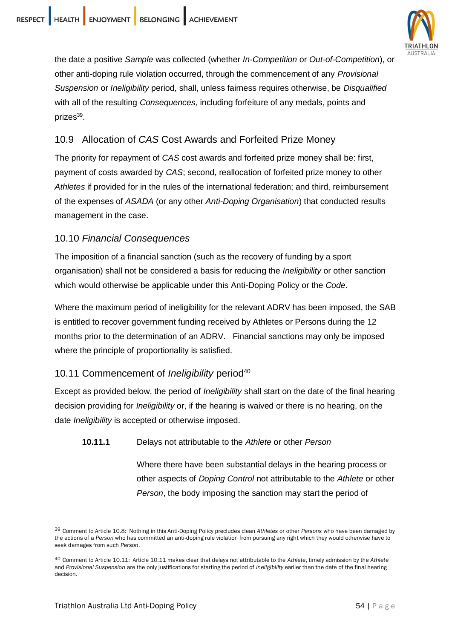

the date a positive *Sample* was collected (whether *In-Competition* or *Out-of-Competition*), or other anti-doping rule violation occurred, through the commencement of any *Provisional Suspension* or *Ineligibility* period, shall, unless fairness requires otherwise, be *Disqualified* with all of the resulting *Consequences,* including forfeiture of any medals, points and prizes<sup>39</sup>.

## 10.9 Allocation of *CAS* Cost Awards and Forfeited Prize Money

The priority for repayment of *CAS* cost awards and forfeited prize money shall be: first, payment of costs awarded by *CAS*; second, reallocation of forfeited prize money to other *Athletes* if provided for in the rules of the international federation; and third, reimbursement of the expenses of *ASADA* (or any other *Anti-Doping Organisation*) that conducted results management in the case.

## 10.10 *Financial Consequences*

The imposition of a financial sanction (such as the recovery of funding by a sport organisation) shall not be considered a basis for reducing the *Ineligibility* or other sanction which would otherwise be applicable under this Anti-Doping Policy or the *Code*.

Where the maximum period of ineligibility for the relevant ADRV has been imposed, the SAB is entitled to recover government funding received by Athletes or Persons during the 12 months prior to the determination of an ADRV. Financial sanctions may only be imposed where the principle of proportionality is satisfied.

### 10.11 Commencement of *Ineligibility* period<sup>40</sup>

Except as provided below, the period of *Ineligibility* shall start on the date of the final hearing decision providing for *Ineligibility* or, if the hearing is waived or there is no hearing, on the date *Ineligibility* is accepted or otherwise imposed.

### **10.11.1** Delays not attributable to the *Athlete* or other *Person*

Where there have been substantial delays in the hearing process or other aspects of *Doping Control* not attributable to the *Athlete* or other *Person*, the body imposing the sanction may start the period of

 $\overline{a}$ 

<sup>39</sup> Comment to Article 10.8: Nothing in this Anti-Doping Policy precludes clean *Athletes* or other *Persons* who have been damaged by the actions of a *Person* who has committed an anti-doping rule violation from pursuing any right which they would otherwise have to seek damages from such *Person*.

<sup>40</sup> Comment to Article 10.11: Article 10.11 makes clear that delays not attributable to the *Athlete*, timely admission by the *Athlete* and *Provisional Suspension* are the only justifications for starting the period of *Ineligibility* earlier than the date of the final hearing decision.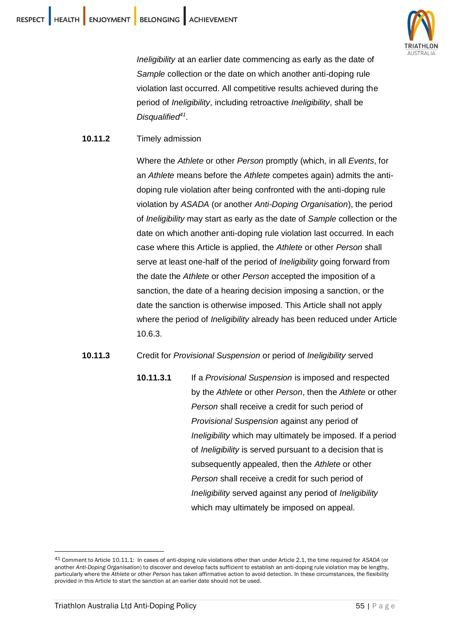

*Ineligibility* at an earlier date commencing as early as the date of *Sample* collection or the date on which another anti-doping rule violation last occurred. All competitive results achieved during the period of *Ineligibility*, including retroactive *Ineligibility*, shall be *Disqualified<sup>41</sup>* .

#### **10.11.2** Timely admission

Where the *Athlete* or other *Person* promptly (which, in all *Events*, for an *Athlete* means before the *Athlete* competes again) admits the antidoping rule violation after being confronted with the anti-doping rule violation by *ASADA* (or another *Anti-Doping Organisation*), the period of *Ineligibility* may start as early as the date of *Sample* collection or the date on which another anti-doping rule violation last occurred. In each case where this Article is applied, the *Athlete* or other *Person* shall serve at least one-half of the period of *Ineligibility* going forward from the date the *Athlete* or other *Person* accepted the imposition of a sanction, the date of a hearing decision imposing a sanction, or the date the sanction is otherwise imposed. This Article shall not apply where the period of *Ineligibility* already has been reduced under Article 10.6.3.

#### **10.11.3** Credit for *Provisional Suspension* or period of *Ineligibility* served

**10.11.3.1** If a *Provisional Suspension* is imposed and respected by the *Athlete* or other *Person*, then the *Athlete* or other *Person* shall receive a credit for such period of *Provisional Suspension* against any period of *Ineligibility* which may ultimately be imposed. If a period of *Ineligibility* is served pursuant to a decision that is subsequently appealed, then the *Athlete* or other *Person* shall receive a credit for such period of *Ineligibility* served against any period of *Ineligibility* which may ultimately be imposed on appeal.

<sup>41</sup> Comment to Article 10.11.1: In cases of anti-doping rule violations other than under Article 2.1, the time required for *ASADA* (or another *Anti-Doping Organisation*) to discover and develop facts sufficient to establish an anti-doping rule violation may be lengthy, particularly where the *Athlete* or other *Person* has taken affirmative action to avoid detection. In these circumstances, the flexibility provided in this Article to start the sanction at an earlier date should not be used.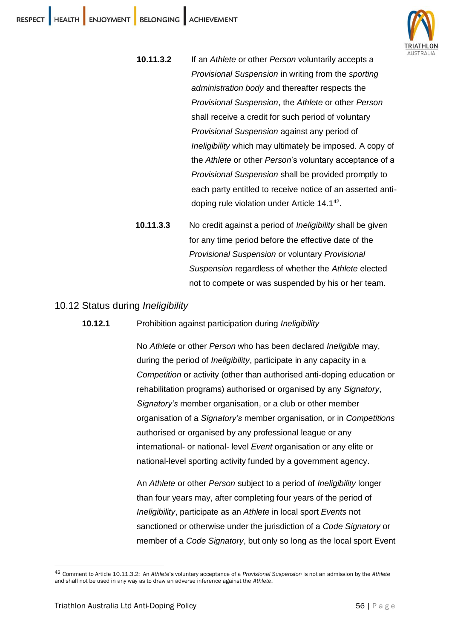

- **10.11.3.2** If an *Athlete* or other *Person* voluntarily accepts a *Provisional Suspension* in writing from the *sporting administration body* and thereafter respects the *Provisional Suspension*, the *Athlete* or other *Person* shall receive a credit for such period of voluntary *Provisional Suspension* against any period of *Ineligibility* which may ultimately be imposed. A copy of the *Athlete* or other *Person*'s voluntary acceptance of a *Provisional Suspension* shall be provided promptly to each party entitled to receive notice of an asserted antidoping rule violation under Article 14.1<sup>42</sup>.
- **10.11.3.3** No credit against a period of *Ineligibility* shall be given for any time period before the effective date of the *Provisional Suspension* or voluntary *Provisional Suspension* regardless of whether the *Athlete* elected not to compete or was suspended by his or her team.

#### 10.12 Status during *Ineligibility*

**10.12.1** Prohibition against participation during *Ineligibility*

No *Athlete* or other *Person* who has been declared *Ineligible* may, during the period of *Ineligibility*, participate in any capacity in a *Competition* or activity (other than authorised anti-doping education or rehabilitation programs) authorised or organised by any *Signatory*, *Signatory's* member organisation, or a club or other member organisation of a *Signatory's* member organisation, or in *Competitions* authorised or organised by any professional league or any international- or national- level *Event* organisation or any elite or national-level sporting activity funded by a government agency.

An *Athlete* or other *Person* subject to a period of *Ineligibility* longer than four years may, after completing four years of the period of *Ineligibility*, participate as an *Athlete* in local sport *Events* not sanctioned or otherwise under the jurisdiction of a *Code Signatory* or member of a *Code Signatory*, but only so long as the local sport Event

 $\overline{a}$ 

<sup>42</sup> Comment to Article 10.11.3.2: An *Athlete*'s voluntary acceptance of a *Provisional Suspension* is not an admission by the *Athlete* and shall not be used in any way as to draw an adverse inference against the *Athlete*.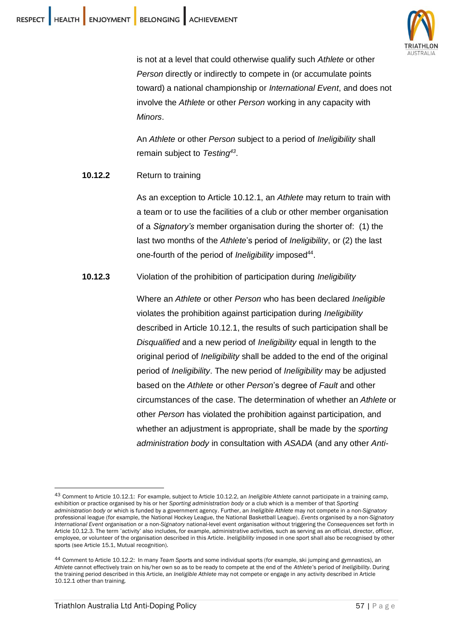

is not at a level that could otherwise qualify such *Athlete* or other *Person* directly or indirectly to compete in (or accumulate points toward) a national championship or *International Event*, and does not involve the *Athlete* or other *Person* working in any capacity with *Minors*.

An *Athlete* or other *Person* subject to a period of *Ineligibility* shall remain subject to *Testing<sup>43</sup>* .

#### **10.12.2** Return to training

As an exception to Article 10.12.1, an *Athlete* may return to train with a team or to use the facilities of a club or other member organisation of a *Signatory's* member organisation during the shorter of: (1) the last two months of the *Athlete*'s period of *Ineligibility*, or (2) the last one-fourth of the period of *Ineligibility* imposed<sup>44</sup>.

**10.12.3** Violation of the prohibition of participation during *Ineligibility*

Where an *Athlete* or other *Person* who has been declared *Ineligible* violates the prohibition against participation during *Ineligibility* described in Article 10.12.1, the results of such participation shall be *Disqualified* and a new period of *Ineligibility* equal in length to the original period of *Ineligibility* shall be added to the end of the original period of *Ineligibility*. The new period of *Ineligibility* may be adjusted based on the *Athlete* or other *Person*'s degree of *Fault* and other circumstances of the case. The determination of whether an *Athlete* or other *Person* has violated the prohibition against participation, and whether an adjustment is appropriate, shall be made by the *sporting administration body* in consultation with *ASADA* (and any other *Anti-*

1

<sup>43</sup> Comment to Article 10.12.1: For example, subject to Article 10.12.2, an *Ineligible Athlete* cannot participate in a training camp, exhibition or practice organised by his or her *Sporting administration body* or a club which is a member of that *Sporting administration body* or which is funded by a government agency. Further, an *Ineligible Athlete* may not compete in a non-*Signatory* professional league (for example, the National Hockey League, the National Basketball League). *Events* organised by a non-*Signatory International Event* organisation or a non-*Signatory* national-level event organisation without triggering the *Consequences* set forth in Article 10.12.3. The term 'activity' also includes, for example, administrative activities, such as serving as an official, director, officer, employee, or volunteer of the organisation described in this Article. *Ineligibility* imposed in one sport shall also be recognised by other sports (see Article 15.1, Mutual recognition).

<sup>44</sup> Comment to Article 10.12.2: In many *Team Sport*s and some individual sports (for example, ski jumping and gymnastics), an *Athlete* cannot effectively train on his/her own so as to be ready to compete at the end of the *Athlete*'s period of *Ineligibility*. During the training period described in this Article, an *Ineligible Athlete* may not compete or engage in any activity described in Article 10.12.1 other than training.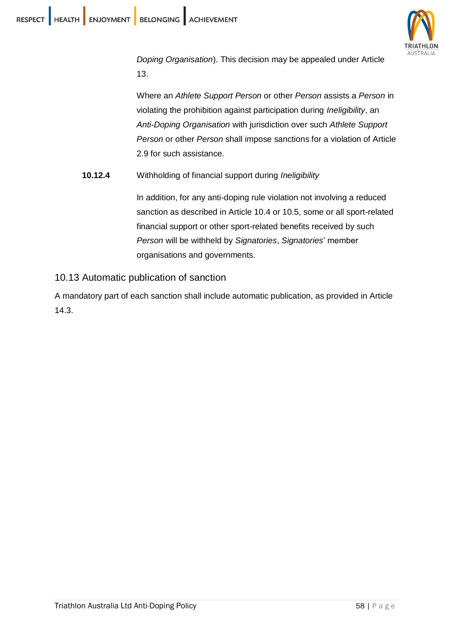

*Doping Organisation*). This decision may be appealed under Article 13.

Where an *Athlete Support Person* or other *Person* assists a *Person* in violating the prohibition against participation during *Ineligibility*, an *Anti-Doping Organisation* with jurisdiction over such *Athlete Support Person* or other *Person* shall impose sanctions for a violation of Article 2.9 for such assistance.

**10.12.4** Withholding of financial support during *Ineligibility*

In addition, for any anti-doping rule violation not involving a reduced sanction as described in Article 10.4 or 10.5, some or all sport-related financial support or other sport-related benefits received by such *Person* will be withheld by *Signatories*, *Signatories*' member organisations and governments.

# 10.13 Automatic publication of sanction

A mandatory part of each sanction shall include automatic publication, as provided in Article 14.3.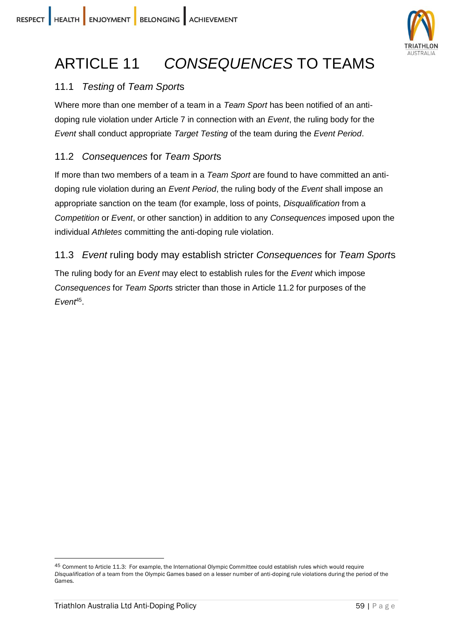

# ARTICLE 11 *CONSEQUENCES* TO TEAMS

# 11.1 *Testing* of *Team Sport*s

Where more than one member of a team in a *Team Sport* has been notified of an antidoping rule violation under Article 7 in connection with an *Event*, the ruling body for the *Event* shall conduct appropriate *Target Testing* of the team during the *Event Period*.

# 11.2 *Consequences* for *Team Sport*s

If more than two members of a team in a *Team Sport* are found to have committed an antidoping rule violation during an *Event Period*, the ruling body of the *Event* shall impose an appropriate sanction on the team (for example, loss of points, *Disqualification* from a *Competition* or *Event*, or other sanction) in addition to any *Consequences* imposed upon the individual *Athletes* committing the anti-doping rule violation.

# 11.3 *Event* ruling body may establish stricter *Consequences* for *Team Sport*s

The ruling body for an *Event* may elect to establish rules for the *Event* which impose *Consequences* for *Team Sport*s stricter than those in Article 11.2 for purposes of the Event<sup>45</sup>.

<sup>45</sup> Comment to Article 11.3: For example, the International Olympic Committee could establish rules which would require *Disqualification* of a team from the Olympic Games based on a lesser number of anti-doping rule violations during the period of the Games.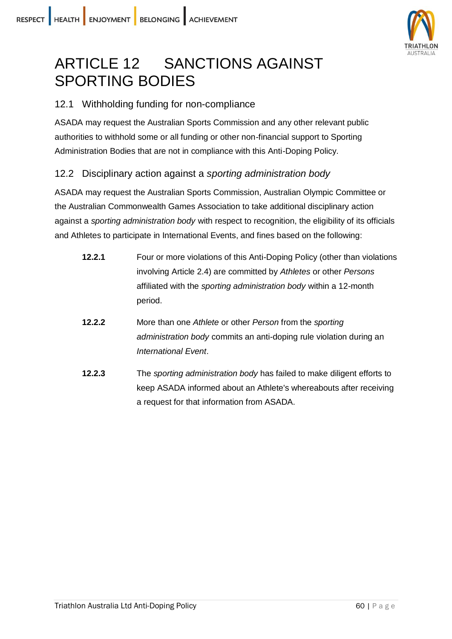

# ARTICLE 12 SANCTIONS AGAINST SPORTING BODIES

## 12.1 Withholding funding for non-compliance

ASADA may request the Australian Sports Commission and any other relevant public authorities to withhold some or all funding or other non-financial support to Sporting Administration Bodies that are not in compliance with this Anti-Doping Policy.

## 12.2 Disciplinary action against a *sporting administration body*

ASADA may request the Australian Sports Commission, Australian Olympic Committee or the Australian Commonwealth Games Association to take additional disciplinary action against a *sporting administration body* with respect to recognition, the eligibility of its officials and Athletes to participate in International Events, and fines based on the following:

- **12.2.1** Four or more violations of this Anti-Doping Policy (other than violations involving Article 2.4) are committed by *Athletes* or other *Persons* affiliated with the *sporting administration body* within a 12-month period.
- **12.2.2** More than one *Athlete* or other *Person* from the *sporting administration body* commits an anti-doping rule violation during an *International Event*.
- **12.2.3** The *sporting administration body* has failed to make diligent efforts to keep ASADA informed about an Athlete's whereabouts after receiving a request for that information from ASADA.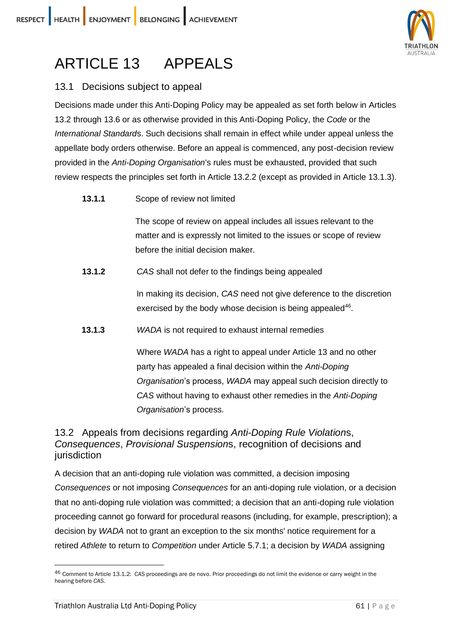

# ARTICLE 13 APPEALS

### 13.1 Decisions subject to appeal

Decisions made under this Anti-Doping Policy may be appealed as set forth below in Articles 13.2 through 13.6 or as otherwise provided in this Anti-Doping Policy, the *Code* or the *International Standard*s. Such decisions shall remain in effect while under appeal unless the appellate body orders otherwise. Before an appeal is commenced, any post-decision review provided in the *Anti-Doping Organisation*'s rules must be exhausted, provided that such review respects the principles set forth in Article 13.2.2 (except as provided in Article 13.1.3).

**13.1.1** Scope of review not limited

The scope of review on appeal includes all issues relevant to the matter and is expressly not limited to the issues or scope of review before the initial decision maker.

**13.1.2** *CAS* shall not defer to the findings being appealed

In making its decision, *CAS* need not give deference to the discretion exercised by the body whose decision is being appealed<sup>46</sup>.

**13.1.3** *WADA* is not required to exhaust internal remedies

Where *WADA* has a right to appeal under Article 13 and no other party has appealed a final decision within the *Anti-Doping Organisation*'s process, *WADA* may appeal such decision directly to *CAS* without having to exhaust other remedies in the *Anti-Doping Organisation*'s process.

## 13.2 Appeals from decisions regarding *Anti-Doping Rule Violation*s, *Consequences*, *Provisional Suspension*s, recognition of decisions and **jurisdiction**

A decision that an anti-doping rule violation was committed, a decision imposing *Consequences* or not imposing *Consequences* for an anti-doping rule violation, or a decision that no anti-doping rule violation was committed; a decision that an anti-doping rule violation proceeding cannot go forward for procedural reasons (including, for example, prescription); a decision by *WADA* not to grant an exception to the six months' notice requirement for a retired *Athlete* to return to *Competition* under Article 5.7.1; a decision by *WADA* assigning

 $\overline{a}$ 

<sup>46</sup> Comment to Article 13.1.2: *CAS* proceedings are de novo. Prior proceedings do not limit the evidence or carry weight in the hearing before *CAS*.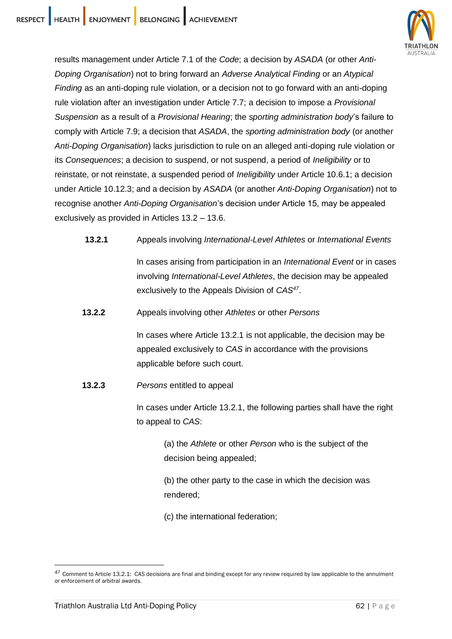

results management under Article 7.1 of the *Code*; a decision by *ASADA* (or other *Anti-Doping Organisation*) not to bring forward an *Adverse Analytical Finding* or an *Atypical Finding* as an anti-doping rule violation, or a decision not to go forward with an anti-doping rule violation after an investigation under Article 7.7; a decision to impose a *Provisional Suspension* as a result of a *Provisional Hearing*; the *sporting administration body*'s failure to comply with Article 7.9; a decision that *ASADA*, the *sporting administration body* (or another *Anti-Doping Organisation*) lacks jurisdiction to rule on an alleged anti-doping rule violation or its *Consequences*; a decision to suspend, or not suspend, a period of *Ineligibility* or to reinstate, or not reinstate, a suspended period of *Ineligibility* under Article 10.6.1; a decision under Article 10.12.3; and a decision by *ASADA* (or another *Anti-Doping Organisation*) not to recognise another *Anti-Doping Organisation*'s decision under Article 15, may be appealed exclusively as provided in Articles 13.2 – 13.6.

**13.2.1** Appeals involving *International-Level Athletes* or *International Events*

In cases arising from participation in an *International Event* or in cases involving *International-Level Athletes*, the decision may be appealed exclusively to the Appeals Division of *CAS<sup>47</sup>* .

**13.2.2** Appeals involving other *Athletes* or other *Persons*

In cases where Article 13.2.1 is not applicable, the decision may be appealed exclusively to *CAS* in accordance with the provisions applicable before such court.

**13.2.3** *Persons* entitled to appeal

In cases under Article 13.2.1, the following parties shall have the right to appeal to *CAS*:

> (a) the *Athlete* or other *Person* who is the subject of the decision being appealed;

> (b) the other party to the case in which the decision was rendered;

(c) the international federation;

 $\overline{a}$ 

<sup>47</sup> Comment to Article 13.2.1: *CAS* decisions are final and binding except for any review required by law applicable to the annulment or enforcement of arbitral awards.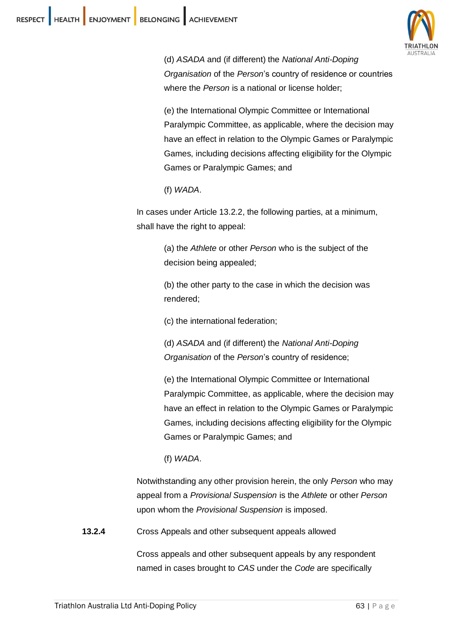

(d) *ASADA* and (if different) the *National Anti-Doping Organisation* of the *Person*'s country of residence or countries where the *Person* is a national or license holder;

(e) the International Olympic Committee or International Paralympic Committee, as applicable, where the decision may have an effect in relation to the Olympic Games or Paralympic Games, including decisions affecting eligibility for the Olympic Games or Paralympic Games; and

(f) *WADA*.

In cases under Article 13.2.2, the following parties, at a minimum, shall have the right to appeal:

> (a) the *Athlete* or other *Person* who is the subject of the decision being appealed;

> (b) the other party to the case in which the decision was rendered;

(c) the international federation;

(d) *ASADA* and (if different) the *National Anti-Doping Organisation* of the *Person*'s country of residence;

(e) the International Olympic Committee or International Paralympic Committee, as applicable, where the decision may have an effect in relation to the Olympic Games or Paralympic Games, including decisions affecting eligibility for the Olympic Games or Paralympic Games; and

(f) *WADA*.

Notwithstanding any other provision herein, the only *Person* who may appeal from a *Provisional Suspension* is the *Athlete* or other *Person* upon whom the *Provisional Suspension* is imposed.

**13.2.4** Cross Appeals and other subsequent appeals allowed

Cross appeals and other subsequent appeals by any respondent named in cases brought to *CAS* under the *Code* are specifically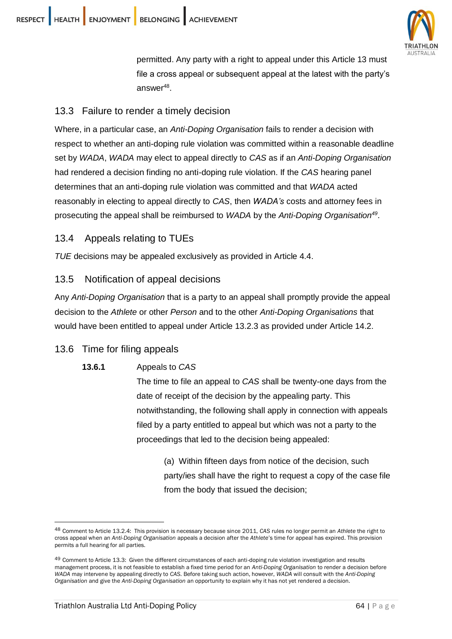

permitted. Any party with a right to appeal under this Article 13 must file a cross appeal or subsequent appeal at the latest with the party's answer<sup>48</sup>.

## 13.3 Failure to render a timely decision

Where, in a particular case, an *Anti-Doping Organisation* fails to render a decision with respect to whether an anti-doping rule violation was committed within a reasonable deadline set by *WADA*, *WADA* may elect to appeal directly to *CAS* as if an *Anti-Doping Organisation* had rendered a decision finding no anti-doping rule violation. If the *CAS* hearing panel determines that an anti-doping rule violation was committed and that *WADA* acted reasonably in electing to appeal directly to *CAS*, then *WADA's* costs and attorney fees in prosecuting the appeal shall be reimbursed to *WADA* by the *Anti-Doping Organisation<sup>49</sup>* .

### 13.4 Appeals relating to TUEs

*TUE* decisions may be appealed exclusively as provided in Article 4.4.

### 13.5 Notification of appeal decisions

Any *Anti-Doping Organisation* that is a party to an appeal shall promptly provide the appeal decision to the *Athlete* or other *Person* and to the other *Anti-Doping Organisations* that would have been entitled to appeal under Article 13.2.3 as provided under Article 14.2.

### 13.6 Time for filing appeals

**13.6.1** Appeals to *CAS*

The time to file an appeal to *CAS* shall be twenty-one days from the date of receipt of the decision by the appealing party. This notwithstanding, the following shall apply in connection with appeals filed by a party entitled to appeal but which was not a party to the proceedings that led to the decision being appealed:

> (a) Within fifteen days from notice of the decision, such party/ies shall have the right to request a copy of the case file from the body that issued the decision;

 $\overline{a}$ 

<sup>48</sup> Comment to Article 13.2.4: This provision is necessary because since 2011, *CAS* rules no longer permit an *Athlete* the right to cross appeal when an *Anti-Doping Organisation* appeals a decision after the *Athlete*'s time for appeal has expired. This provision permits a full hearing for all parties.

<sup>49</sup> Comment to Article 13.3: Given the different circumstances of each anti-doping rule violation investigation and results management process, it is not feasible to establish a fixed time period for an *Anti-Doping Organisation* to render a decision before *WADA* may intervene by appealing directly to *CAS*. Before taking such action, however, *WADA* will consult with the *Anti-Doping Organisation* and give the *Anti-Doping Organisation* an opportunity to explain why it has not yet rendered a decision.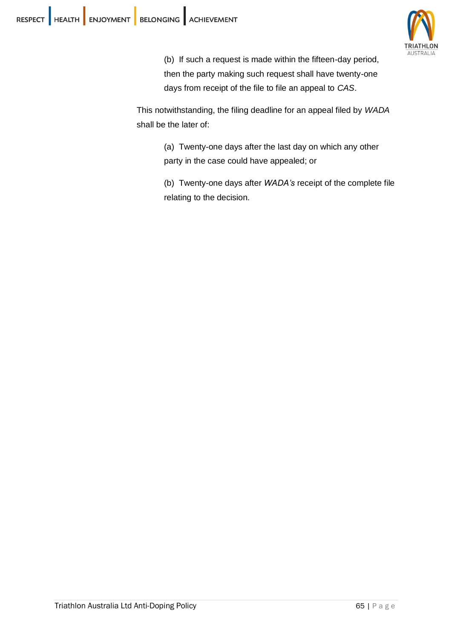

(b) If such a request is made within the fifteen-day period, then the party making such request shall have twenty-one days from receipt of the file to file an appeal to *CAS*.

This notwithstanding, the filing deadline for an appeal filed by *WADA* shall be the later of:

> (a) Twenty-one days after the last day on which any other party in the case could have appealed; or

(b) Twenty-one days after *WADA's* receipt of the complete file relating to the decision.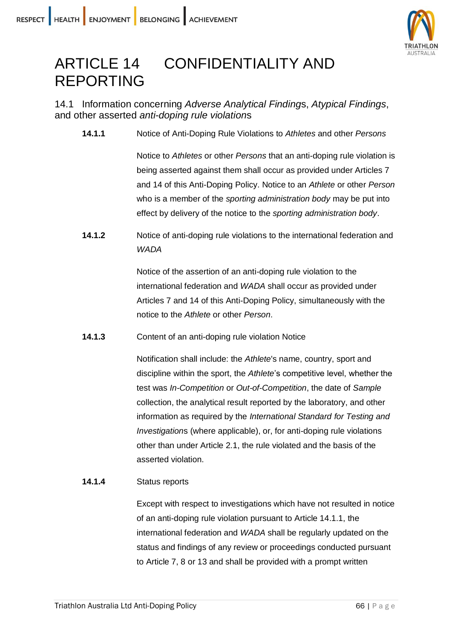

# ARTICLE 14 CONFIDENTIALITY AND REPORTING

14.1 Information concerning *Adverse Analytical Finding*s, *Atypical Findings*, and other asserted *anti-doping rule violation*s

**14.1.1** Notice of Anti-Doping Rule Violations to *Athletes* and other *Persons*

Notice to *Athletes* or other *Persons* that an anti-doping rule violation is being asserted against them shall occur as provided under Articles 7 and 14 of this Anti-Doping Policy. Notice to an *Athlete* or other *Person* who is a member of the *sporting administration body* may be put into effect by delivery of the notice to the *sporting administration body*.

**14.1.2** Notice of anti-doping rule violations to the international federation and *WADA*

> Notice of the assertion of an anti-doping rule violation to the international federation and *WADA* shall occur as provided under Articles 7 and 14 of this Anti-Doping Policy, simultaneously with the notice to the *Athlete* or other *Person*.

**14.1.3** Content of an anti-doping rule violation Notice

Notification shall include: the *Athlete*'s name, country, sport and discipline within the sport, the *Athlete*'s competitive level, whether the test was *In-Competition* or *Out-of-Competition*, the date of *Sample* collection, the analytical result reported by the laboratory, and other information as required by the *International Standard for Testing and Investigation*s (where applicable), or, for anti-doping rule violations other than under Article 2.1, the rule violated and the basis of the asserted violation.

#### **14.1.4** Status reports

Except with respect to investigations which have not resulted in notice of an anti-doping rule violation pursuant to Article 14.1.1, the international federation and *WADA* shall be regularly updated on the status and findings of any review or proceedings conducted pursuant to Article 7, 8 or 13 and shall be provided with a prompt written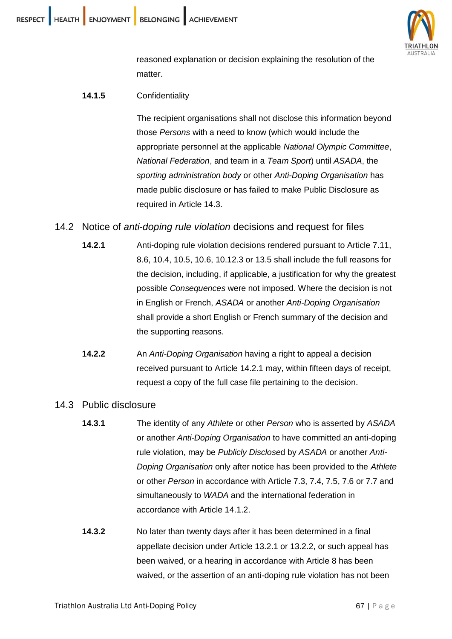

reasoned explanation or decision explaining the resolution of the matter.

#### **14.1.5** Confidentiality

The recipient organisations shall not disclose this information beyond those *Persons* with a need to know (which would include the appropriate personnel at the applicable *National Olympic Committee*, *National Federation*, and team in a *Team Sport*) until *ASADA*, the *sporting administration body* or other *Anti-Doping Organisation* has made public disclosure or has failed to make Public Disclosure as required in Article 14.3.

#### 14.2 Notice of *anti-doping rule violation* decisions and request for files

- **14.2.1** Anti-doping rule violation decisions rendered pursuant to Article 7.11, 8.6, 10.4, 10.5, 10.6, 10.12.3 or 13.5 shall include the full reasons for the decision, including, if applicable, a justification for why the greatest possible *Consequences* were not imposed. Where the decision is not in English or French, *ASADA* or another *Anti-Doping Organisation* shall provide a short English or French summary of the decision and the supporting reasons.
- **14.2.2** An *Anti-Doping Organisation* having a right to appeal a decision received pursuant to Article 14.2.1 may, within fifteen days of receipt, request a copy of the full case file pertaining to the decision.

#### 14.3 Public disclosure

- **14.3.1** The identity of any *Athlete* or other *Person* who is asserted by *ASADA* or another *Anti-Doping Organisation* to have committed an anti-doping rule violation, may be *Publicly Disclose*d by *ASADA* or another *Anti-Doping Organisation* only after notice has been provided to the *Athlete* or other *Person* in accordance with Article 7.3, 7.4, 7.5, 7.6 or 7.7 and simultaneously to *WADA* and the international federation in accordance with Article 14.1.2.
- **14.3.2** No later than twenty days after it has been determined in a final appellate decision under Article 13.2.1 or 13.2.2, or such appeal has been waived, or a hearing in accordance with Article 8 has been waived, or the assertion of an anti-doping rule violation has not been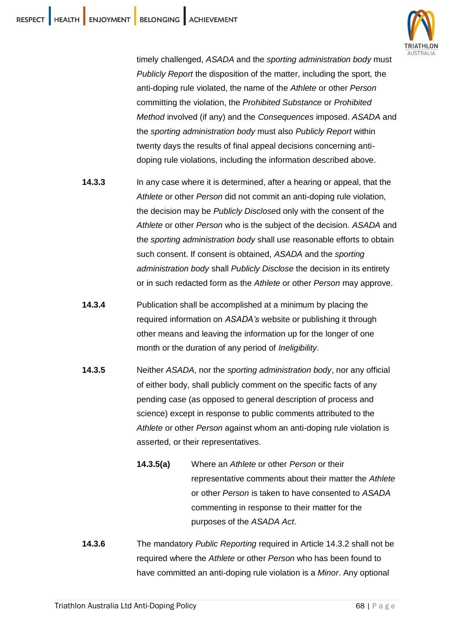

timely challenged, *ASADA* and the *sporting administration body* must *Publicly Report* the disposition of the matter, including the sport, the anti-doping rule violated, the name of the *Athlete* or other *Person* committing the violation, the *Prohibited Substance* or *Prohibited Method* involved (if any) and the *Consequences* imposed. *ASADA* and the *sporting administration body* must also *Publicly Report* within twenty days the results of final appeal decisions concerning antidoping rule violations, including the information described above.

- **14.3.3** In any case where it is determined, after a hearing or appeal, that the *Athlete* or other *Person* did not commit an anti-doping rule violation, the decision may be *Publicly Disclose*d only with the consent of the *Athlete* or other *Person* who is the subject of the decision. *ASADA* and the *sporting administration body* shall use reasonable efforts to obtain such consent. If consent is obtained, *ASADA* and the *sporting administration body* shall *Publicly Disclose* the decision in its entirety or in such redacted form as the *Athlete* or other *Person* may approve.
- **14.3.4** Publication shall be accomplished at a minimum by placing the required information on *ASADA's* website or publishing it through other means and leaving the information up for the longer of one month or the duration of any period of *Ineligibility*.
- **14.3.5** Neither *ASADA*, nor the *sporting administration body*, nor any official of either body, shall publicly comment on the specific facts of any pending case (as opposed to general description of process and science) except in response to public comments attributed to the *Athlete* or other *Person* against whom an anti-doping rule violation is asserted, or their representatives.
	- **14.3.5(a)** Where an *Athlete* or other *Person* or their representative comments about their matter the *Athlete* or other *Person* is taken to have consented to *ASADA* commenting in response to their matter for the purposes of the *ASADA Act*.
- **14.3.6** The mandatory *Public Reporting* required in Article 14.3.2 shall not be required where the *Athlete* or other *Person* who has been found to have committed an anti-doping rule violation is a *Minor*. Any optional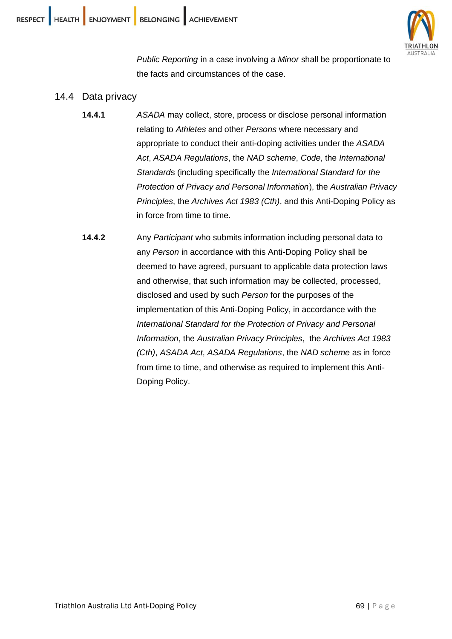

*Public Reporting* in a case involving a *Minor* shall be proportionate to the facts and circumstances of the case.

- 14.4 Data privacy
	- **14.4.1** *ASADA* may collect, store, process or disclose personal information relating to *Athletes* and other *Persons* where necessary and appropriate to conduct their anti-doping activities under the *ASADA Act*, *ASADA Regulations*, the *NAD scheme*, *Code*, the *International Standard*s (including specifically the *International Standard for the Protection of Privacy and Personal Information*), the *Australian Privacy Principles*, the *Archives Act 1983 (Cth)*, and this Anti-Doping Policy as in force from time to time.
	- **14.4.2** Any *Participant* who submits information including personal data to any *Person* in accordance with this Anti-Doping Policy shall be deemed to have agreed, pursuant to applicable data protection laws and otherwise, that such information may be collected, processed, disclosed and used by such *Person* for the purposes of the implementation of this Anti-Doping Policy, in accordance with the *International Standard for the Protection of Privacy and Personal Information*, the *Australian Privacy Principles*, the *Archives Act 1983 (Cth)*, *ASADA Act*, *ASADA Regulations*, the *NAD scheme* as in force from time to time, and otherwise as required to implement this Anti-Doping Policy.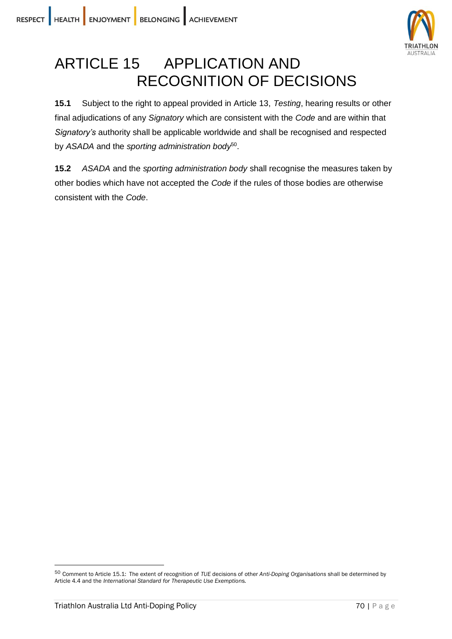

### ARTICLE 15 APPLICATION AND RECOGNITION OF DECISIONS

**15.1** Subject to the right to appeal provided in Article 13, *Testing*, hearing results or other final adjudications of any *Signatory* which are consistent with the *Code* and are within that *Signatory's* authority shall be applicable worldwide and shall be recognised and respected by ASADA and the *sporting administration body*<sup>50</sup>.

**15.2** *ASADA* and the *sporting administration body* shall recognise the measures taken by other bodies which have not accepted the *Code* if the rules of those bodies are otherwise consistent with the *Code*.

 $\overline{a}$ 

<sup>50</sup> Comment to Article 15.1: The extent of recognition of *TUE* decisions of other *Anti-Doping Organisations* shall be determined by Article 4.4 and the *International Standard for Therapeutic Use Exemption*s.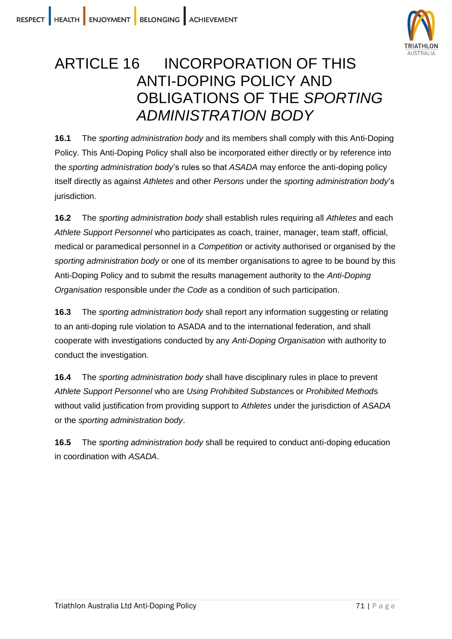

### ARTICLE 16 INCORPORATION OF THIS ANTI-DOPING POLICY AND OBLIGATIONS OF THE *SPORTING ADMINISTRATION BODY*

**16.1** The *sporting administration body* and its members shall comply with this Anti-Doping Policy. This Anti-Doping Policy shall also be incorporated either directly or by reference into the *sporting administration body*'s rules so that *ASADA* may enforce the anti-doping policy itself directly as against *Athletes* and other *Persons* under the *sporting administration body*'s jurisdiction.

**16.2** The *sporting administration body* shall establish rules requiring all *Athletes* and each *Athlete Support Personnel* who participates as coach, trainer, manager, team staff, official, medical or paramedical personnel in a *Competition* or activity authorised or organised by the *sporting administration body* or one of its member organisations to agree to be bound by this Anti-Doping Policy and to submit the results management authority to the *Anti-Doping Organisation* responsible under *the Code* as a condition of such participation.

**16.3** The *sporting administration body* shall report any information suggesting or relating to an anti-doping rule violation to ASADA and to the international federation, and shall cooperate with investigations conducted by any *Anti-Doping Organisation* with authority to conduct the investigation.

**16.4** The *sporting administration body* shall have disciplinary rules in place to prevent *Athlete Support Personnel* who are *Using Prohibited Substance*s or *Prohibited Method*s without valid justification from providing support to *Athletes* under the jurisdiction of *ASADA* or the *sporting administration body*.

**16.5** The *sporting administration body* shall be required to conduct anti-doping education in coordination with *ASADA*.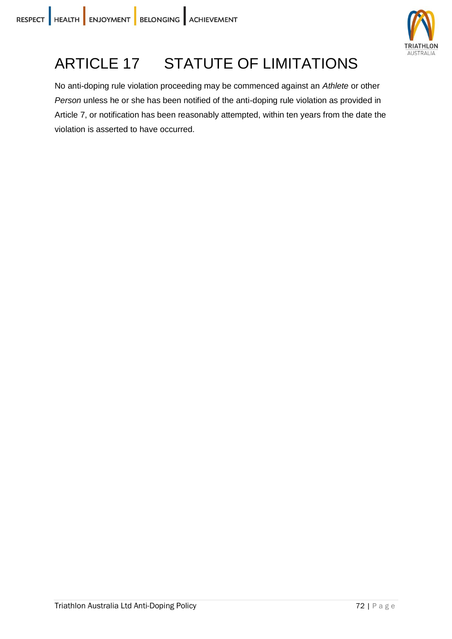

# ARTICLE 17 STATUTE OF LIMITATIONS

No anti-doping rule violation proceeding may be commenced against an *Athlete* or other *Person* unless he or she has been notified of the anti-doping rule violation as provided in Article 7, or notification has been reasonably attempted, within ten years from the date the violation is asserted to have occurred.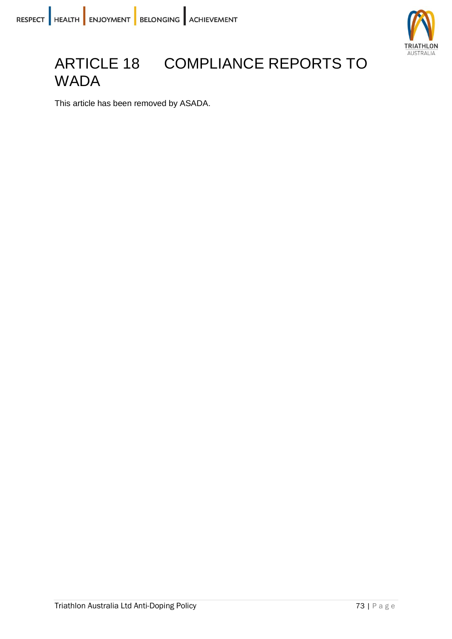

### ARTICLE 18 COMPLIANCE REPORTS TO **WADA**

This article has been removed by ASADA.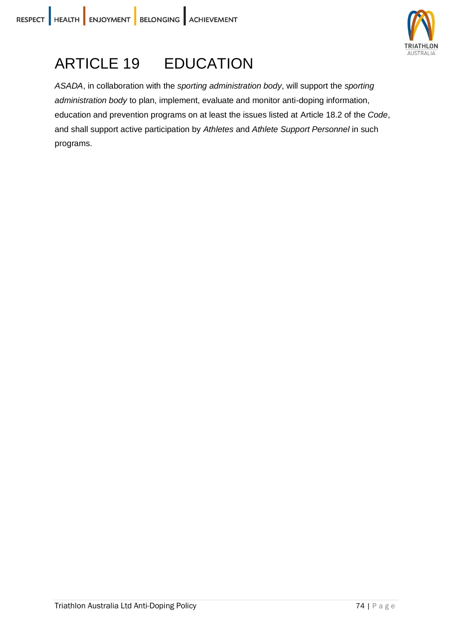

# ARTICLE 19 EDUCATION

*ASADA*, in collaboration with the *sporting administration body*, will support the *sporting administration body* to plan, implement, evaluate and monitor anti-doping information, education and prevention programs on at least the issues listed at Article 18.2 of the *Code*, and shall support active participation by *Athletes* and *Athlete Support Personnel* in such programs.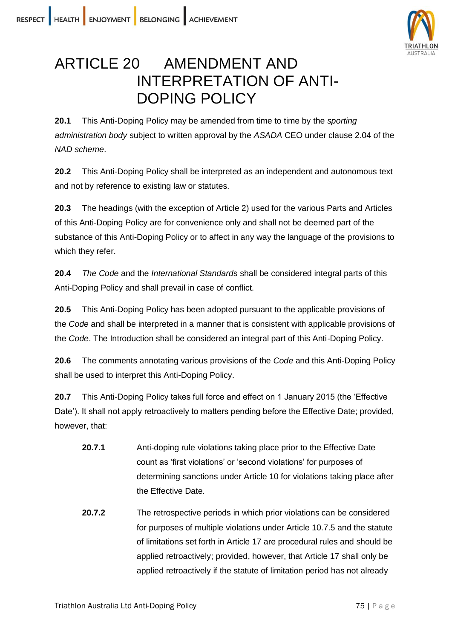

## ARTICLE 20 AMENDMENT AND INTERPRETATION OF ANTI-DOPING POLICY

**20.1** This Anti-Doping Policy may be amended from time to time by the *sporting administration body* subject to written approval by the *ASADA* CEO under clause 2.04 of the *NAD scheme*.

**20.2** This Anti-Doping Policy shall be interpreted as an independent and autonomous text and not by reference to existing law or statutes.

**20.3** The headings (with the exception of Article 2) used for the various Parts and Articles of this Anti-Doping Policy are for convenience only and shall not be deemed part of the substance of this Anti-Doping Policy or to affect in any way the language of the provisions to which they refer.

**20.4** *The Code* and the *International Standard*s shall be considered integral parts of this Anti-Doping Policy and shall prevail in case of conflict.

**20.5** This Anti-Doping Policy has been adopted pursuant to the applicable provisions of the *Code* and shall be interpreted in a manner that is consistent with applicable provisions of the *Code*. The Introduction shall be considered an integral part of this Anti-Doping Policy.

**20.6** The comments annotating various provisions of the *Code* and this Anti-Doping Policy shall be used to interpret this Anti-Doping Policy.

**20.7** This Anti-Doping Policy takes full force and effect on 1 January 2015 (the 'Effective Date'). It shall not apply retroactively to matters pending before the Effective Date; provided, however, that:

- **20.7.1** Anti-doping rule violations taking place prior to the Effective Date count as 'first violations' or 'second violations' for purposes of determining sanctions under Article 10 for violations taking place after the Effective Date.
- **20.7.2** The retrospective periods in which prior violations can be considered for purposes of multiple violations under Article 10.7.5 and the statute of limitations set forth in Article 17 are procedural rules and should be applied retroactively; provided, however, that Article 17 shall only be applied retroactively if the statute of limitation period has not already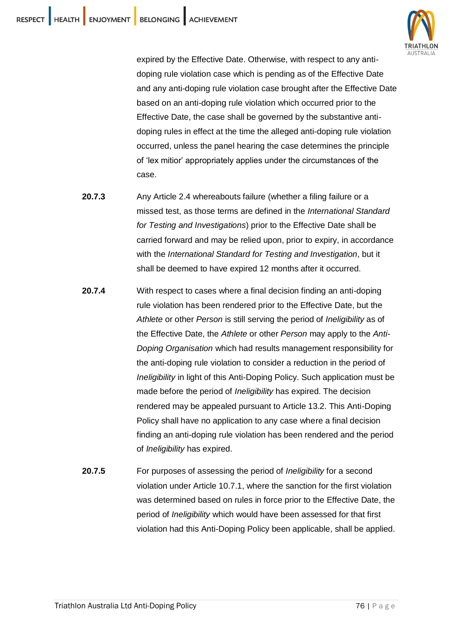

expired by the Effective Date. Otherwise, with respect to any antidoping rule violation case which is pending as of the Effective Date and any anti-doping rule violation case brought after the Effective Date based on an anti-doping rule violation which occurred prior to the Effective Date, the case shall be governed by the substantive antidoping rules in effect at the time the alleged anti-doping rule violation occurred, unless the panel hearing the case determines the principle of 'lex mitior' appropriately applies under the circumstances of the case.

- **20.7.3** Any Article 2.4 whereabouts failure (whether a filing failure or a missed test, as those terms are defined in the *International Standard for Testing and Investigations*) prior to the Effective Date shall be carried forward and may be relied upon, prior to expiry, in accordance with the *International Standard for Testing and Investigation*, but it shall be deemed to have expired 12 months after it occurred.
- **20.7.4** With respect to cases where a final decision finding an anti-doping rule violation has been rendered prior to the Effective Date, but the *Athlete* or other *Person* is still serving the period of *Ineligibility* as of the Effective Date, the *Athlete* or other *Person* may apply to the *Anti-Doping Organisation* which had results management responsibility for the anti-doping rule violation to consider a reduction in the period of *Ineligibility* in light of this Anti-Doping Policy. Such application must be made before the period of *Ineligibility* has expired. The decision rendered may be appealed pursuant to Article 13.2. This Anti-Doping Policy shall have no application to any case where a final decision finding an anti-doping rule violation has been rendered and the period of *Ineligibility* has expired.
- **20.7.5** For purposes of assessing the period of *Ineligibility* for a second violation under Article 10.7.1, where the sanction for the first violation was determined based on rules in force prior to the Effective Date, the period of *Ineligibility* which would have been assessed for that first violation had this Anti-Doping Policy been applicable, shall be applied.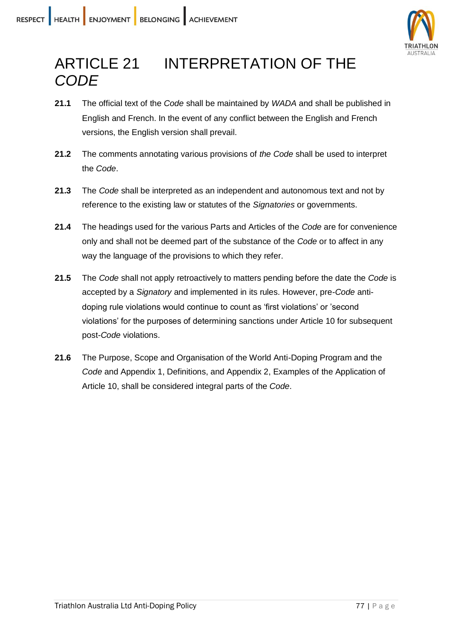

## ARTICLE 21 INTERPRETATION OF THE *CODE*

- **21.1** The official text of the *Code* shall be maintained by *WADA* and shall be published in English and French. In the event of any conflict between the English and French versions, the English version shall prevail.
- **21.2** The comments annotating various provisions of *the Code* shall be used to interpret the *Code*.
- **21.3** The *Code* shall be interpreted as an independent and autonomous text and not by reference to the existing law or statutes of the *Signatories* or governments.
- **21.4** The headings used for the various Parts and Articles of the *Code* are for convenience only and shall not be deemed part of the substance of the *Code* or to affect in any way the language of the provisions to which they refer.
- **21.5** The *Code* shall not apply retroactively to matters pending before the date the *Code* is accepted by a *Signatory* and implemented in its rules. However, pre-*Code* antidoping rule violations would continue to count as 'first violations' or 'second violations' for the purposes of determining sanctions under Article 10 for subsequent post-*Code* violations.
- **21.6** The Purpose, Scope and Organisation of the World Anti-Doping Program and the *Code* and Appendix 1, Definitions, and Appendix 2, Examples of the Application of Article 10, shall be considered integral parts of the *Code*.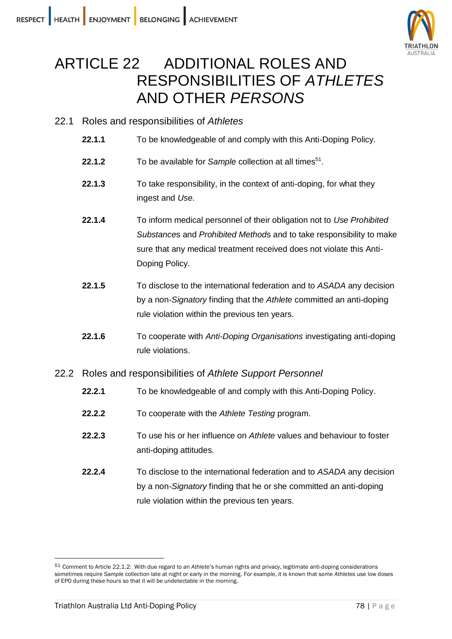

### ARTICLE 22 ADDITIONAL ROLES AND RESPONSIBILITIES OF *ATHLETES* AND OTHER *PERSONS*

- 22.1 Roles and responsibilities of *Athletes*
	- **22.1.1** To be knowledgeable of and comply with this Anti-Doping Policy.
	- **22.1.2** To be available for *Sample* collection at all times<sup>51</sup>.
	- **22.1.3** To take responsibility, in the context of anti-doping, for what they ingest and *Use*.
	- **22.1.4** To inform medical personnel of their obligation not to *Use Prohibited Substance*s and *Prohibited Method*s and to take responsibility to make sure that any medical treatment received does not violate this Anti-Doping Policy.
	- **22.1.5** To disclose to the international federation and to *ASADA* any decision by a non-*Signatory* finding that the *Athlete* committed an anti-doping rule violation within the previous ten years.
	- **22.1.6** To cooperate with *Anti-Doping Organisations* investigating anti-doping rule violations.
- 22.2 Roles and responsibilities of *Athlete Support Personnel*
	- **22.2.1** To be knowledgeable of and comply with this Anti-Doping Policy.
	- **22.2.2** To cooperate with the *Athlete Testing* program.
	- **22.2.3** To use his or her influence on *Athlete* values and behaviour to foster anti-doping attitudes.
	- **22.2.4** To disclose to the international federation and to *ASADA* any decision by a non-*Signatory* finding that he or she committed an anti-doping rule violation within the previous ten years.

-

<sup>51</sup> Comment to Article 22.1.2: With due regard to an *Athlete*'s human rights and privacy, legitimate anti-doping considerations sometimes require *Sample* collection late at night or early in the morning. For example, it is known that some *Athletes* use low doses of EPO during these hours so that it will be undetectable in the morning.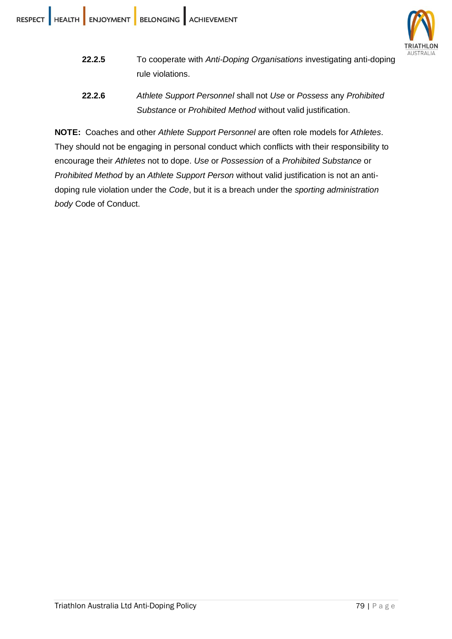

- **22.2.5** To cooperate with *Anti-Doping Organisations* investigating anti-doping rule violations.
- **22.2.6** *Athlete Support Personnel* shall not *Use* or *Possess* any *Prohibited Substance* or *Prohibited Method* without valid justification.

**NOTE:** Coaches and other *Athlete Support Personnel* are often role models for *Athletes*. They should not be engaging in personal conduct which conflicts with their responsibility to encourage their *Athletes* not to dope. *Use* or *Possession* of a *Prohibited Substance* or *Prohibited Method* by an *Athlete Support Person* without valid justification is not an antidoping rule violation under the *Code*, but it is a breach under the *sporting administration body* Code of Conduct.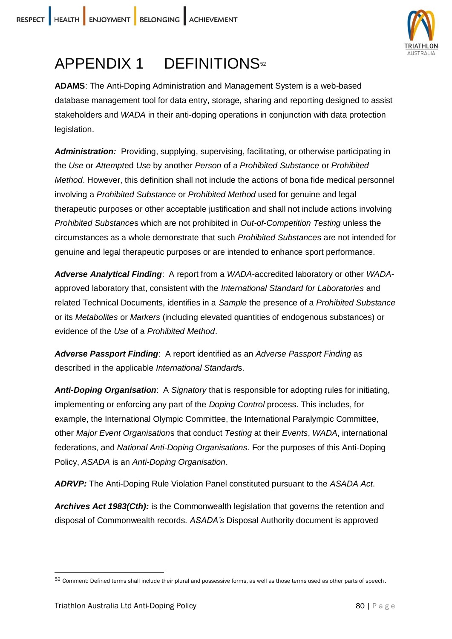

# APPENDIX 1 DEFINITIONS52

**ADAMS**: The Anti-Doping Administration and Management System is a web-based database management tool for data entry, storage, sharing and reporting designed to assist stakeholders and *WADA* in their anti-doping operations in conjunction with data protection legislation.

*Administration:* Providing, supplying, supervising, facilitating, or otherwise participating in the *Use* or *Attempt*ed *Use* by another *Person* of a *Prohibited Substance* or *Prohibited Method*. However, this definition shall not include the actions of bona fide medical personnel involving a *Prohibited Substance* or *Prohibited Method* used for genuine and legal therapeutic purposes or other acceptable justification and shall not include actions involving *Prohibited Substance*s which are not prohibited in *Out-of-Competition Testing* unless the circumstances as a whole demonstrate that such *Prohibited Substance*s are not intended for genuine and legal therapeutic purposes or are intended to enhance sport performance.

*Adverse Analytical Finding*: A report from a *WADA*-accredited laboratory or other *WADA*approved laboratory that, consistent with the *International Standard for Laboratories* and related Technical Documents, identifies in a *Sample* the presence of a *Prohibited Substance* or its *Metabolites* or *Markers* (including elevated quantities of endogenous substances) or evidence of the *Use* of a *Prohibited Method*.

*Adverse Passport Finding*: A report identified as an *Adverse Passport Finding* as described in the applicable *International Standard*s.

*Anti-Doping Organisation*: A *Signatory* that is responsible for adopting rules for initiating, implementing or enforcing any part of the *Doping Control* process. This includes, for example, the International Olympic Committee, the International Paralympic Committee, other *Major Event Organisation*s that conduct *Testing* at their *Events*, *WADA*, international federations, and *National Anti-Doping Organisations*. For the purposes of this Anti-Doping Policy, *ASADA* is an *Anti-Doping Organisation*.

*ADRVP:* The Anti-Doping Rule Violation Panel constituted pursuant to the *ASADA Act*.

*Archives Act 1983(Cth):* is the Commonwealth legislation that governs the retention and disposal of Commonwealth records. *ASADA's* Disposal Authority document is approved

-

<sup>52</sup> Comment: Defined terms shall include their plural and possessive forms, as well as those terms used as other parts of speech .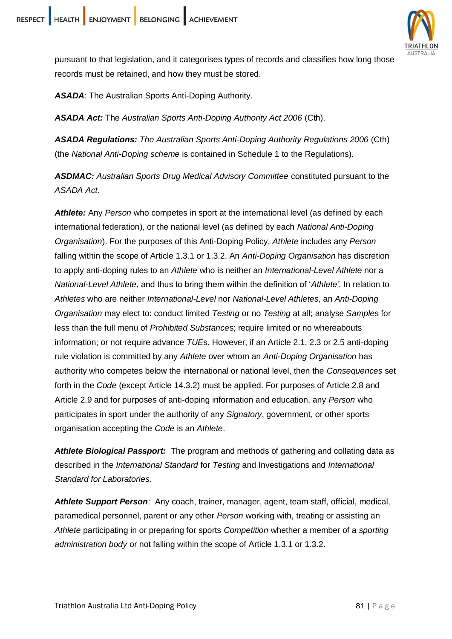

pursuant to that legislation, and it categorises types of records and classifies how long those records must be retained, and how they must be stored.

*ASADA*: The Australian Sports Anti-Doping Authority.

*ASADA Act:* The *Australian Sports Anti-Doping Authority Act 2006* (Cth).

*ASADA Regulations: The Australian Sports Anti-Doping Authority Regulations 2006* (Cth) (the *National Anti-Doping scheme* is contained in Schedule 1 to the Regulations).

*ASDMAC: Australian Sports Drug Medical Advisory Committee* constituted pursuant to the *ASADA Act*.

*Athlete:* Any *Person* who competes in sport at the international level (as defined by each international federation), or the national level (as defined by each *National Anti-Doping Organisation*). For the purposes of this Anti-Doping Policy, *Athlete* includes any *Person* falling within the scope of Article 1.3.1 or 1.3.2. An *Anti-Doping Organisation* has discretion to apply anti-doping rules to an *Athlete* who is neither an *International-Level Athlete* nor a *National-Level Athlete*, and thus to bring them within the definition of '*Athlete'*. In relation to *Athletes* who are neither *International-Level* nor *National-Level Athletes*, an *Anti-Doping Organisation* may elect to: conduct limited *Testing* or no *Testing* at all; analyse *Sample*s for less than the full menu of *Prohibited Substance*s; require limited or no whereabouts information; or not require advance *TUE*s. However, if an Article 2.1, 2.3 or 2.5 anti-doping rule violation is committed by any *Athlete* over whom an *Anti-Doping Organisation* has authority who competes below the international or national level, then the *Consequences* set forth in the *Code* (except Article 14.3.2) must be applied. For purposes of Article 2.8 and Article 2.9 and for purposes of anti-doping information and education, any *Person* who participates in sport under the authority of any *Signatory*, government, or other sports organisation accepting the *Code* is an *Athlete*.

*Athlete Biological Passport:* The program and methods of gathering and collating data as described in the *International Standard* for *Testing* and Investigations and *International Standard for Laboratories*.

*Athlete Support Person*: Any coach, trainer, manager, agent, team staff, official, medical, paramedical personnel, parent or any other *Person* working with, treating or assisting an *Athlete* participating in or preparing for sports *Competition* whether a member of a *sporting administration body* or not falling within the scope of Article 1.3.1 or 1.3.2.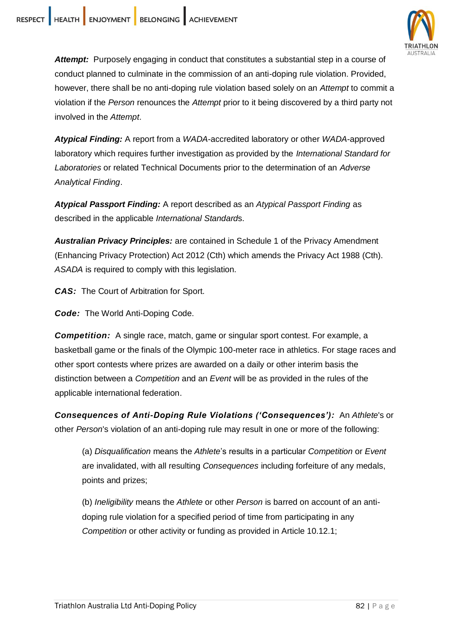

*Attempt:* Purposely engaging in conduct that constitutes a substantial step in a course of conduct planned to culminate in the commission of an anti-doping rule violation. Provided, however, there shall be no anti-doping rule violation based solely on an *Attempt* to commit a violation if the *Person* renounces the *Attempt* prior to it being discovered by a third party not involved in the *Attempt*.

*Atypical Finding:* A report from a *WADA*-accredited laboratory or other *WADA*-approved laboratory which requires further investigation as provided by the *International Standard for Laboratories* or related Technical Documents prior to the determination of an *Adverse Analytical Finding*.

*Atypical Passport Finding:* A report described as an *Atypical Passport Finding* as described in the applicable *International Standard*s.

*Australian Privacy Principles:* are contained in Schedule 1 of the Privacy Amendment (Enhancing Privacy Protection) Act 2012 (Cth) which amends the Privacy Act 1988 (Cth). *ASADA* is required to comply with this legislation.

*CAS:* The Court of Arbitration for Sport.

*Code:* The World Anti-Doping Code.

*Competition:* A single race, match, game or singular sport contest. For example, a basketball game or the finals of the Olympic 100-meter race in athletics. For stage races and other sport contests where prizes are awarded on a daily or other interim basis the distinction between a *Competition* and an *Event* will be as provided in the rules of the applicable international federation.

*Consequences of Anti-Doping Rule Violations ('Consequences'):* An *Athlete*'s or other *Person*'s violation of an anti-doping rule may result in one or more of the following:

(a) *Disqualification* means the *Athlete*'s results in a particular *Competition* or *Event* are invalidated, with all resulting *Consequences* including forfeiture of any medals, points and prizes;

(b) *Ineligibility* means the *Athlete* or other *Person* is barred on account of an antidoping rule violation for a specified period of time from participating in any *Competition* or other activity or funding as provided in Article 10.12.1;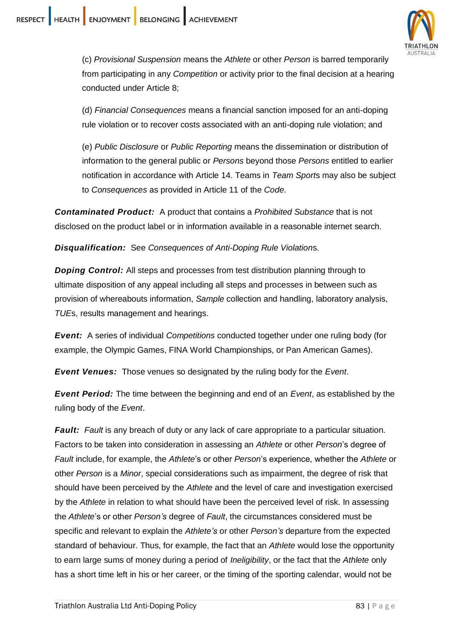

(c) *Provisional Suspension* means the *Athlete* or other *Person* is barred temporarily from participating in any *Competition* or activity prior to the final decision at a hearing conducted under Article 8;

(d) *Financial Consequences* means a financial sanction imposed for an anti-doping rule violation or to recover costs associated with an anti-doping rule violation; and

(e) *Public Disclosure* or *Public Reporting* means the dissemination or distribution of information to the general public or *Persons* beyond those *Persons* entitled to earlier notification in accordance with Article 14. Teams in *Team Sport*s may also be subject to *Consequences* as provided in Article 11 of the *Code*.

*Contaminated Product:* A product that contains a *Prohibited Substance* that is not disclosed on the product label or in information available in a reasonable internet search.

*Disqualification:* See *Consequences of Anti-Doping Rule Violation*s.

**Doping Control:** All steps and processes from test distribution planning through to ultimate disposition of any appeal including all steps and processes in between such as provision of whereabouts information, *Sample* collection and handling, laboratory analysis, *TUE*s, results management and hearings.

*Event:* A series of individual *Competitions* conducted together under one ruling body (for example, the Olympic Games, FINA World Championships, or Pan American Games).

*Event Venues:* Those venues so designated by the ruling body for the *Event*.

*Event Period:* The time between the beginning and end of an *Event*, as established by the ruling body of the *Event*.

*Fault: Fault* is any breach of duty or any lack of care appropriate to a particular situation. Factors to be taken into consideration in assessing an *Athlete* or other *Person*'s degree of *Fault* include, for example, the *Athlete*'s or other *Person*'s experience, whether the *Athlete* or other *Person* is a *Minor*, special considerations such as impairment, the degree of risk that should have been perceived by the *Athlete* and the level of care and investigation exercised by the *Athlete* in relation to what should have been the perceived level of risk. In assessing the *Athlete*'s or other *Person's* degree of *Fault*, the circumstances considered must be specific and relevant to explain the *Athlete's* or other *Person's* departure from the expected standard of behaviour. Thus, for example, the fact that an *Athlete* would lose the opportunity to earn large sums of money during a period of *Ineligibility*, or the fact that the *Athlete* only has a short time left in his or her career, or the timing of the sporting calendar, would not be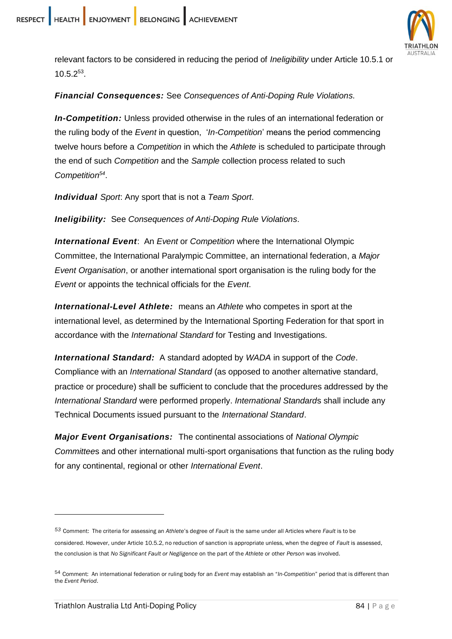

relevant factors to be considered in reducing the period of *Ineligibility* under Article 10.5.1 or  $10.5.2^{53}$ .

#### *Financial Consequences:* See *Consequences of Anti-Doping Rule Violations*.

*In-Competition:* Unless provided otherwise in the rules of an international federation or the ruling body of the *Event* in question, '*In-Competition*' means the period commencing twelve hours before a *Competition* in which the *Athlete* is scheduled to participate through the end of such *Competition* and the *Sample* collection process related to such *Competition<sup>54</sup>* .

*Individual Sport*: Any sport that is not a *Team Sport*.

*Ineligibility:* See *Consequences of Anti-Doping Rule Violations*.

*International Event*: An *Event* or *Competition* where the International Olympic Committee, the International Paralympic Committee, an international federation, a *Major Event Organisation*, or another international sport organisation is the ruling body for the *Event* or appoints the technical officials for the *Event*.

*International-Level Athlete:* means an *Athlete* who competes in sport at the international level, as determined by the International Sporting Federation for that sport in accordance with the *International Standard* for Testing and Investigations.

*International Standard:* A standard adopted by *WADA* in support of the *Code*. Compliance with an *International Standard* (as opposed to another alternative standard, practice or procedure) shall be sufficient to conclude that the procedures addressed by the *International Standard* were performed properly. *International Standard*s shall include any Technical Documents issued pursuant to the *International Standard*.

*Major Event Organisations:* The continental associations of *National Olympic Committee*s and other international multi-sport organisations that function as the ruling body for any continental, regional or other *International Event*.

-

*<sup>53</sup>* Comment: The criteria for assessing an *Athlete*'s degree of *Fault* is the same under all Articles where *Fault* is to be considered. However, under Article 10.5.2, no reduction of sanction is appropriate unless, when the degree of *Fault* is assessed, the conclusion is that *No Significant Fault or Negligence* on the part of the *Athlete* or other *Person* was involved.

<sup>54</sup> Comment: An international federation or ruling body for an *Event* may establish an "*In-Competition*" period that is different than the *Event Period*.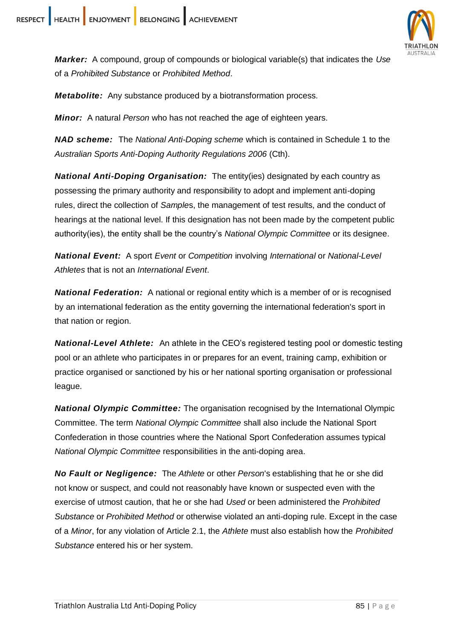

*Marker:* A compound, group of compounds or biological variable(s) that indicates the *Use* of a *Prohibited Substance* or *Prohibited Method*.

*Metabolite:* Any substance produced by a biotransformation process.

*Minor:* A natural *Person* who has not reached the age of eighteen years.

*NAD scheme:* The *National Anti-Doping scheme* which is contained in Schedule 1 to the *Australian Sports Anti-Doping Authority Regulations 2006* (Cth).

*National Anti-Doping Organisation:* The entity(ies) designated by each country as possessing the primary authority and responsibility to adopt and implement anti-doping rules, direct the collection of *Sample*s, the management of test results, and the conduct of hearings at the national level. If this designation has not been made by the competent public authority(ies), the entity shall be the country's *National Olympic Committee* or its designee.

*National Event:* A sport *Event* or *Competition* involving *International* or *National-Level Athletes* that is not an *International Event*.

*National Federation:* A national or regional entity which is a member of or is recognised by an international federation as the entity governing the international federation's sport in that nation or region.

**National-Level Athlete:** An athlete in the CEO's registered testing pool or domestic testing pool or an athlete who participates in or prepares for an event, training camp, exhibition or practice organised or sanctioned by his or her national sporting organisation or professional league.

*National Olympic Committee:* The organisation recognised by the International Olympic Committee. The term *National Olympic Committee* shall also include the National Sport Confederation in those countries where the National Sport Confederation assumes typical *National Olympic Committee* responsibilities in the anti-doping area.

*No Fault or Negligence:* The *Athlete* or other *Person*'s establishing that he or she did not know or suspect, and could not reasonably have known or suspected even with the exercise of utmost caution, that he or she had *Used* or been administered the *Prohibited Substance* or *Prohibited Method* or otherwise violated an anti-doping rule. Except in the case of a *Minor*, for any violation of Article 2.1, the *Athlete* must also establish how the *Prohibited Substance* entered his or her system.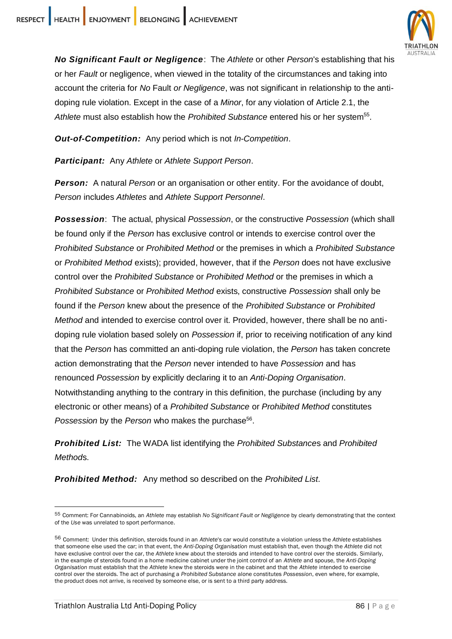

*No Significant Fault or Negligence*: The *Athlete* or other *Person*'s establishing that his or her *Fault* or negligence, when viewed in the totality of the circumstances and taking into account the criteria for *No* Fault *or Negligence*, was not significant in relationship to the antidoping rule violation. Except in the case of a *Minor*, for any violation of Article 2.1, the Athlete must also establish how the Prohibited Substance entered his or her system<sup>55</sup>.

*Out-of-Competition:* Any period which is not *In-Competition*.

*Participant:* Any *Athlete* or *Athlete Support Person*.

*Person:* A natural *Person* or an organisation or other entity. For the avoidance of doubt, *Person* includes *Athletes* and *Athlete Support Personnel*.

*Possession*: The actual, physical *Possession*, or the constructive *Possession* (which shall be found only if the *Person* has exclusive control or intends to exercise control over the *Prohibited Substance* or *Prohibited Method* or the premises in which a *Prohibited Substance* or *Prohibited Method* exists); provided, however, that if the *Person* does not have exclusive control over the *Prohibited Substance* or *Prohibited Method* or the premises in which a *Prohibited Substance* or *Prohibited Method* exists, constructive *Possession* shall only be found if the *Person* knew about the presence of the *Prohibited Substance* or *Prohibited Method* and intended to exercise control over it. Provided, however, there shall be no antidoping rule violation based solely on *Possession* if, prior to receiving notification of any kind that the *Person* has committed an anti-doping rule violation, the *Person* has taken concrete action demonstrating that the *Person* never intended to have *Possession* and has renounced *Possession* by explicitly declaring it to an *Anti-Doping Organisation*. Notwithstanding anything to the contrary in this definition, the purchase (including by any electronic or other means) of a *Prohibited Substance* or *Prohibited Method* constitutes Possession by the Person who makes the purchase<sup>56</sup>.

*Prohibited List:* The WADA list identifying the *Prohibited Substance*s and *Prohibited Method*s.

*Prohibited Method:* Any method so described on the *Prohibited List*.

 $\overline{a}$ 

<sup>55</sup> Comment: For Cannabinoids, an *Athlete* may establish *No Significant Fault or Negligence* by clearly demonstrating that the context of the *Use* was unrelated to sport performance.

<sup>56</sup> Comment: Under this definition, steroids found in an *Athlete*'s car would constitute a violation unless the *Athlete* establishes that someone else used the car; in that event, the *Anti-Doping Organisation* must establish that, even though the *Athlete* did not have exclusive control over the car, the *Athlete* knew about the steroids and intended to have control over the steroids. Similarly, in the example of steroids found in a home medicine cabinet under the joint control of an *Athlete* and spouse, the *Anti-Doping Organisation* must establish that the *Athlete* knew the steroids were in the cabinet and that the *Athlete* intended to exercise control over the steroids. The act of purchasing a *Prohibited Substance* alone constitutes *Possession*, even where, for example, the product does not arrive, is received by someone else, or is sent to a third party address.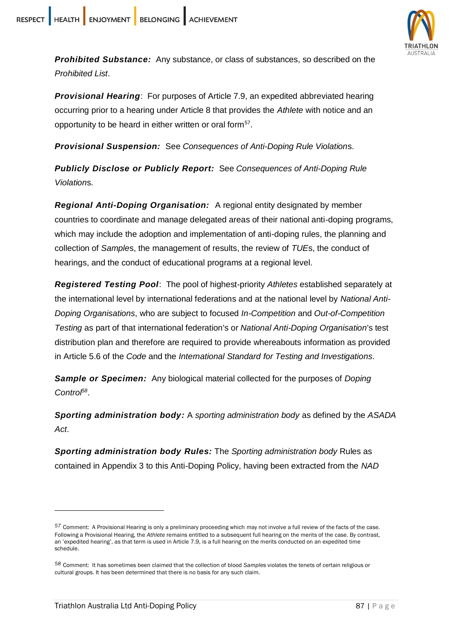

*Prohibited Substance:* Any substance, or class of substances, so described on the *Prohibited List*.

*Provisional Hearing*: For purposes of Article 7.9, an expedited abbreviated hearing occurring prior to a hearing under Article 8 that provides the *Athlete* with notice and an opportunity to be heard in either written or oral form<sup>57</sup>.

*Provisional Suspension:* See *Consequences of Anti-Doping Rule Violation*s.

*Publicly Disclose or Publicly Report:* See *Consequences of Anti-Doping Rule Violation*s.

*Regional Anti-Doping Organisation:* A regional entity designated by member countries to coordinate and manage delegated areas of their national anti-doping programs, which may include the adoption and implementation of anti-doping rules, the planning and collection of *Sample*s, the management of results, the review of *TUE*s, the conduct of hearings, and the conduct of educational programs at a regional level.

*Registered Testing Pool*: The pool of highest-priority *Athletes* established separately at the international level by international federations and at the national level by *National Anti-Doping Organisations*, who are subject to focused *In-Competition* and *Out-of-Competition Testing* as part of that international federation's or *National Anti-Doping Organisation*'s test distribution plan and therefore are required to provide whereabouts information as provided in Article 5.6 of the *Code* and the *International Standard for Testing and Investigations*.

*Sample or Specimen:* Any biological material collected for the purposes of *Doping Control<sup>58</sup>* .

*Sporting administration body:* A *sporting administration body* as defined by the *ASADA Act*.

*Sporting administration body Rules:* The *Sporting administration body* Rules as contained in Appendix 3 to this Anti-Doping Policy, having been extracted from the *NAD* 

 $\overline{a}$ 

*<sup>57</sup>* Comment: A Provisional Hearing is only a preliminary proceeding which may not involve a full review of the facts of the case. Following a Provisional Hearing, the *Athlete* remains entitled to a subsequent full hearing on the merits of the case. By contrast, an 'expedited hearing', as that term is used in Article 7.9, is a full hearing on the merits conducted on an expedited time schedule.

*<sup>58</sup>* Comment: It has sometimes been claimed that the collection of blood *Sample*s violates the tenets of certain religious or cultural groups. It has been determined that there is no basis for any such claim.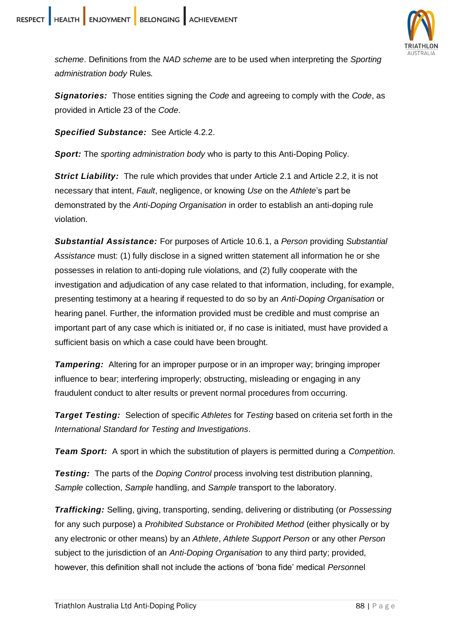

*scheme*. Definitions from the *NAD scheme* are to be used when interpreting the *Sporting administration body* Rules*.*

*Signatories:* Those entities signing the *Code* and agreeing to comply with the *Code*, as provided in Article 23 of the *Code*.

*Specified Substance:* See Article 4.2.2.

*Sport:* The *sporting administration body* who is party to this Anti-Doping Policy.

**Strict Liability:** The rule which provides that under Article 2.1 and Article 2.2, it is not necessary that intent, *Fault*, negligence, or knowing *Use* on the *Athlete*'s part be demonstrated by the *Anti-Doping Organisation* in order to establish an anti-doping rule violation.

*Substantial Assistance:* For purposes of Article 10.6.1, a *Person* providing *Substantial Assistance* must: (1) fully disclose in a signed written statement all information he or she possesses in relation to anti-doping rule violations, and (2) fully cooperate with the investigation and adjudication of any case related to that information, including, for example, presenting testimony at a hearing if requested to do so by an *Anti-Doping Organisation* or hearing panel. Further, the information provided must be credible and must comprise an important part of any case which is initiated or, if no case is initiated, must have provided a sufficient basis on which a case could have been brought.

**Tampering:** Altering for an improper purpose or in an improper way; bringing improper influence to bear; interfering improperly; obstructing, misleading or engaging in any fraudulent conduct to alter results or prevent normal procedures from occurring.

*Target Testing:* Selection of specific *Athletes* for *Testing* based on criteria set forth in the *International Standard for Testing and Investigations*.

*Team Sport:* A sport in which the substitution of players is permitted during a *Competition*.

*Testing:* The parts of the *Doping Control* process involving test distribution planning, *Sample* collection, *Sample* handling, and *Sample* transport to the laboratory.

*Trafficking:* Selling, giving, transporting, sending, delivering or distributing (or *Possessing* for any such purpose) a *Prohibited Substance* or *Prohibited Method* (either physically or by any electronic or other means) by an *Athlete*, *Athlete Support Person* or any other *Person* subject to the jurisdiction of an *Anti-Doping Organisation* to any third party; provided, however, this definition shall not include the actions of 'bona fide' medical *Person*nel